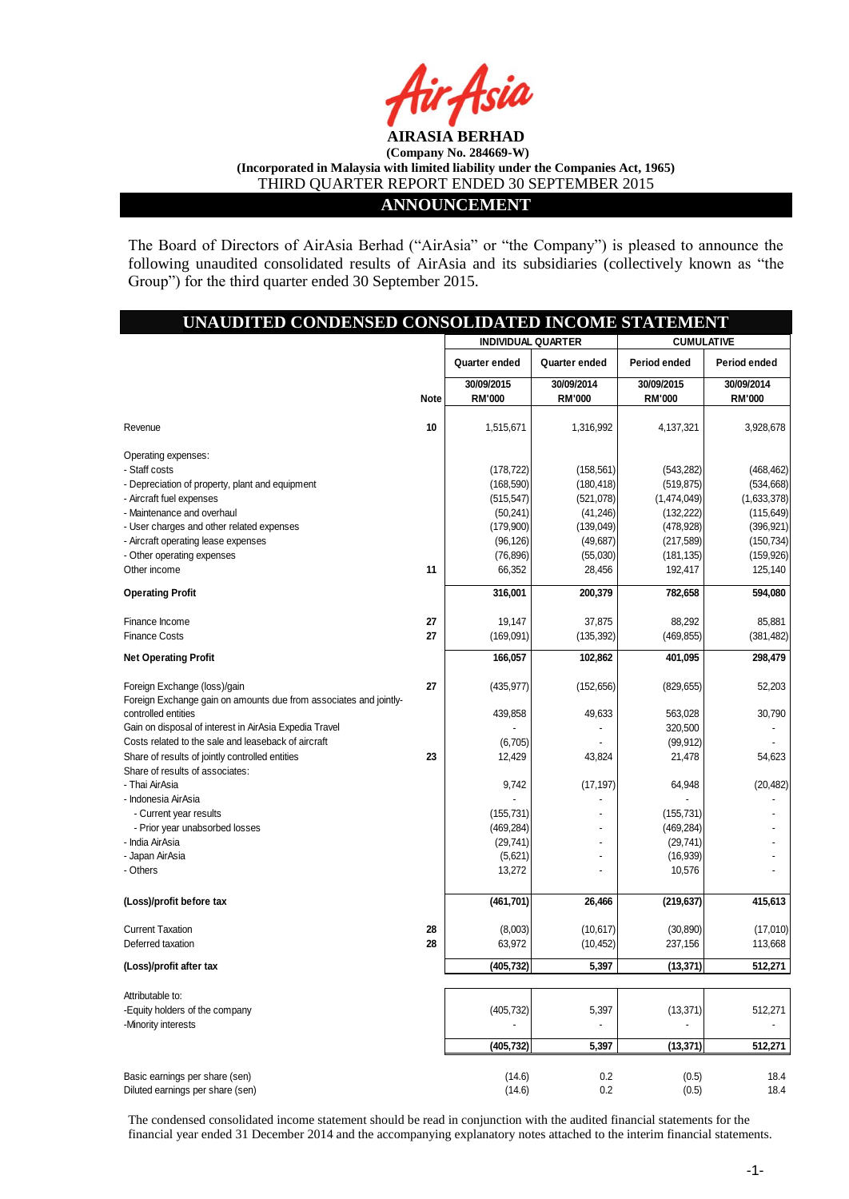

#### **ANNOUNCEMENT**

The Board of Directors of AirAsia Berhad ("AirAsia" or "the Company") is pleased to announce the following unaudited consolidated results of AirAsia and its subsidiaries (collectively known as "the Group") for the third quarter ended 30 September 2015.

| UNAUDITED CONDENSED CONSOLIDATED INCOME STATEMENT                 |             |                           |               |                   |               |  |
|-------------------------------------------------------------------|-------------|---------------------------|---------------|-------------------|---------------|--|
|                                                                   |             | <b>INDIVIDUAL QUARTER</b> |               | <b>CUMULATIVE</b> |               |  |
|                                                                   |             | Quarter ended             | Quarter ended | Period ended      | Period ended  |  |
|                                                                   |             | 30/09/2015                | 30/09/2014    | 30/09/2015        | 30/09/2014    |  |
|                                                                   | <b>Note</b> | <b>RM'000</b>             | <b>RM'000</b> | <b>RM'000</b>     | <b>RM'000</b> |  |
| Revenue                                                           | 10          | 1,515,671                 | 1,316,992     | 4,137,321         | 3,928,678     |  |
| Operating expenses:                                               |             |                           |               |                   |               |  |
| - Staff costs                                                     |             | (178, 722)                | (158, 561)    | (543, 282)        | (468, 462)    |  |
| - Depreciation of property, plant and equipment                   |             | (168, 590)                | (180, 418)    | (519, 875)        | (534, 668)    |  |
| - Aircraft fuel expenses                                          |             | (515, 547)                | (521, 078)    | (1,474,049)       | (1,633,378)   |  |
| - Maintenance and overhaul                                        |             | (50, 241)                 | (41, 246)     | (132, 222)        | (115, 649)    |  |
| - User charges and other related expenses                         |             | (179,900)                 | (139, 049)    | (478, 928)        | (396, 921)    |  |
| - Aircraft operating lease expenses                               |             | (96, 126)                 | (49, 687)     | (217, 589)        | (150, 734)    |  |
| - Other operating expenses                                        |             | (76, 896)                 | (55,030)      | (181, 135)        | (159, 926)    |  |
| Other income                                                      | 11          | 66,352                    | 28,456        | 192,417           | 125,140       |  |
| <b>Operating Profit</b>                                           |             | 316,001                   | 200,379       | 782,658           | 594,080       |  |
| Finance Income                                                    | 27          | 19,147                    | 37,875        | 88,292            | 85,881        |  |
| <b>Finance Costs</b>                                              | 27          | (169,091)                 |               |                   |               |  |
|                                                                   |             |                           | (135, 392)    | (469, 855)        | (381, 482)    |  |
| <b>Net Operating Profit</b>                                       |             | 166,057                   | 102,862       | 401,095           | 298,479       |  |
| Foreign Exchange (loss)/gain                                      | 27          | (435, 977)                | (152, 656)    | (829, 655)        | 52,203        |  |
| Foreign Exchange gain on amounts due from associates and jointly- |             |                           |               |                   |               |  |
| controlled entities                                               |             | 439,858                   | 49,633        | 563,028           | 30,790        |  |
| Gain on disposal of interest in AirAsia Expedia Travel            |             |                           |               | 320,500           |               |  |
| Costs related to the sale and leaseback of aircraft               |             | (6,705)                   |               | (99, 912)         |               |  |
| Share of results of jointly controlled entities                   | 23          | 12,429                    | 43,824        | 21,478            | 54,623        |  |
| Share of results of associates:                                   |             |                           |               |                   |               |  |
| - Thai AirAsia                                                    |             | 9,742                     | (17, 197)     | 64,948            | (20, 482)     |  |
| - Indonesia AirAsia                                               |             |                           |               |                   |               |  |
| - Current year results                                            |             | (155, 731)                |               | (155, 731)        |               |  |
| - Prior year unabsorbed losses                                    |             | (469, 284)                |               | (469, 284)        |               |  |
| - India AirAsia                                                   |             | (29, 741)                 |               | (29, 741)         |               |  |
| - Japan AirAsia                                                   |             | (5,621)                   |               | (16, 939)         |               |  |
| - Others                                                          |             | 13,272                    |               | 10,576            |               |  |
| (Loss)/profit before tax                                          |             | (461, 701)                | 26,466        | (219, 637)        | 415,613       |  |
|                                                                   |             |                           |               |                   |               |  |
| <b>Current Taxation</b>                                           | 28          | (8,003)                   | (10,617)      | (30, 890)         | (17,010)      |  |
| Deferred taxation                                                 | 28          | 63,972                    | (10, 452)     | 237,156           | 113,668       |  |
| (Loss)/profit after tax                                           |             | (405, 732)                | 5,397         | (13, 371)         | 512,271       |  |
| Attributable to:                                                  |             |                           |               |                   |               |  |
| -Equity holders of the company                                    |             | (405, 732)                | 5,397         | (13, 371)         | 512,271       |  |
| -Minority interests                                               |             |                           |               |                   |               |  |
|                                                                   |             | (405, 732)                | 5,397         | (13, 371)         | 512,271       |  |
|                                                                   |             |                           |               |                   |               |  |
| Basic earnings per share (sen)                                    |             | (14.6)                    | 0.2           | (0.5)             | 18.4          |  |
| Diluted earnings per share (sen)                                  |             | (14.6)                    | 0.2           | (0.5)             | 18.4          |  |

The condensed consolidated income statement should be read in conjunction with the audited financial statements for the financial year ended 31 December 2014 and the accompanying explanatory notes attached to the interim financial statements.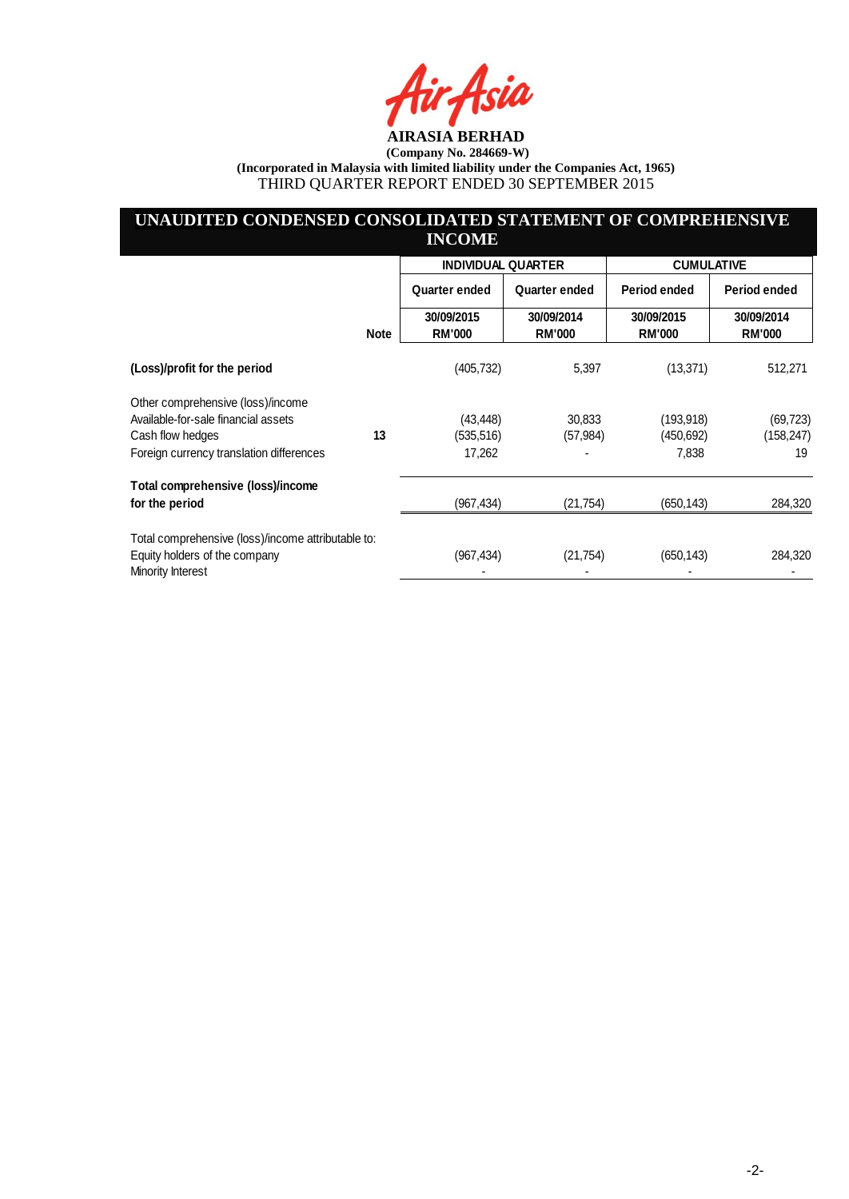4sia

## **UNAUDITED CONDENSED CONSOLIDATED STATEMENT OF COMPREHENSIVE INCOME**

|                                                    |             | <b>INDIVIDUAL QUARTER</b>   |                             | <b>CUMULATIVE</b>           |                             |  |
|----------------------------------------------------|-------------|-----------------------------|-----------------------------|-----------------------------|-----------------------------|--|
|                                                    |             | Quarter ended               | Quarter ended               | Period ended                | Period ended                |  |
|                                                    | <b>Note</b> | 30/09/2015<br><b>RM'000</b> | 30/09/2014<br><b>RM'000</b> | 30/09/2015<br><b>RM'000</b> | 30/09/2014<br><b>RM'000</b> |  |
| (Loss)/profit for the period                       |             | (405, 732)                  | 5,397                       | (13, 371)                   | 512,271                     |  |
| Other comprehensive (loss)/income                  |             |                             |                             |                             |                             |  |
| Available-for-sale financial assets                |             | (43, 448)                   | 30,833                      | (193, 918)                  | (69,723)                    |  |
| Cash flow hedges                                   | 13          | (535, 516)                  | (57, 984)                   | (450, 692)                  | (158, 247)                  |  |
| Foreign currency translation differences           |             | 17,262                      |                             | 7,838                       | 19                          |  |
| Total comprehensive (loss)/income                  |             |                             |                             |                             |                             |  |
| for the period                                     |             | (967, 434)                  | (21, 754)                   | (650, 143)                  | 284,320                     |  |
| Total comprehensive (loss)/income attributable to: |             |                             |                             |                             |                             |  |
| Equity holders of the company<br>Minority Interest |             | (967, 434)                  | (21, 754)                   | (650, 143)                  | 284,320                     |  |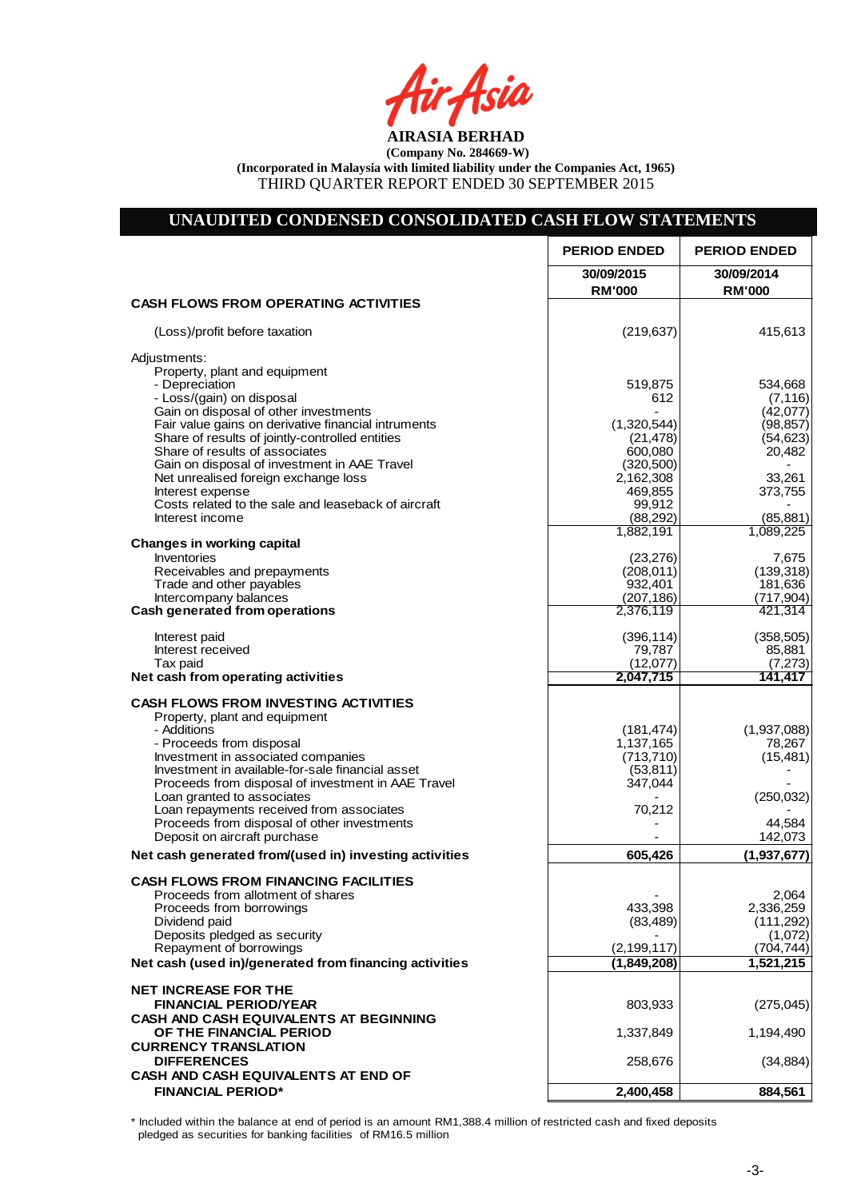# **UNAUDITED CONDENSED CONSOLIDATED CASH FLOW STATEMENTS**

|                                                                                                        | <b>PERIOD ENDED</b>         | <b>PERIOD ENDED</b>         |
|--------------------------------------------------------------------------------------------------------|-----------------------------|-----------------------------|
|                                                                                                        | 30/09/2015<br><b>RM'000</b> | 30/09/2014<br><b>RM'000</b> |
| <b>CASH FLOWS FROM OPERATING ACTIVITIES</b>                                                            |                             |                             |
| (Loss)/profit before taxation                                                                          | (219, 637)                  | 415,613                     |
| Adjustments:                                                                                           |                             |                             |
| Property, plant and equipment<br>- Depreciation                                                        | 519,875                     | 534,668                     |
| - Loss/(gain) on disposal                                                                              | 612                         | (7, 116)                    |
| Gain on disposal of other investments                                                                  |                             | (42,077)                    |
| Fair value gains on derivative financial intruments<br>Share of results of jointly-controlled entities | (1,320,544)<br>(21, 478)    | (98, 857)<br>(54, 623)      |
| Share of results of associates                                                                         | 600,080                     | 20,482                      |
| Gain on disposal of investment in AAE Travel                                                           | (320, 500)                  |                             |
| Net unrealised foreign exchange loss<br>Interest expense                                               | 2,162,308<br>469,855        | 33,261<br>373,755           |
| Costs related to the sale and leaseback of aircraft                                                    | 99,912                      |                             |
| Interest income                                                                                        | (88, 292)                   | (85, 881)                   |
| <b>Changes in working capital</b>                                                                      | 1,882,191                   | 1,089,225                   |
| <b>Inventories</b>                                                                                     | (23, 276)                   | 7,675                       |
| Receivables and prepayments                                                                            | (208, 011)                  | (139, 318)                  |
| Trade and other payables                                                                               | 932,401                     | 181,636                     |
| Intercompany balances<br>Cash generated from operations                                                | (207, 186)<br>2,376,119     | (717, 904)<br>421.314       |
|                                                                                                        |                             |                             |
| Interest paid                                                                                          | (396, 114)                  | (358, 505)                  |
| Interest received<br>Tax paid                                                                          | 79,787<br>(12,077)          | 85,881<br>(7, 273)          |
| Net cash from operating activities                                                                     | 2,047,715                   | 141,417                     |
| <b>CASH FLOWS FROM INVESTING ACTIVITIES</b>                                                            |                             |                             |
| Property, plant and equipment                                                                          |                             |                             |
| - Additions                                                                                            | (181, 474)                  | (1,937,088)                 |
| - Proceeds from disposal<br>Investment in associated companies                                         | 1,137,165                   | 78,267                      |
| Investment in available-for-sale financial asset                                                       | (713, 710)<br>(53, 811)     | (15, 481)                   |
| Proceeds from disposal of investment in AAE Travel                                                     | 347,044                     |                             |
| Loan granted to associates                                                                             |                             | (250, 032)                  |
| Loan repayments received from associates<br>Proceeds from disposal of other investments                | 70,212                      | 44,584                      |
| Deposit on aircraft purchase                                                                           |                             | 142,073                     |
| Net cash generated from/(used in) investing activities                                                 | 605,426                     | (1,937,677)                 |
| <b>CASH FLOWS FROM FINANCING FACILITIES</b>                                                            |                             |                             |
| Proceeds from allotment of shares                                                                      |                             | 2.064                       |
| Proceeds from borrowings<br>Dividend paid                                                              | 433,398<br>(83, 489)        | 2,336,259<br>(111, 292)     |
| Deposits pledged as security                                                                           |                             | (1,072)                     |
| Repayment of borrowings                                                                                | (2, 199, 117)               | (704, 744)                  |
| Net cash (used in)/generated from financing activities                                                 | (1,849,208)                 | 1,521,215                   |
| <b>NET INCREASE FOR THE</b>                                                                            |                             |                             |
| <b>FINANCIAL PERIOD/YEAR</b>                                                                           | 803,933                     | (275, 045)                  |
| <b>CASH AND CASH EQUIVALENTS AT BEGINNING</b>                                                          |                             |                             |
| OF THE FINANCIAL PERIOD<br><b>CURRENCY TRANSLATION</b>                                                 | 1,337,849                   | 1,194,490                   |
| <b>DIFFERENCES</b>                                                                                     | 258,676                     | (34, 884)                   |
| CASH AND CASH EQUIVALENTS AT END OF                                                                    |                             |                             |
| <b>FINANCIAL PERIOD*</b>                                                                               | 2,400,458                   | 884,561                     |
|                                                                                                        |                             |                             |

\* Included within the balance at end of period is an amount RM1,388.4 million of restricted cash and fixed deposits pledged as securities for banking facilities of RM16.5 million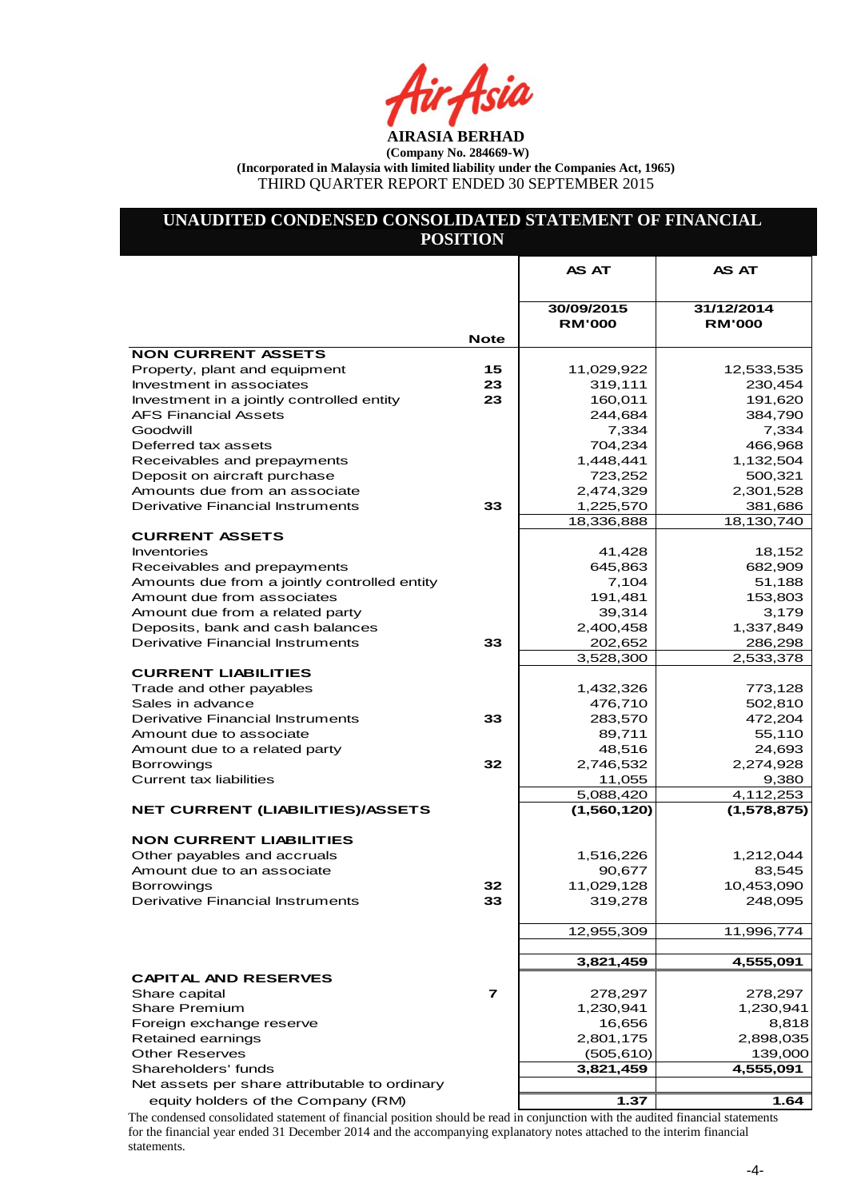## **UNAUDITED CONDENSED CONSOLIDATED STATEMENT OF FINANCIAL POSITION**

|                                                     |             | <b>AS AT</b>                | AS AT                       |
|-----------------------------------------------------|-------------|-----------------------------|-----------------------------|
|                                                     |             |                             |                             |
|                                                     |             | 30/09/2015<br><b>RM'000</b> | 31/12/2014<br><b>RM'000</b> |
|                                                     | <b>Note</b> |                             |                             |
| <b>NON CURRENT ASSETS</b>                           |             |                             |                             |
| Property, plant and equipment                       | 15          | 11,029,922                  | 12,533,535                  |
| Investment in associates                            | 23          | 319,111                     | 230,454                     |
| Investment in a jointly controlled entity           | 23          | 160,011                     | 191,620                     |
| <b>AFS Financial Assets</b>                         |             | 244,684                     | 384,790                     |
| Goodwill                                            |             | 7,334                       | 7,334                       |
| Deferred tax assets                                 |             | 704,234                     | 466,968                     |
| Receivables and prepayments                         |             | 1,448,441                   | 1,132,504                   |
| Deposit on aircraft purchase                        |             | 723,252                     | 500,321                     |
| Amounts due from an associate                       |             | 2,474,329                   | 2,301,528                   |
| <b>Derivative Financial Instruments</b>             | 33          | 1,225,570                   | 381,686                     |
| <b>CURRENT ASSETS</b>                               |             | 18,336,888                  | 18,130,740                  |
| <b>Inventories</b>                                  |             | 41,428                      | 18,152                      |
| Receivables and prepayments                         |             | 645,863                     | 682,909                     |
| Amounts due from a jointly controlled entity        |             | 7,104                       | 51,188                      |
| Amount due from associates                          |             | 191,481                     | 153,803                     |
| Amount due from a related party                     |             | 39,314                      | 3,179                       |
| Deposits, bank and cash balances                    |             | 2,400,458                   | 1,337,849                   |
| Derivative Financial Instruments                    | 33          | 202,652                     | 286,298                     |
|                                                     |             | 3,528,300                   | 2,533,378                   |
| <b>CURRENT LIABILITIES</b>                          |             |                             |                             |
| Trade and other payables                            |             | 1,432,326                   | 773,128                     |
| Sales in advance                                    |             | 476,710                     | 502,810                     |
| <b>Derivative Financial Instruments</b>             | 33          | 283,570                     | 472,204                     |
| Amount due to associate                             |             | 89,711                      | 55,110                      |
| Amount due to a related party                       |             | 48,516                      | 24,693                      |
| <b>Borrowings</b><br><b>Current tax liabilities</b> | 32          | 2,746,532<br>11,055         | 2,274,928<br>9,380          |
|                                                     |             | 5,088,420                   | 4,112,253                   |
| NET CURRENT (LIABILITIES)/ASSETS                    |             | (1,560,120)                 | (1,578,875)                 |
|                                                     |             |                             |                             |
| <b>NON CURRENT LIABILITIES</b>                      |             |                             |                             |
| Other payables and accruals                         |             | 1,516,226                   | 1,212,044                   |
| Amount due to an associate                          |             | 90,677                      | 83,545                      |
| <b>Borrowings</b>                                   | 32          | 11,029,128                  | 10,453,090                  |
| <b>Derivative Financial Instruments</b>             | 33          | 319,278                     | 248,095                     |
|                                                     |             |                             |                             |
|                                                     |             | 12,955,309                  | 11,996,774                  |
|                                                     |             |                             |                             |
|                                                     |             | 3,821,459                   | 4,555,091                   |
| <b>CAPITAL AND RESERVES</b>                         |             |                             |                             |
| Share capital                                       | 7           | 278,297                     | 278,297                     |
| <b>Share Premium</b>                                |             | 1,230,941                   | 1,230,941                   |
| Foreign exchange reserve                            |             | 16,656<br>2,801,175         | 8,818                       |
| Retained earnings<br><b>Other Reserves</b>          |             | (505, 610)                  | 2,898,035<br>139,000        |
| Shareholders' funds                                 |             | 3,821,459                   | 4,555,091                   |
| Net assets per share attributable to ordinary       |             |                             |                             |
| equity holders of the Company (RM)                  |             | 1.37                        | 1.64                        |
|                                                     |             |                             |                             |

The condensed consolidated statement of financial position should be read in conjunction with the audited financial statements for the financial year ended 31 December 2014 and the accompanying explanatory notes attached to the interim financial statements.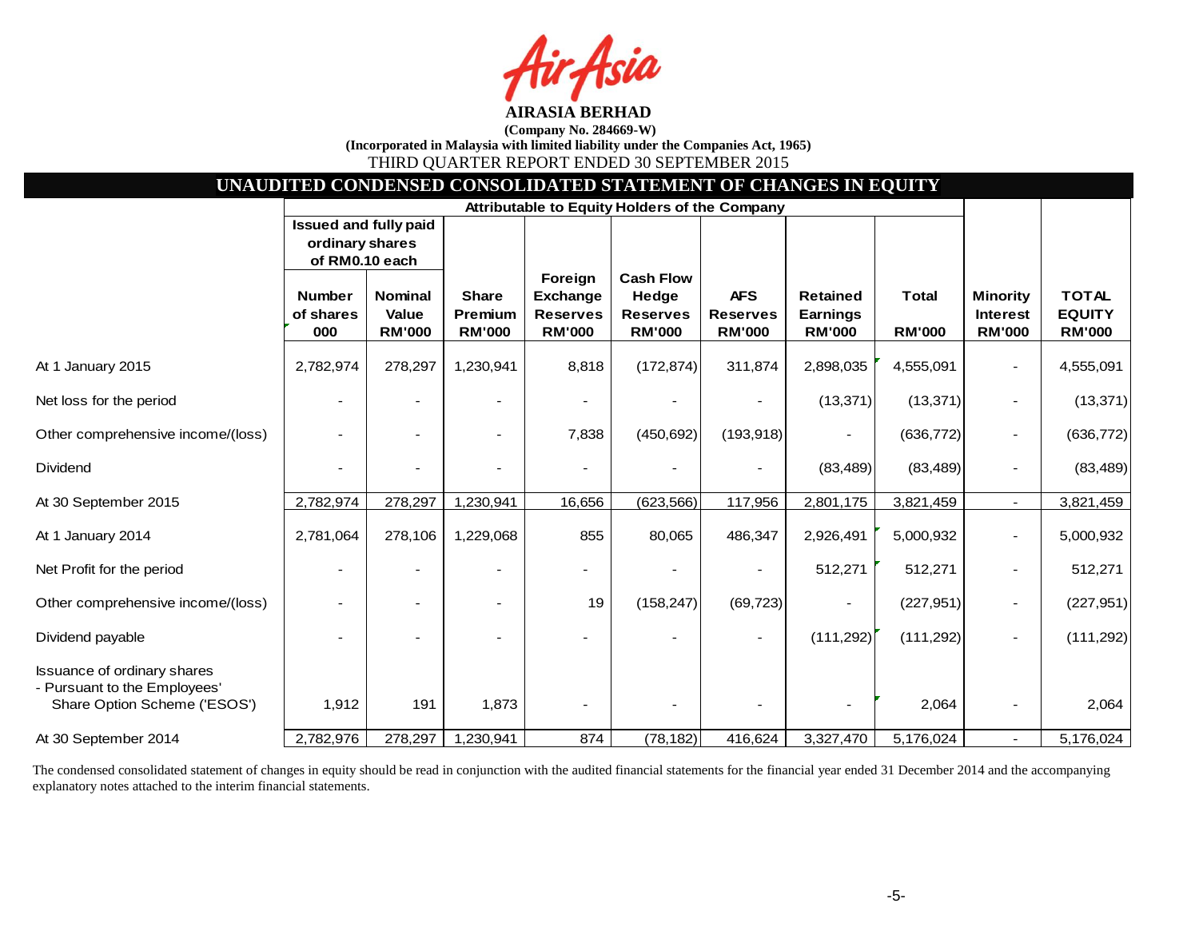sia

| UNAUDITED CONDENSED CONSOLIDATED STATEMENT OF CHANGES IN EQUITY                                    |                                                                   |                                          |                                                 |                                                                |                                                               |                                                |                                                     |                               |                                                     |                                                |
|----------------------------------------------------------------------------------------------------|-------------------------------------------------------------------|------------------------------------------|-------------------------------------------------|----------------------------------------------------------------|---------------------------------------------------------------|------------------------------------------------|-----------------------------------------------------|-------------------------------|-----------------------------------------------------|------------------------------------------------|
|                                                                                                    |                                                                   |                                          |                                                 |                                                                | Attributable to Equity Holders of the Company                 |                                                |                                                     |                               |                                                     |                                                |
|                                                                                                    | <b>Issued and fully paid</b><br>ordinary shares<br>of RM0.10 each |                                          |                                                 |                                                                |                                                               |                                                |                                                     |                               |                                                     |                                                |
|                                                                                                    | <b>Number</b><br>of shares<br>000                                 | <b>Nominal</b><br>Value<br><b>RM'000</b> | <b>Share</b><br><b>Premium</b><br><b>RM'000</b> | Foreign<br><b>Exchange</b><br><b>Reserves</b><br><b>RM'000</b> | <b>Cash Flow</b><br>Hedge<br><b>Reserves</b><br><b>RM'000</b> | <b>AFS</b><br><b>Reserves</b><br><b>RM'000</b> | <b>Retained</b><br><b>Earnings</b><br><b>RM'000</b> | <b>Total</b><br><b>RM'000</b> | <b>Minority</b><br><b>Interest</b><br><b>RM'000</b> | <b>TOTAL</b><br><b>EQUITY</b><br><b>RM'000</b> |
| At 1 January 2015                                                                                  | 2,782,974                                                         | 278,297                                  | 1,230,941                                       | 8,818                                                          | (172, 874)                                                    | 311,874                                        | 2,898,035                                           | 4,555,091                     |                                                     | 4,555,091                                      |
| Net loss for the period                                                                            |                                                                   |                                          |                                                 |                                                                |                                                               |                                                | (13, 371)                                           | (13, 371)                     |                                                     | (13, 371)                                      |
| Other comprehensive income/(loss)                                                                  |                                                                   |                                          | $\overline{\phantom{a}}$                        | 7,838                                                          | (450, 692)                                                    | (193, 918)                                     |                                                     | (636, 772)                    |                                                     | (636, 772)                                     |
| Dividend                                                                                           |                                                                   |                                          |                                                 |                                                                |                                                               |                                                | (83, 489)                                           | (83, 489)                     |                                                     | (83, 489)                                      |
| At 30 September 2015                                                                               | 2,782,974                                                         | 278,297                                  | 1,230,941                                       | 16,656                                                         | (623, 566)                                                    | 117,956                                        | 2,801,175                                           | 3,821,459                     | $\sim$                                              | 3,821,459                                      |
| At 1 January 2014                                                                                  | 2,781,064                                                         | 278,106                                  | 1,229,068                                       | 855                                                            | 80,065                                                        | 486,347                                        | 2,926,491                                           | 5,000,932                     |                                                     | 5,000,932                                      |
| Net Profit for the period                                                                          |                                                                   |                                          |                                                 |                                                                |                                                               |                                                | 512,271                                             | 512,271                       |                                                     | 512,271                                        |
| Other comprehensive income/(loss)                                                                  |                                                                   |                                          |                                                 | 19                                                             | (158, 247)                                                    | (69, 723)                                      |                                                     | (227, 951)                    |                                                     | (227, 951)                                     |
| Dividend payable                                                                                   |                                                                   |                                          |                                                 |                                                                |                                                               |                                                | (111, 292)                                          | (111, 292)                    |                                                     | (111, 292)                                     |
| <b>Issuance of ordinary shares</b><br>- Pursuant to the Employees'<br>Share Option Scheme ('ESOS') | 1,912                                                             | 191                                      | 1,873                                           |                                                                |                                                               |                                                |                                                     | 2,064                         |                                                     | 2,064                                          |
| At 30 September 2014                                                                               | 2,782,976                                                         | 278,297                                  | 1,230,941                                       | 874                                                            | (78, 182)                                                     | 416,624                                        | 3,327,470                                           | 5,176,024                     | $\sim$                                              | 5,176,024                                      |

The condensed consolidated statement of changes in equity should be read in conjunction with the audited financial statements for the financial year ended 31 December 2014 and the accompanying explanatory notes attached to the interim financial statements.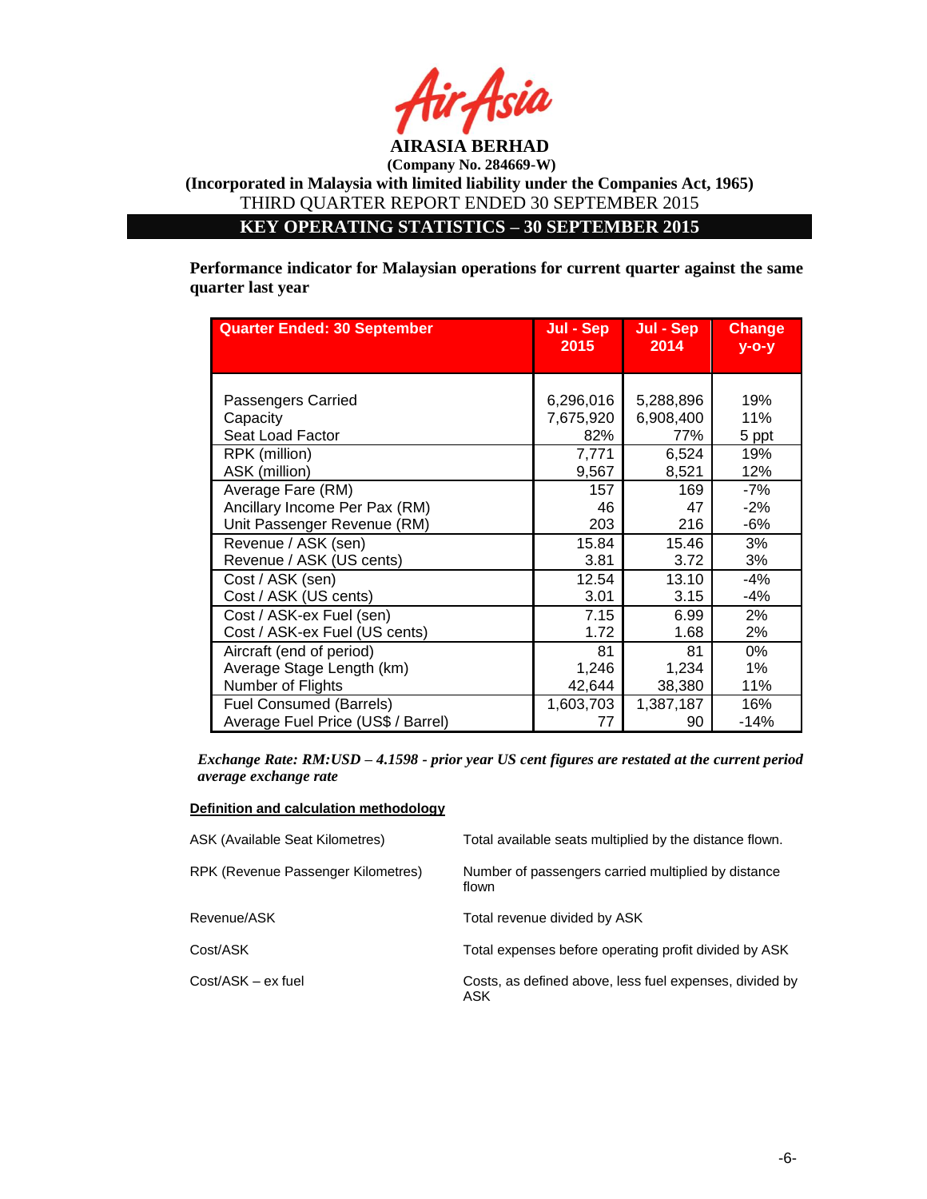

**KEY OPERATING STATISTICS – 30 SEPTEMBER 2015**

**Performance indicator for Malaysian operations for current quarter against the same quarter last year**

| <b>Quarter Ended: 30 September</b> | Jul - Sep<br>2015 | Jul - Sep<br>2014 | <b>Change</b><br>$V - O - V$ |
|------------------------------------|-------------------|-------------------|------------------------------|
|                                    |                   |                   |                              |
| Passengers Carried                 | 6,296,016         | 5,288,896         | 19%                          |
| Capacity                           | 7,675,920         | 6,908,400         | 11%                          |
| Seat Load Factor                   | 82%               | 77%               | 5 ppt                        |
| RPK (million)                      | 7,771             | 6,524             | 19%                          |
| ASK (million)                      | 9,567             | 8,521             | 12%                          |
| Average Fare (RM)                  | 157               | 169               | -7%                          |
| Ancillary Income Per Pax (RM)      | 46                | 47                | $-2%$                        |
| Unit Passenger Revenue (RM)        | 203               | 216               | $-6%$                        |
| Revenue / ASK (sen)                | 15.84             | 15.46             | 3%                           |
| Revenue / ASK (US cents)           | 3.81              | 3.72              | 3%                           |
| Cost / ASK (sen)                   | 12.54             | 13.10             | $-4%$                        |
| Cost / ASK (US cents)              | 3.01              | 3.15              | $-4%$                        |
| Cost / ASK-ex Fuel (sen)           | 7.15              | 6.99              | 2%                           |
| Cost / ASK-ex Fuel (US cents)      | 1.72              | 1.68              | 2%                           |
| Aircraft (end of period)           | 81                | 81                | 0%                           |
| Average Stage Length (km)          | 1,246             | 1,234             | $1\%$                        |
| Number of Flights                  | 42,644            | 38,380            | 11%                          |
| <b>Fuel Consumed (Barrels)</b>     | 1,603,703         | 1,387,187         | 16%                          |
| Average Fuel Price (US\$ / Barrel) | 77                | 90                | $-14%$                       |

*Exchange Rate: RM:USD – 4.1598 - prior year US cent figures are restated at the current period average exchange rate*

#### **Definition and calculation methodology**

| ASK (Available Seat Kilometres)    | Total available seats multiplied by the distance flown.        |
|------------------------------------|----------------------------------------------------------------|
| RPK (Revenue Passenger Kilometres) | Number of passengers carried multiplied by distance<br>flown   |
| Revenue/ASK                        | Total revenue divided by ASK                                   |
| Cost/ASK                           | Total expenses before operating profit divided by ASK          |
| Cost/ASK – ex fuel                 | Costs, as defined above, less fuel expenses, divided by<br>ASK |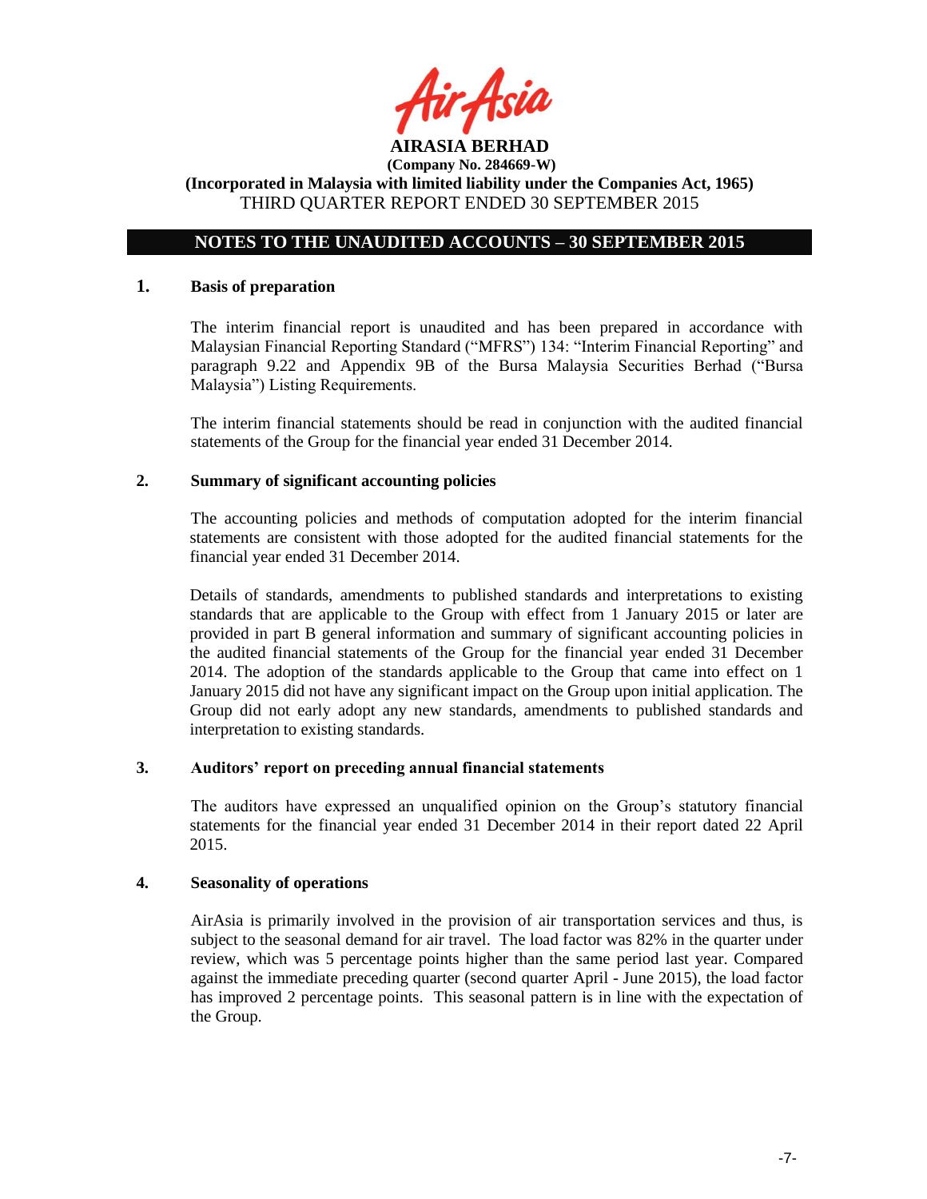

## **NOTES TO THE UNAUDITED ACCOUNTS – 30 SEPTEMBER 2015**

### **1. Basis of preparation**

The interim financial report is unaudited and has been prepared in accordance with Malaysian Financial Reporting Standard ("MFRS") 134: "Interim Financial Reporting" and paragraph 9.22 and Appendix 9B of the Bursa Malaysia Securities Berhad ("Bursa Malaysia") Listing Requirements.

The interim financial statements should be read in conjunction with the audited financial statements of the Group for the financial year ended 31 December 2014.

### **2. Summary of significant accounting policies**

The accounting policies and methods of computation adopted for the interim financial statements are consistent with those adopted for the audited financial statements for the financial year ended 31 December 2014.

Details of standards, amendments to published standards and interpretations to existing standards that are applicable to the Group with effect from 1 January 2015 or later are provided in part B general information and summary of significant accounting policies in the audited financial statements of the Group for the financial year ended 31 December 2014. The adoption of the standards applicable to the Group that came into effect on 1 January 2015 did not have any significant impact on the Group upon initial application. The Group did not early adopt any new standards, amendments to published standards and interpretation to existing standards.

#### **3. Auditors' report on preceding annual financial statements**

The auditors have expressed an unqualified opinion on the Group's statutory financial statements for the financial year ended 31 December 2014 in their report dated 22 April 2015.

#### **4. Seasonality of operations**

AirAsia is primarily involved in the provision of air transportation services and thus, is subject to the seasonal demand for air travel. The load factor was 82% in the quarter under review, which was 5 percentage points higher than the same period last year. Compared against the immediate preceding quarter (second quarter April - June 2015), the load factor has improved 2 percentage points. This seasonal pattern is in line with the expectation of the Group.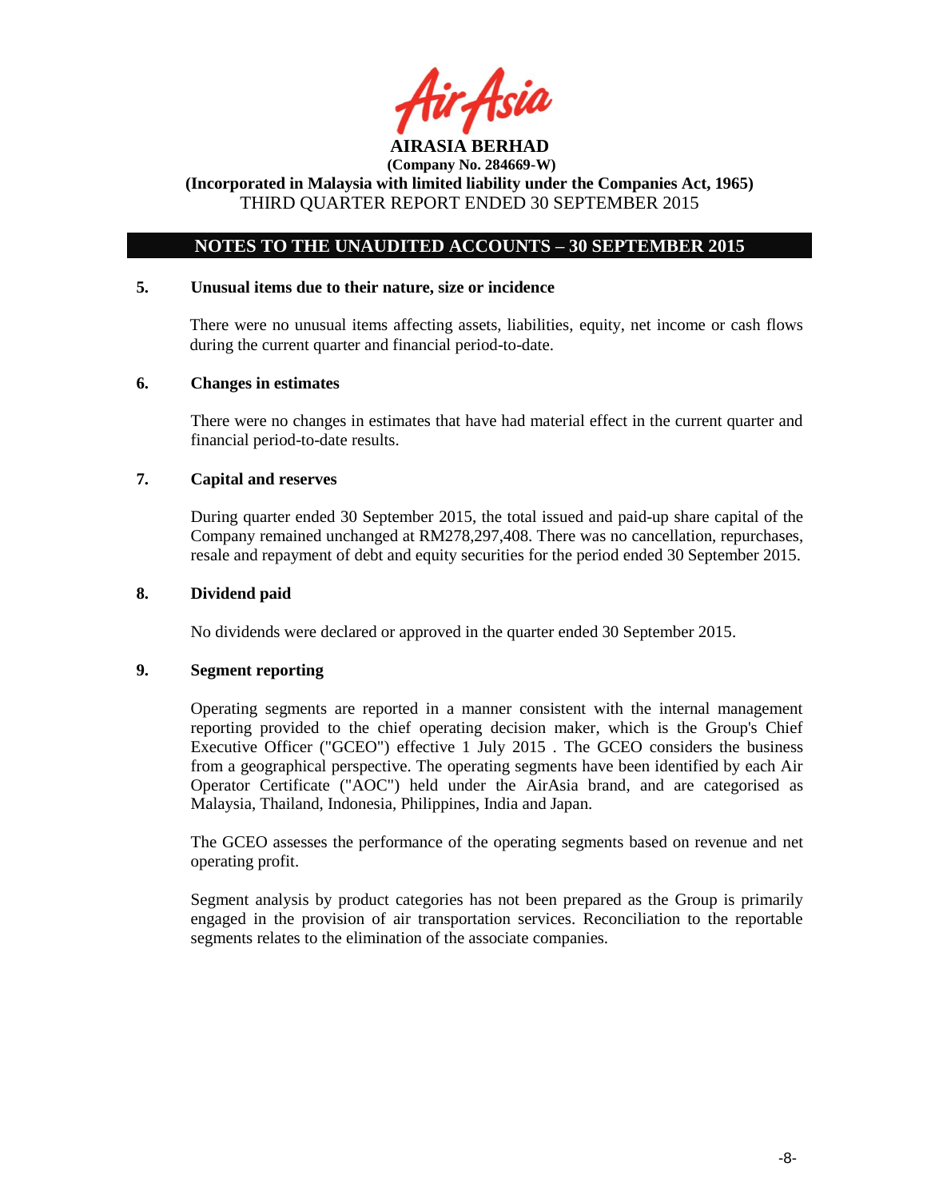

## **NOTES TO THE UNAUDITED ACCOUNTS – 30 SEPTEMBER 2015**

## **5. Unusual items due to their nature, size or incidence**

There were no unusual items affecting assets, liabilities, equity, net income or cash flows during the current quarter and financial period-to-date.

### **6. Changes in estimates**

There were no changes in estimates that have had material effect in the current quarter and financial period-to-date results.

### **7. Capital and reserves**

During quarter ended 30 September 2015, the total issued and paid-up share capital of the Company remained unchanged at RM278,297,408. There was no cancellation, repurchases, resale and repayment of debt and equity securities for the period ended 30 September 2015.

#### **8. Dividend paid**

No dividends were declared or approved in the quarter ended 30 September 2015.

### **9. Segment reporting**

Operating segments are reported in a manner consistent with the internal management reporting provided to the chief operating decision maker, which is the Group's Chief Executive Officer ("GCEO") effective 1 July 2015 . The GCEO considers the business from a geographical perspective. The operating segments have been identified by each Air Operator Certificate ("AOC") held under the AirAsia brand, and are categorised as Malaysia, Thailand, Indonesia, Philippines, India and Japan.

The GCEO assesses the performance of the operating segments based on revenue and net operating profit.

Segment analysis by product categories has not been prepared as the Group is primarily engaged in the provision of air transportation services. Reconciliation to the reportable segments relates to the elimination of the associate companies.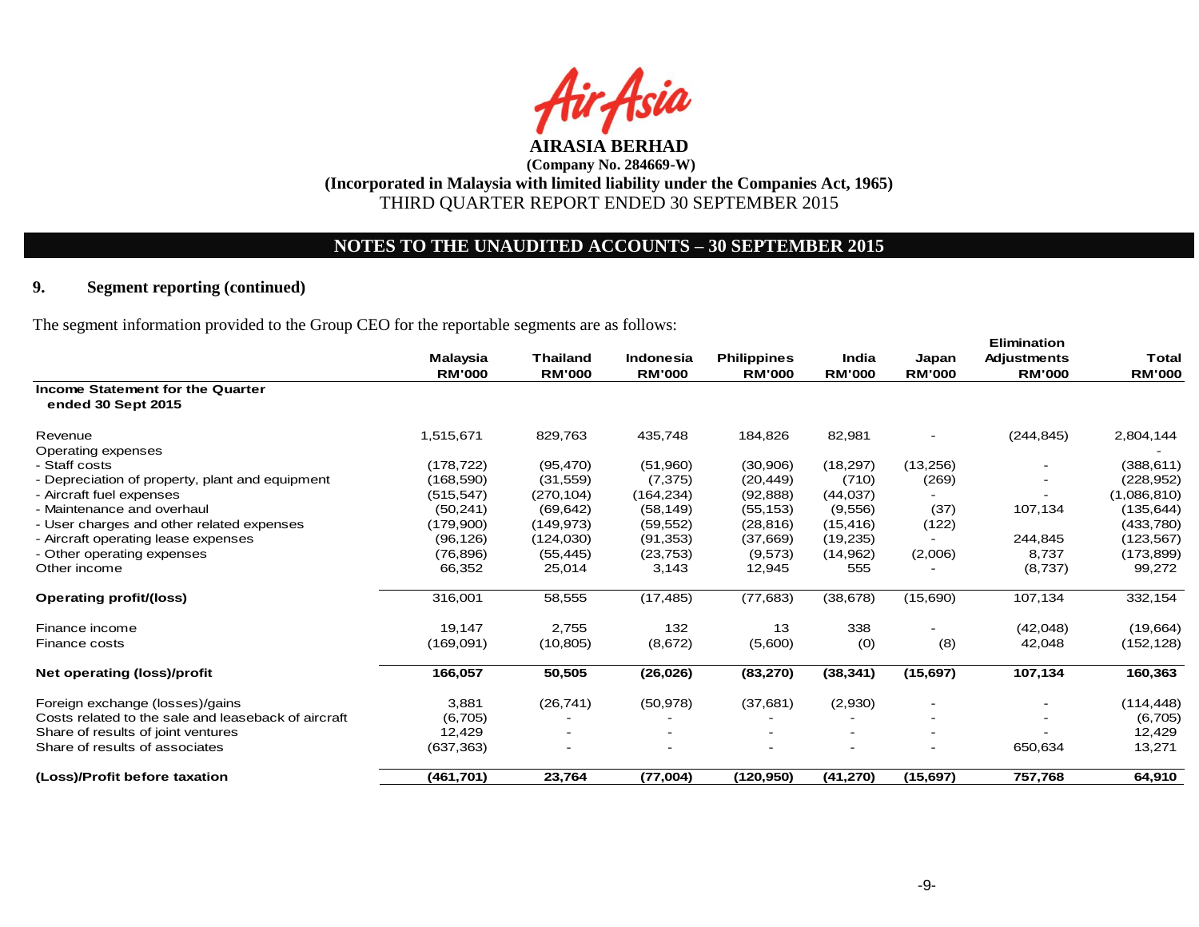

## **NOTES TO THE UNAUDITED ACCOUNTS – 30 SEPTEMBER 2015**

## **9. Segment reporting (continued)**

The segment information provided to the Group CEO for the reportable segments are as follows:

|                                                        | <b>Malaysia</b> | <b>Thailand</b> | Indonesia     | <b>Philippines</b> | India         | Japan                    | <b>Elimination</b><br><b>Adjustments</b> | <b>Total</b>  |
|--------------------------------------------------------|-----------------|-----------------|---------------|--------------------|---------------|--------------------------|------------------------------------------|---------------|
|                                                        | <b>RM'000</b>   | <b>RM'000</b>   | <b>RM'000</b> | <b>RM'000</b>      | <b>RM'000</b> | <b>RM'000</b>            | <b>RM'000</b>                            | <b>RM'000</b> |
| Income Statement for the Quarter<br>ended 30 Sept 2015 |                 |                 |               |                    |               |                          |                                          |               |
| Revenue                                                | 1,515,671       | 829,763         | 435,748       | 184,826            | 82,981        | $\overline{\phantom{a}}$ | (244, 845)                               | 2,804,144     |
| Operating expenses                                     |                 |                 |               |                    |               |                          |                                          |               |
| - Staff costs                                          | (178, 722)      | (95, 470)       | (51,960)      | (30,906)           | (18, 297)     | (13,256)                 |                                          | (388, 611)    |
| - Depreciation of property, plant and equipment        | (168, 590)      | (31, 559)       | (7,375)       | (20, 449)          | (710)         | (269)                    |                                          | (228, 952)    |
| - Aircraft fuel expenses                               | (515, 547)      | (270, 104)      | (164, 234)    | (92, 888)          | (44, 037)     |                          |                                          | (1,086,810)   |
| - Maintenance and overhaul                             | (50, 241)       | (69, 642)       | (58, 149)     | (55, 153)          | (9,556)       | (37)                     | 107,134                                  | (135, 644)    |
| - User charges and other related expenses              | (179,900)       | (149, 973)      | (59, 552)     | (28, 816)          | (15, 416)     | (122)                    |                                          | (433,780)     |
| - Aircraft operating lease expenses                    | (96, 126)       | (124, 030)      | (91, 353)     | (37,669)           | (19, 235)     |                          | 244,845                                  | (123, 567)    |
| - Other operating expenses                             | (76, 896)       | (55, 445)       | (23, 753)     | (9,573)            | (14,962)      | (2,006)                  | 8,737                                    | (173, 899)    |
| Other income                                           | 66,352          | 25,014          | 3,143         | 12,945             | 555           |                          | (8,737)                                  | 99,272        |
| <b>Operating profit/(loss)</b>                         | 316,001         | 58,555          | (17, 485)     | (77, 683)          | (38, 678)     | (15,690)                 | 107,134                                  | 332,154       |
| Finance income                                         | 19,147          | 2,755           | 132           | 13                 | 338           | $\overline{\phantom{a}}$ | (42,048)                                 | (19,664)      |
| Finance costs                                          | (169,091)       | (10, 805)       | (8,672)       | (5,600)            | (0)           | (8)                      | 42,048                                   | (152, 128)    |
| Net operating (loss)/profit                            | 166,057         | 50,505          | (26, 026)     | (83, 270)          | (38, 341)     | (15, 697)                | 107,134                                  | 160,363       |
| Foreign exchange (losses)/gains                        | 3,881           | (26, 741)       | (50, 978)     | (37,681)           | (2,930)       | $\overline{\phantom{a}}$ |                                          | (114, 448)    |
| Costs related to the sale and leaseback of aircraft    | (6,705)         |                 |               |                    |               |                          |                                          | (6,705)       |
| Share of results of joint ventures                     | 12,429          |                 |               |                    |               | $\overline{\phantom{a}}$ |                                          | 12,429        |
| Share of results of associates                         | (637, 363)      |                 |               |                    |               | $\overline{\phantom{a}}$ | 650,634                                  | 13,271        |
| (Loss)/Profit before taxation                          | (461, 701)      | 23,764          | (77,004)      | (120, 950)         | (41, 270)     | (15, 697)                | 757,768                                  | 64,910        |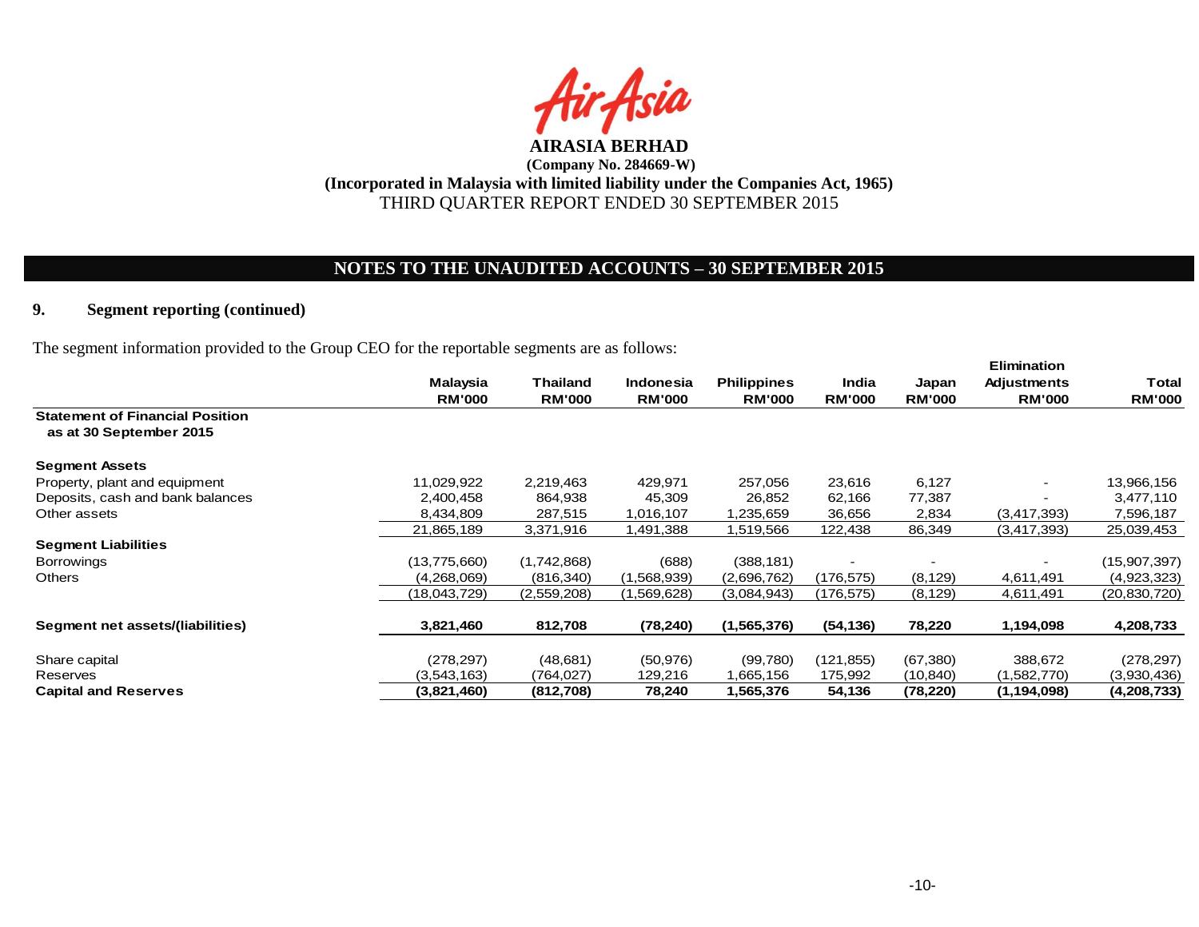

# **NOTES TO THE UNAUDITED ACCOUNTS – 30 SEPTEMBER 2015**

## **9. Segment reporting (continued)**

The segment information provided to the Group CEO for the reportable segments are as follows:

|                                        | <b>Malaysia</b> | <b>Thailand</b> | <b>Indonesia</b> | <b>Philippines</b> | India         | Japan         | <b>Elimination</b><br><b>Adjustments</b> | Total         |
|----------------------------------------|-----------------|-----------------|------------------|--------------------|---------------|---------------|------------------------------------------|---------------|
| <b>Statement of Financial Position</b> | <b>RM'000</b>   | <b>RM'000</b>   | <b>RM'000</b>    | <b>RM'000</b>      | <b>RM'000</b> | <b>RM'000</b> | <b>RM'000</b>                            | <b>RM'000</b> |
| as at 30 September 2015                |                 |                 |                  |                    |               |               |                                          |               |
| <b>Segment Assets</b>                  |                 |                 |                  |                    |               |               |                                          |               |
| Property, plant and equipment          | 11,029,922      | 2,219,463       | 429,971          | 257,056            | 23,616        | 6,127         |                                          | 13,966,156    |
| Deposits, cash and bank balances       | 2,400,458       | 864,938         | 45,309           | 26,852             | 62,166        | 77,387        |                                          | 3,477,110     |
| Other assets                           | 8,434,809       | 287,515         | 1,016,107        | 1,235,659          | 36,656        | 2,834         | (3,417,393)                              | 7,596,187     |
|                                        | 21,865,189      | 3,371,916       | 1,491,388        | 1,519,566          | 122,438       | 86,349        | (3,417,393)                              | 25,039,453    |
| <b>Segment Liabilities</b>             |                 |                 |                  |                    |               |               |                                          |               |
| <b>Borrowings</b>                      | (13,775,660)    | (1,742,868)     | (688)            | (388, 181)         |               |               |                                          | (15,907,397)  |
| Others                                 | (4,268,069)     | (816, 340)      | (1,568,939)      | (2,696,762)        | (176, 575)    | (8, 129)      | 4,611,491                                | (4,923,323)   |
|                                        | (18,043,729)    | (2,559,208)     | (1,569,628)      | (3,084,943)        | (176, 575)    | (8, 129)      | 4,611,491                                | (20,830,720)  |
|                                        |                 |                 |                  |                    |               |               |                                          |               |
| Segment net assets/(liabilities)       | 3,821,460       | 812,708         | (78, 240)        | (1,565,376)        | (54, 136)     | 78,220        | 1,194,098                                | 4,208,733     |
|                                        |                 |                 |                  |                    |               |               |                                          |               |
| Share capital                          | (278, 297)      | (48,681)        | (50, 976)        | (99,780)           | (121, 855)    | (67, 380)     | 388,672                                  | (278,297)     |
| Reserves                               | (3,543,163)     | (764,027)       | 129,216          | 1,665,156          | 175,992       | (10, 840)     | (1,582,770)                              | (3,930,436)   |
| <b>Capital and Reserves</b>            | (3,821,460)     | (812,708)       | 78,240           | 1,565,376          | 54,136        | (78, 220)     | (1, 194, 098)                            | (4,208,733)   |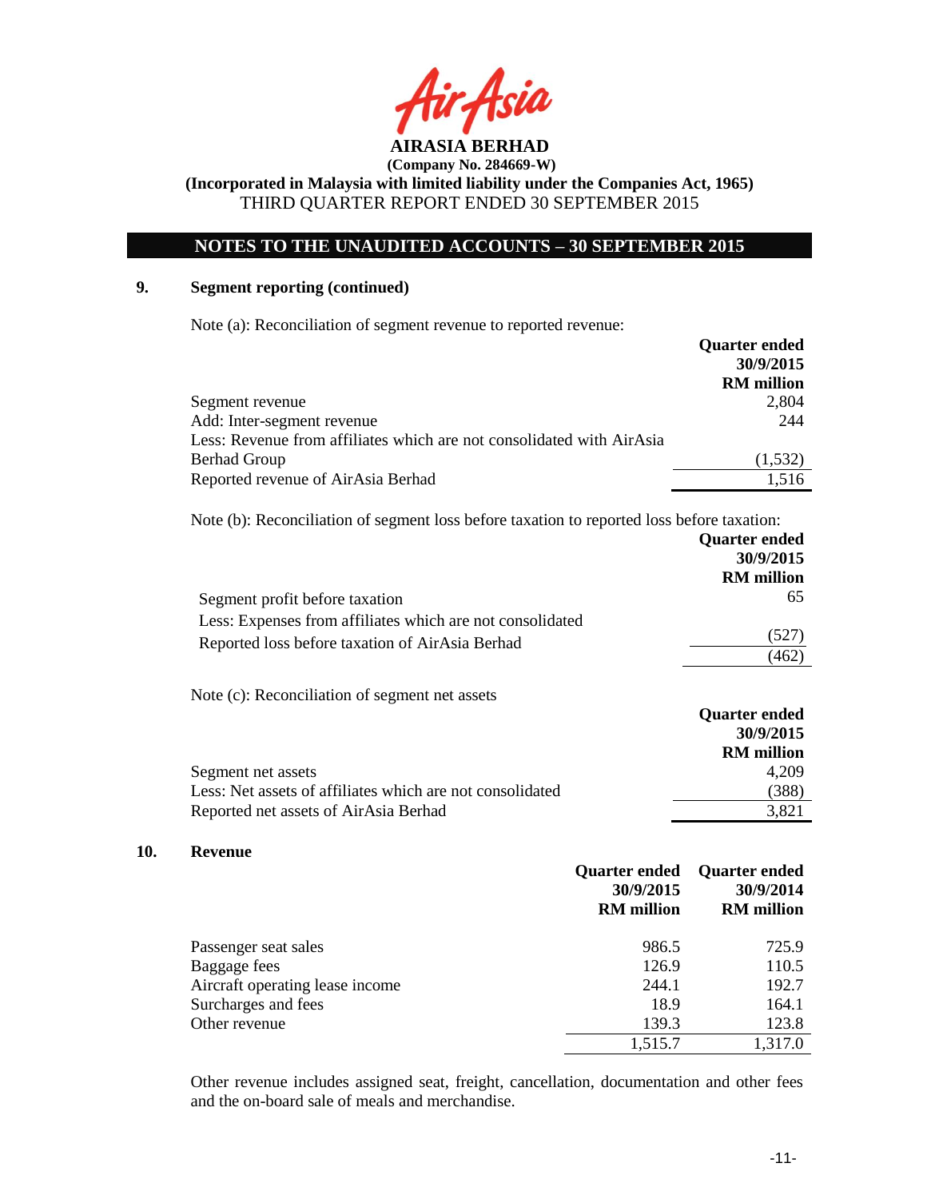

## **NOTES TO THE UNAUDITED ACCOUNTS – 30 SEPTEMBER 2015**

## **9. Segment reporting (continued)**

**10.** 

Note (a): Reconciliation of segment revenue to reported revenue:

|                                                                       | <b>Quarter ended</b> |
|-----------------------------------------------------------------------|----------------------|
|                                                                       | 30/9/2015            |
|                                                                       | <b>RM</b> million    |
| Segment revenue                                                       | 2,804                |
| Add: Inter-segment revenue                                            | 244                  |
| Less: Revenue from affiliates which are not consolidated with AirAsia |                      |
| <b>Berhad Group</b>                                                   | (1,532)              |
| Reported revenue of AirAsia Berhad                                    | 1.516                |

Note (b): Reconciliation of segment loss before taxation to reported loss before taxation:

|                                                           | <b>Quarter ended</b><br>30/9/2015<br><b>RM</b> million |
|-----------------------------------------------------------|--------------------------------------------------------|
| Segment profit before taxation                            | 65                                                     |
| Less: Expenses from affiliates which are not consolidated |                                                        |
| Reported loss before taxation of AirAsia Berhad           | (527)                                                  |
|                                                           | (462)                                                  |
| Note (c): Reconciliation of segment net assets            |                                                        |
|                                                           | <b>Quarter ended</b>                                   |
|                                                           | 30/9/2015                                              |
|                                                           | <b>RM</b> million                                      |
| Segment net assets                                        | 4,209                                                  |
| Less: Net assets of affiliates which are not consolidated | (388)                                                  |
| Reported net assets of AirAsia Berhad                     | 3,821                                                  |
| Revenue                                                   |                                                        |

#### **Quarter ended 30/9/2015 RM million Quarter ended 30/9/2014 RM million** Passenger seat sales 986.5 725.9 Baggage fees 126.9 110.5 Aircraft operating lease income 244.1 192.7 Surcharges and fees 18.9 164.1 Other revenue 139.3 123.8 1,515.7 1,317.0

Other revenue includes assigned seat, freight, cancellation, documentation and other fees and the on-board sale of meals and merchandise.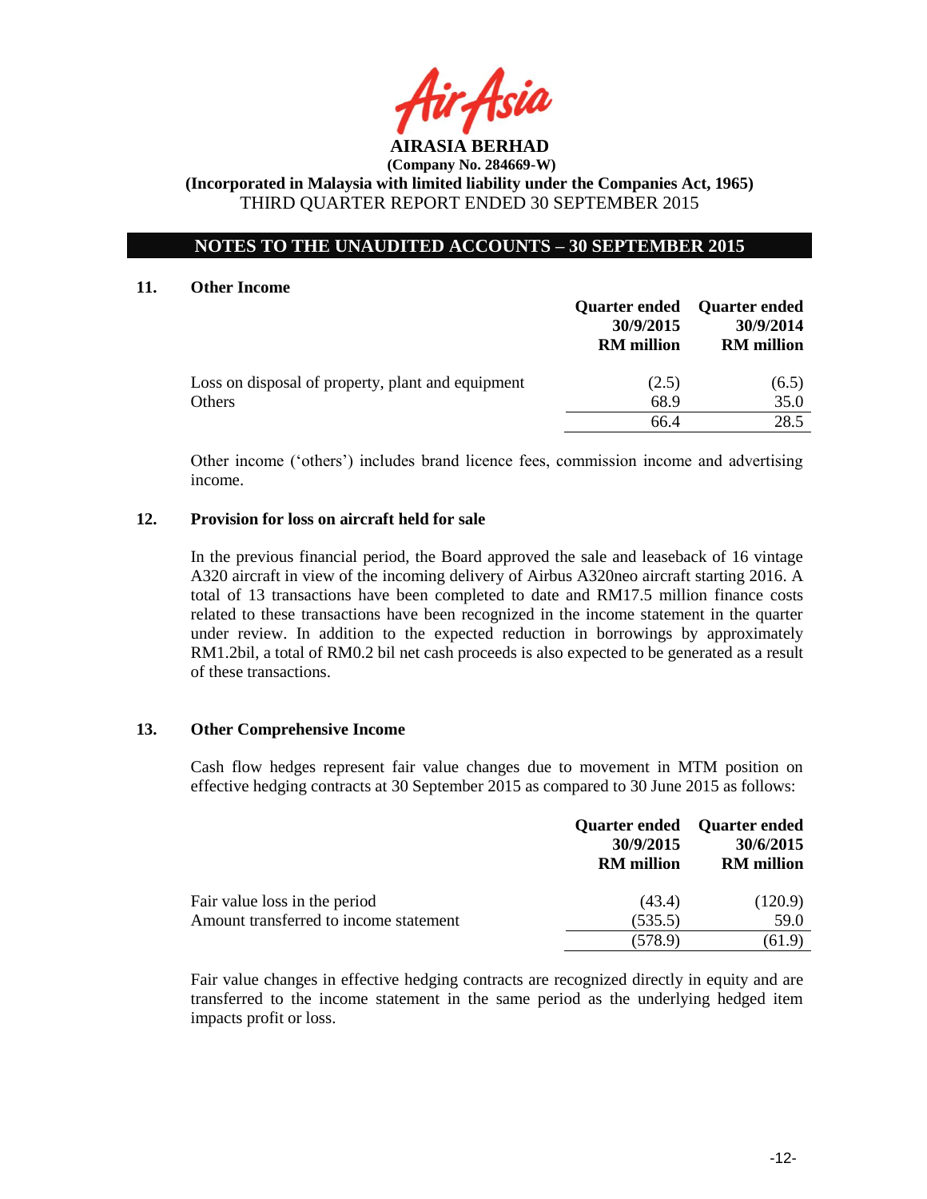

## **NOTES TO THE UNAUDITED ACCOUNTS – 30 SEPTEMBER 2015**

#### **11. Other Income**

|                                                   | <b>Quarter ended</b><br>30/9/2015<br><b>RM</b> million | Quarter ended<br>30/9/2014<br><b>RM</b> million |
|---------------------------------------------------|--------------------------------------------------------|-------------------------------------------------|
| Loss on disposal of property, plant and equipment | (2.5)                                                  | (6.5)                                           |
| Others                                            | 68.9                                                   | 35.0                                            |
|                                                   | 66.4                                                   | 28.5                                            |

Other income ('others') includes brand licence fees, commission income and advertising income.

### **12. Provision for loss on aircraft held for sale**

In the previous financial period, the Board approved the sale and leaseback of 16 vintage A320 aircraft in view of the incoming delivery of Airbus A320neo aircraft starting 2016. A total of 13 transactions have been completed to date and RM17.5 million finance costs related to these transactions have been recognized in the income statement in the quarter under review. In addition to the expected reduction in borrowings by approximately RM1.2bil, a total of RM0.2 bil net cash proceeds is also expected to be generated as a result of these transactions.

### **13. Other Comprehensive Income**

Cash flow hedges represent fair value changes due to movement in MTM position on effective hedging contracts at 30 September 2015 as compared to 30 June 2015 as follows:

|                                        | 30/9/2015<br><b>RM</b> million | Quarter ended Quarter ended<br>30/6/2015<br><b>RM</b> million |
|----------------------------------------|--------------------------------|---------------------------------------------------------------|
| Fair value loss in the period          | (43.4)                         | (120.9)                                                       |
| Amount transferred to income statement | (535.5)                        | 59.0                                                          |
|                                        | (578.9)                        | (61.9)                                                        |

Fair value changes in effective hedging contracts are recognized directly in equity and are transferred to the income statement in the same period as the underlying hedged item impacts profit or loss.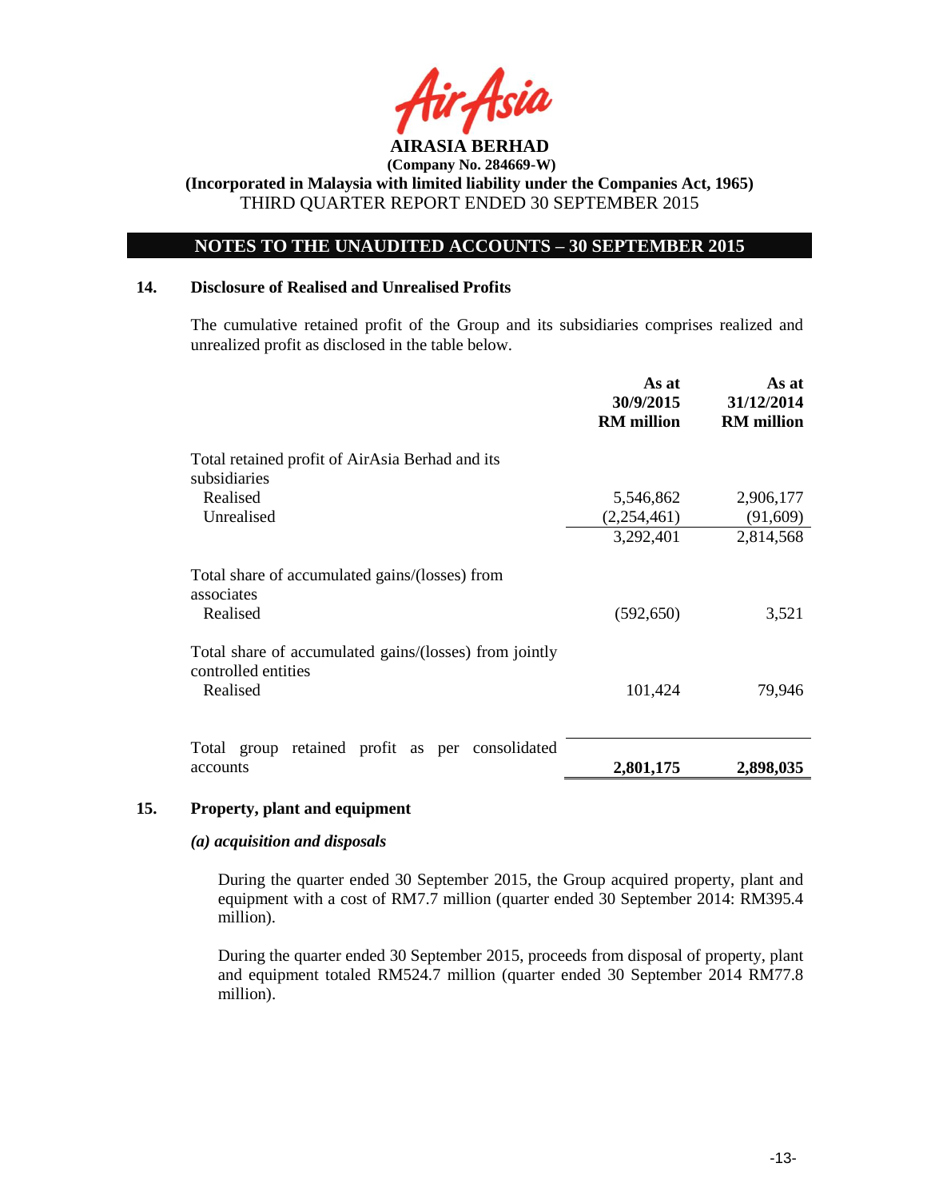

## **NOTES TO THE UNAUDITED ACCOUNTS – 30 SEPTEMBER 2015**

### **14. Disclosure of Realised and Unrealised Profits**

The cumulative retained profit of the Group and its subsidiaries comprises realized and unrealized profit as disclosed in the table below.

|                                                                               | As at<br>30/9/2015<br><b>RM</b> million | As at<br>31/12/2014<br><b>RM</b> million |
|-------------------------------------------------------------------------------|-----------------------------------------|------------------------------------------|
| Total retained profit of AirAsia Berhad and its<br>subsidiaries               |                                         |                                          |
| Realised<br>Unrealised                                                        | 5,546,862<br>(2,254,461)                | 2,906,177<br>(91,609)                    |
|                                                                               | 3,292,401                               | 2,814,568                                |
| Total share of accumulated gains/(losses) from<br>associates                  |                                         |                                          |
| Realised                                                                      | (592, 650)                              | 3,521                                    |
| Total share of accumulated gains/(losses) from jointly<br>controlled entities |                                         |                                          |
| Realised                                                                      | 101,424                                 | 79,946                                   |
| Total group retained profit as per consolidated                               |                                         |                                          |
| accounts                                                                      | 2,801,175                               | 2,898,035                                |

### **15. Property, plant and equipment**

### *(a) acquisition and disposals*

During the quarter ended 30 September 2015, the Group acquired property, plant and equipment with a cost of RM7.7 million (quarter ended 30 September 2014: RM395.4 million).

During the quarter ended 30 September 2015, proceeds from disposal of property, plant and equipment totaled RM524.7 million (quarter ended 30 September 2014 RM77.8 million).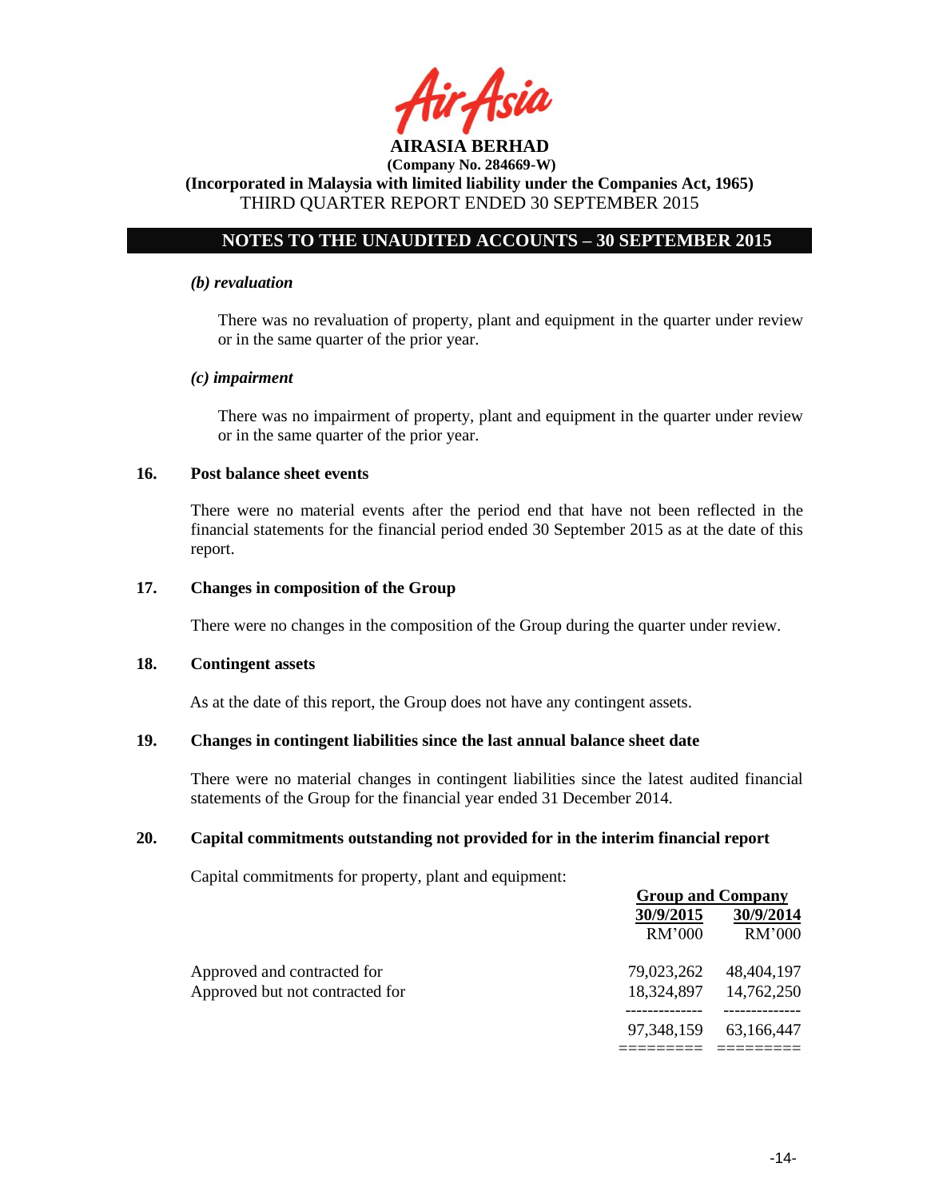

## **NOTES TO THE UNAUDITED ACCOUNTS – 30 SEPTEMBER 2015**

#### *(b) revaluation*

There was no revaluation of property, plant and equipment in the quarter under review or in the same quarter of the prior year.

### *(c) impairment*

There was no impairment of property, plant and equipment in the quarter under review or in the same quarter of the prior year.

### **16. Post balance sheet events**

There were no material events after the period end that have not been reflected in the financial statements for the financial period ended 30 September 2015 as at the date of this report.

### **17. Changes in composition of the Group**

There were no changes in the composition of the Group during the quarter under review.

#### **18. Contingent assets**

As at the date of this report, the Group does not have any contingent assets.

### **19. Changes in contingent liabilities since the last annual balance sheet date**

There were no material changes in contingent liabilities since the latest audited financial statements of the Group for the financial year ended 31 December 2014.

### **20. Capital commitments outstanding not provided for in the interim financial report**

Capital commitments for property, plant and equipment:

|                                 | <b>Group and Company</b> |                           |  |
|---------------------------------|--------------------------|---------------------------|--|
|                                 | 30/9/2015                | 30/9/2014                 |  |
|                                 | RM'000                   | RM'000                    |  |
| Approved and contracted for     | 79,023,262               | 48,404,197                |  |
| Approved but not contracted for |                          | 18, 324, 897 14, 762, 250 |  |
|                                 | 97,348,159               | 63,166,447                |  |
|                                 |                          |                           |  |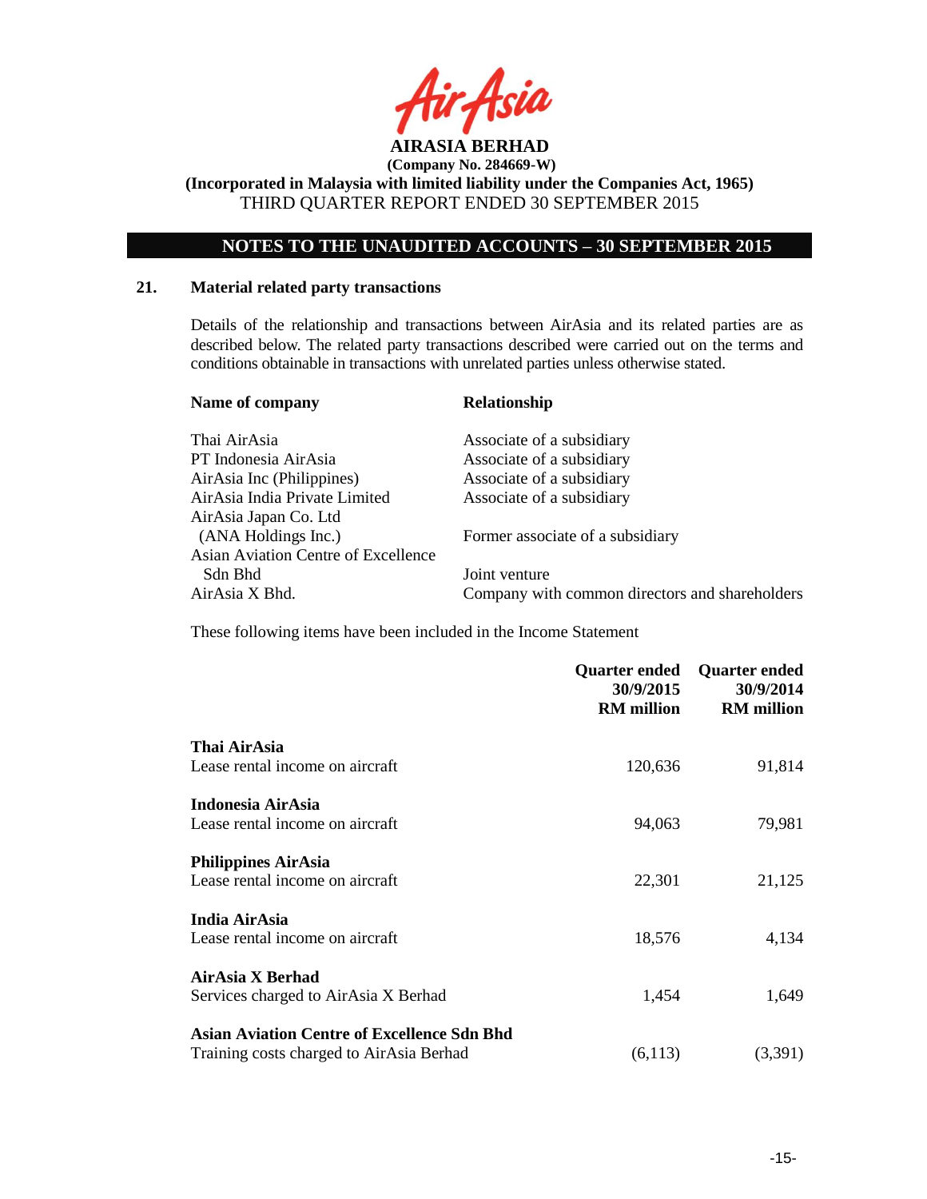

**(Incorporated in Malaysia with limited liability under the Companies Act, 1965)** THIRD QUARTER REPORT ENDED 30 SEPTEMBER 2015

## **NOTES TO THE UNAUDITED ACCOUNTS – 30 SEPTEMBER 2015**

## **21. Material related party transactions**

Details of the relationship and transactions between AirAsia and its related parties are as described below. The related party transactions described were carried out on the terms and conditions obtainable in transactions with unrelated parties unless otherwise stated.

| <b>Relationship</b>                            |  |  |
|------------------------------------------------|--|--|
| Associate of a subsidiary                      |  |  |
| Associate of a subsidiary                      |  |  |
| Associate of a subsidiary                      |  |  |
| Associate of a subsidiary                      |  |  |
|                                                |  |  |
| Former associate of a subsidiary               |  |  |
|                                                |  |  |
| Joint venture                                  |  |  |
| Company with common directors and shareholders |  |  |
|                                                |  |  |

These following items have been included in the Income Statement

|                                                    | Quarter ended<br>30/9/2015<br><b>RM</b> million | <b>Quarter ended</b><br>30/9/2014<br><b>RM</b> million |
|----------------------------------------------------|-------------------------------------------------|--------------------------------------------------------|
| Thai AirAsia                                       |                                                 |                                                        |
| Lease rental income on aircraft                    | 120,636                                         | 91,814                                                 |
| Indonesia AirAsia                                  |                                                 |                                                        |
| Lease rental income on aircraft                    | 94,063                                          | 79,981                                                 |
| <b>Philippines AirAsia</b>                         |                                                 |                                                        |
| Lease rental income on aircraft                    | 22,301                                          | 21,125                                                 |
| India AirAsia                                      |                                                 |                                                        |
| Lease rental income on aircraft                    | 18,576                                          | 4,134                                                  |
| AirAsia X Berhad                                   |                                                 |                                                        |
| Services charged to AirAsia X Berhad               | 1,454                                           | 1,649                                                  |
| <b>Asian Aviation Centre of Excellence Sdn Bhd</b> |                                                 |                                                        |
| Training costs charged to AirAsia Berhad           | (6,113)                                         | (3,391)                                                |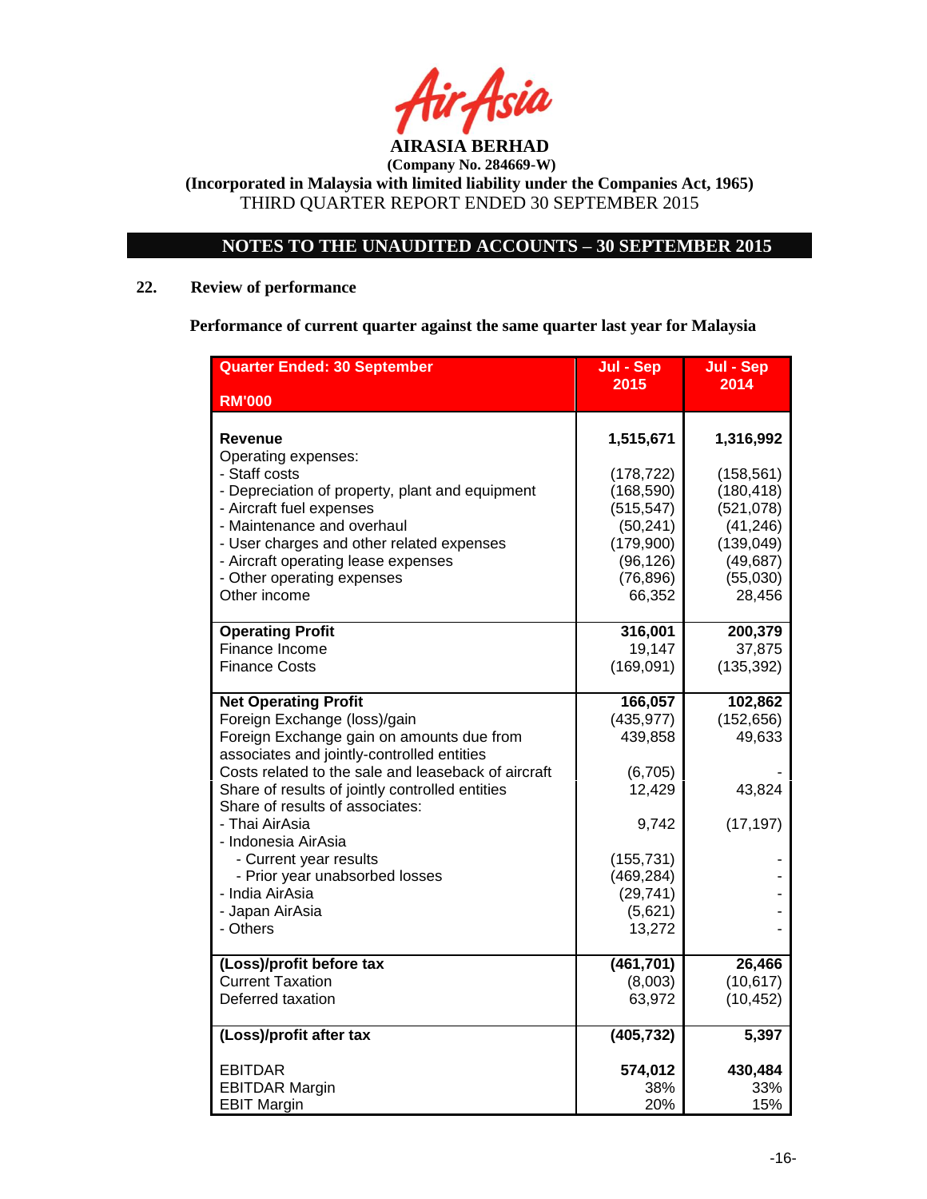

**(Incorporated in Malaysia with limited liability under the Companies Act, 1965)** THIRD QUARTER REPORT ENDED 30 SEPTEMBER 2015

# **NOTES TO THE UNAUDITED ACCOUNTS – 30 SEPTEMBER 2015**

## **22. Review of performance**

**Performance of current quarter against the same quarter last year for Malaysia**

| <b>Quarter Ended: 30 September</b>                  | Jul - Sep  | Jul - Sep  |
|-----------------------------------------------------|------------|------------|
| <b>RM'000</b>                                       | 2015       | 2014       |
|                                                     |            |            |
| Revenue                                             | 1,515,671  | 1,316,992  |
| Operating expenses:<br>- Staff costs                | (178, 722) | (158, 561) |
| - Depreciation of property, plant and equipment     | (168, 590) | (180, 418) |
| - Aircraft fuel expenses                            | (515, 547) | (521,078)  |
| - Maintenance and overhaul                          | (50, 241)  | (41, 246)  |
| - User charges and other related expenses           | (179,900)  | (139, 049) |
| - Aircraft operating lease expenses                 | (96, 126)  | (49, 687)  |
| - Other operating expenses                          | (76, 896)  | (55,030)   |
| Other income                                        | 66,352     | 28,456     |
| <b>Operating Profit</b>                             | 316,001    | 200,379    |
| Finance Income                                      | 19,147     | 37,875     |
| <b>Finance Costs</b>                                | (169, 091) | (135, 392) |
| <b>Net Operating Profit</b>                         | 166,057    | 102,862    |
| Foreign Exchange (loss)/gain                        | (435, 977) | (152, 656) |
| Foreign Exchange gain on amounts due from           | 439,858    | 49,633     |
| associates and jointly-controlled entities          |            |            |
| Costs related to the sale and leaseback of aircraft | (6, 705)   |            |
| Share of results of jointly controlled entities     | 12,429     | 43,824     |
| Share of results of associates:<br>- Thai AirAsia   | 9,742      | (17, 197)  |
| - Indonesia AirAsia                                 |            |            |
| - Current year results                              | (155, 731) |            |
| - Prior year unabsorbed losses                      | (469, 284) |            |
| - India AirAsia                                     | (29, 741)  |            |
| - Japan AirAsia                                     | (5,621)    |            |
| - Others                                            | 13,272     |            |
| (Loss)/profit before tax                            | (461, 701) | 26,466     |
| <b>Current Taxation</b>                             | (8,003)    | (10, 617)  |
| Deferred taxation                                   | 63,972     | (10, 452)  |
| (Loss)/profit after tax                             | (405, 732) | 5,397      |
| <b>EBITDAR</b>                                      | 574,012    | 430,484    |
| <b>EBITDAR Margin</b>                               | 38%        | 33%        |
| <b>EBIT Margin</b>                                  | 20%        | 15%        |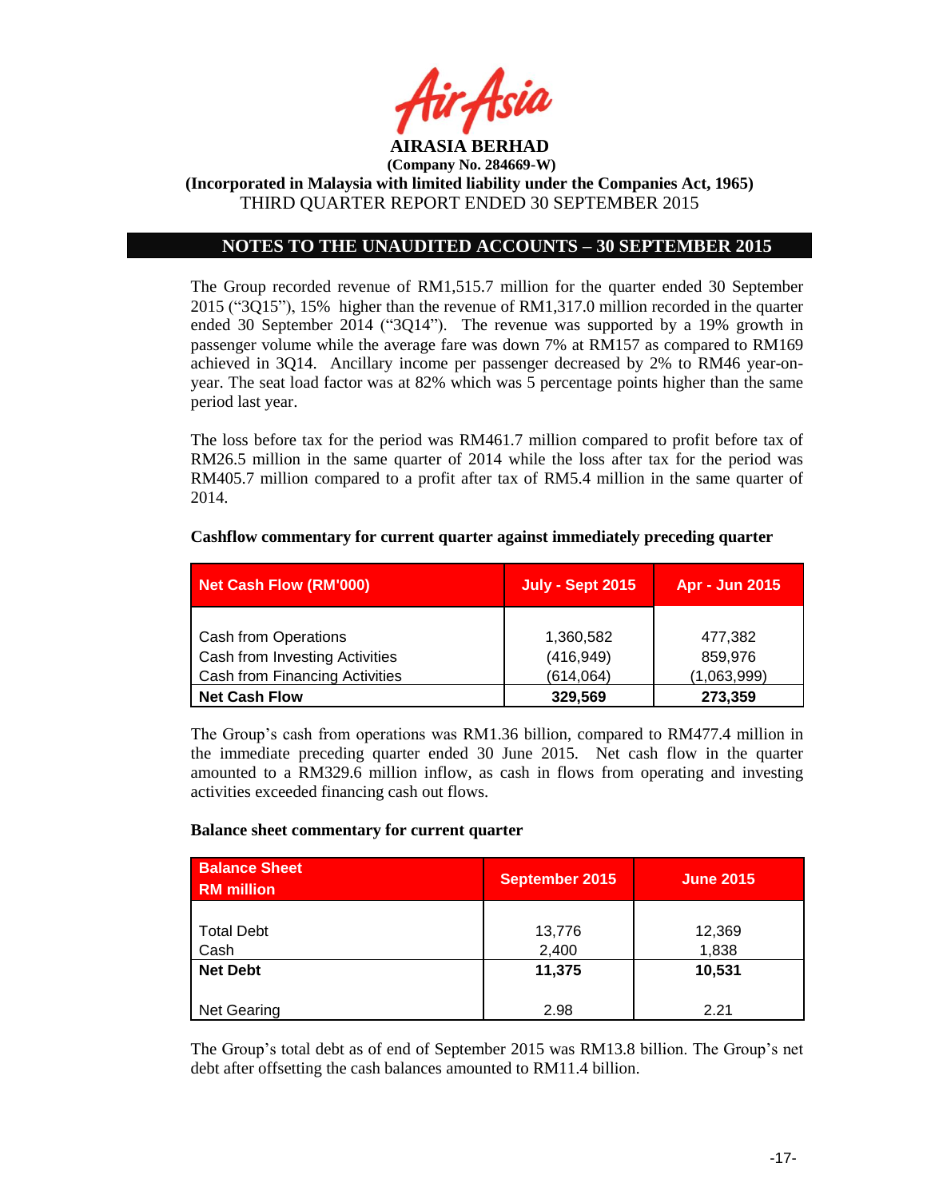

## **NOTES TO THE UNAUDITED ACCOUNTS – 30 SEPTEMBER 2015**

The Group recorded revenue of RM1,515.7 million for the quarter ended 30 September 2015 ("3Q15"), 15% higher than the revenue of RM1,317.0 million recorded in the quarter ended 30 September 2014 ("3Q14"). The revenue was supported by a 19% growth in passenger volume while the average fare was down 7% at RM157 as compared to RM169 achieved in 3Q14. Ancillary income per passenger decreased by 2% to RM46 year-onyear. The seat load factor was at 82% which was 5 percentage points higher than the same period last year.

The loss before tax for the period was RM461.7 million compared to profit before tax of RM26.5 million in the same quarter of 2014 while the loss after tax for the period was RM405.7 million compared to a profit after tax of RM5.4 million in the same quarter of 2014.

| <b>Net Cash Flow (RM'000)</b>  | <b>July - Sept 2015</b> | Apr - Jun 2015 |
|--------------------------------|-------------------------|----------------|
|                                |                         |                |
| Cash from Operations           | 1,360,582               | 477,382        |
| Cash from Investing Activities | (416, 949)              | 859,976        |
| Cash from Financing Activities | (614, 064)              | (1,063,999)    |
| <b>Net Cash Flow</b>           | 329,569                 | 273,359        |

#### **Cashflow commentary for current quarter against immediately preceding quarter**

The Group's cash from operations was RM1.36 billion, compared to RM477.4 million in the immediate preceding quarter ended 30 June 2015. Net cash flow in the quarter amounted to a RM329.6 million inflow, as cash in flows from operating and investing activities exceeded financing cash out flows.

#### **Balance sheet commentary for current quarter**

| <b>Balance Sheet</b><br><b>RM</b> million | <b>September 2015</b> | <b>June 2015</b> |
|-------------------------------------------|-----------------------|------------------|
| <b>Total Debt</b><br>Cash                 | 13,776<br>2,400       | 12,369<br>1,838  |
| <b>Net Debt</b>                           | 11,375                | 10,531           |
| <b>Net Gearing</b>                        | 2.98                  | 2.21             |

The Group's total debt as of end of September 2015 was RM13.8 billion. The Group's net debt after offsetting the cash balances amounted to RM11.4 billion.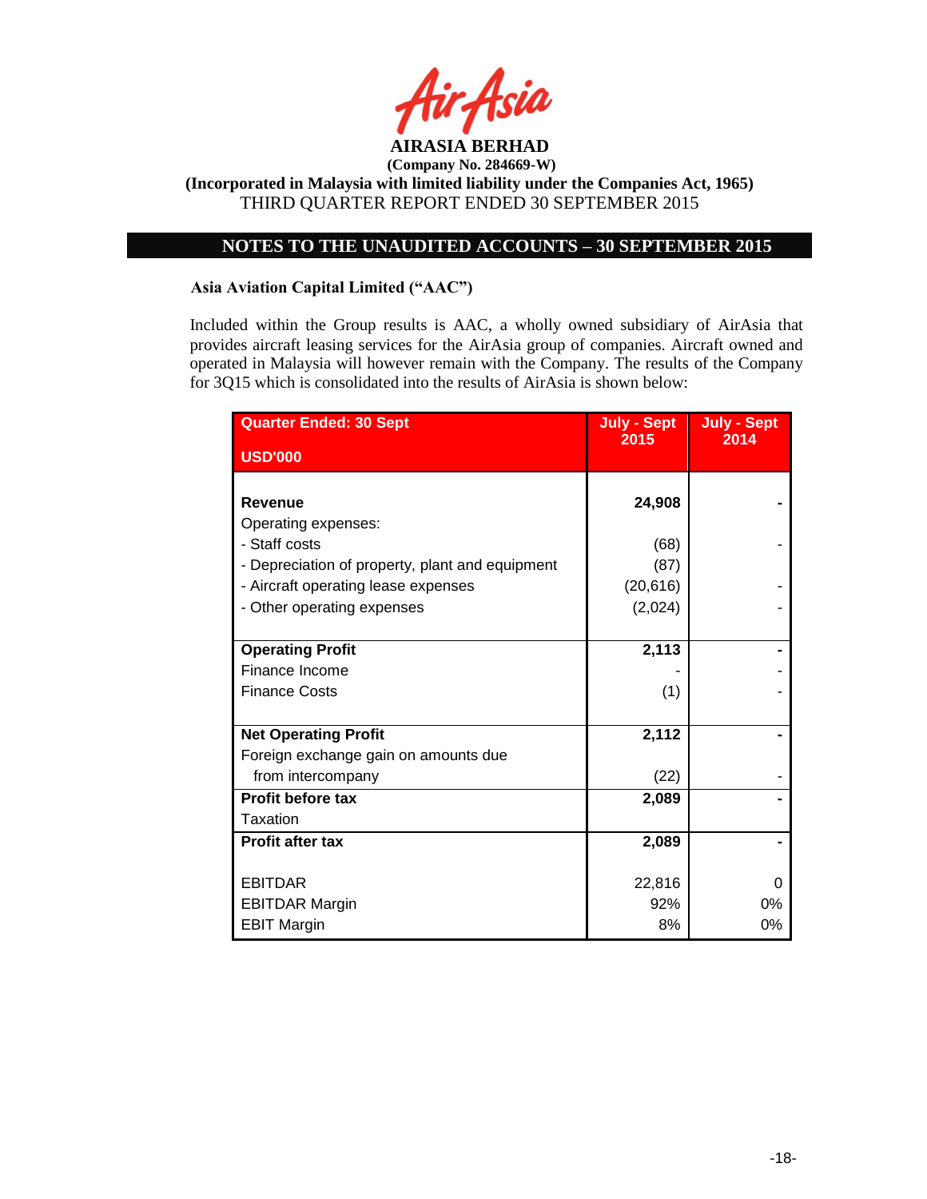

**(Incorporated in Malaysia with limited liability under the Companies Act, 1965)** THIRD QUARTER REPORT ENDED 30 SEPTEMBER 2015

## **NOTES TO THE UNAUDITED ACCOUNTS – 30 SEPTEMBER 2015**

### **Asia Aviation Capital Limited ("AAC")**

Included within the Group results is AAC, a wholly owned subsidiary of AirAsia that provides aircraft leasing services for the AirAsia group of companies. Aircraft owned and operated in Malaysia will however remain with the Company. The results of the Company for 3Q15 which is consolidated into the results of AirAsia is shown below:

| <b>Quarter Ended: 30 Sept</b>                   | July - Sept<br>2015 | <b>July - Sept</b><br>2014 |
|-------------------------------------------------|---------------------|----------------------------|
| <b>USD'000</b>                                  |                     |                            |
|                                                 |                     |                            |
| <b>Revenue</b>                                  | 24,908              |                            |
| Operating expenses:                             |                     |                            |
| - Staff costs                                   | (68)                |                            |
| - Depreciation of property, plant and equipment | (87)                |                            |
| - Aircraft operating lease expenses             | (20, 616)           |                            |
| - Other operating expenses                      | (2,024)             |                            |
|                                                 |                     |                            |
| <b>Operating Profit</b>                         | 2,113               |                            |
| Finance Income                                  |                     |                            |
| <b>Finance Costs</b>                            | (1)                 |                            |
|                                                 |                     |                            |
| <b>Net Operating Profit</b>                     | 2,112               |                            |
| Foreign exchange gain on amounts due            |                     |                            |
| from intercompany                               | (22)                |                            |
| <b>Profit before tax</b>                        | 2,089               |                            |
| Taxation                                        |                     |                            |
| <b>Profit after tax</b>                         | 2,089               |                            |
|                                                 |                     |                            |
| <b>EBITDAR</b>                                  | 22,816              | 0                          |
| <b>EBITDAR Margin</b>                           | 92%                 | $0\%$                      |
| <b>EBIT Margin</b>                              | 8%                  | 0%                         |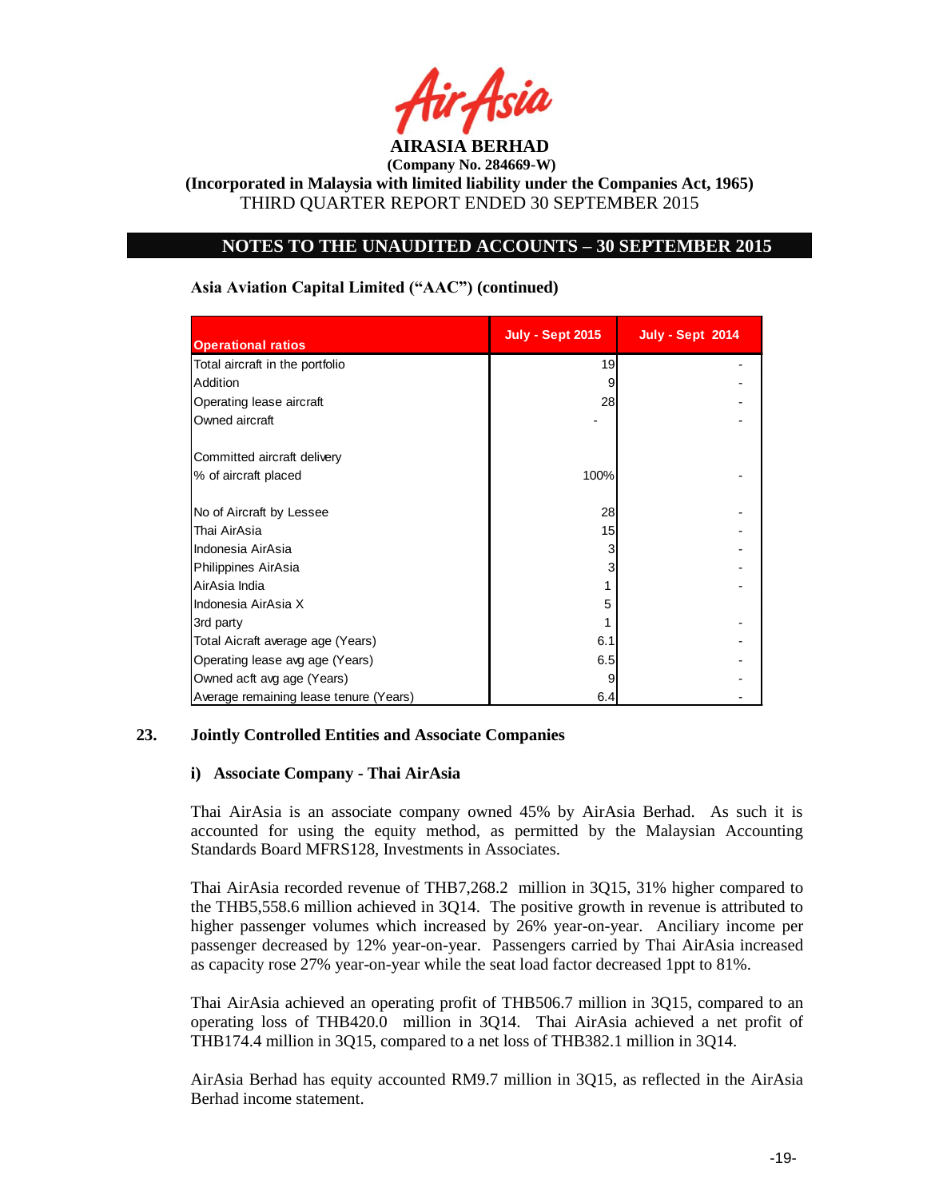

## **NOTES TO THE UNAUDITED ACCOUNTS – 30 SEPTEMBER 2015**

| <b>Operational ratios</b>              | <b>July - Sept 2015</b> | <b>July - Sept 2014</b> |
|----------------------------------------|-------------------------|-------------------------|
| Total aircraft in the portfolio        | 19                      |                         |
| Addition                               | 9                       |                         |
| Operating lease aircraft               | 28                      |                         |
| Owned aircraft                         |                         |                         |
| Committed aircraft delivery            |                         |                         |
| % of aircraft placed                   | 100%                    |                         |
| No of Aircraft by Lessee               | 28                      |                         |
| Thai AirAsia                           | 15                      |                         |
| Indonesia AirAsia                      | 3                       |                         |
| Philippines AirAsia                    |                         |                         |
| AirAsia India                          |                         |                         |
| Indonesia AirAsia X                    | 5                       |                         |
| 3rd party                              |                         |                         |
| Total Aicraft average age (Years)      | 6.1                     |                         |
| Operating lease avg age (Years)        | 6.5                     |                         |
| Owned acft avg age (Years)             |                         |                         |
| Average remaining lease tenure (Years) | 6.4                     |                         |

### **Asia Aviation Capital Limited ("AAC") (continued)**

### **23. Jointly Controlled Entities and Associate Companies**

### **i) Associate Company - Thai AirAsia**

Thai AirAsia is an associate company owned 45% by AirAsia Berhad. As such it is accounted for using the equity method, as permitted by the Malaysian Accounting Standards Board MFRS128, Investments in Associates.

Thai AirAsia recorded revenue of THB7,268.2 million in 3Q15, 31% higher compared to the THB5,558.6 million achieved in 3Q14. The positive growth in revenue is attributed to higher passenger volumes which increased by 26% year-on-year. Anciliary income per passenger decreased by 12% year-on-year. Passengers carried by Thai AirAsia increased as capacity rose 27% year-on-year while the seat load factor decreased 1ppt to 81%.

Thai AirAsia achieved an operating profit of THB506.7 million in 3Q15, compared to an operating loss of THB420.0 million in 3Q14. Thai AirAsia achieved a net profit of THB174.4 million in 3Q15, compared to a net loss of THB382.1 million in 3Q14.

AirAsia Berhad has equity accounted RM9.7 million in 3Q15, as reflected in the AirAsia Berhad income statement.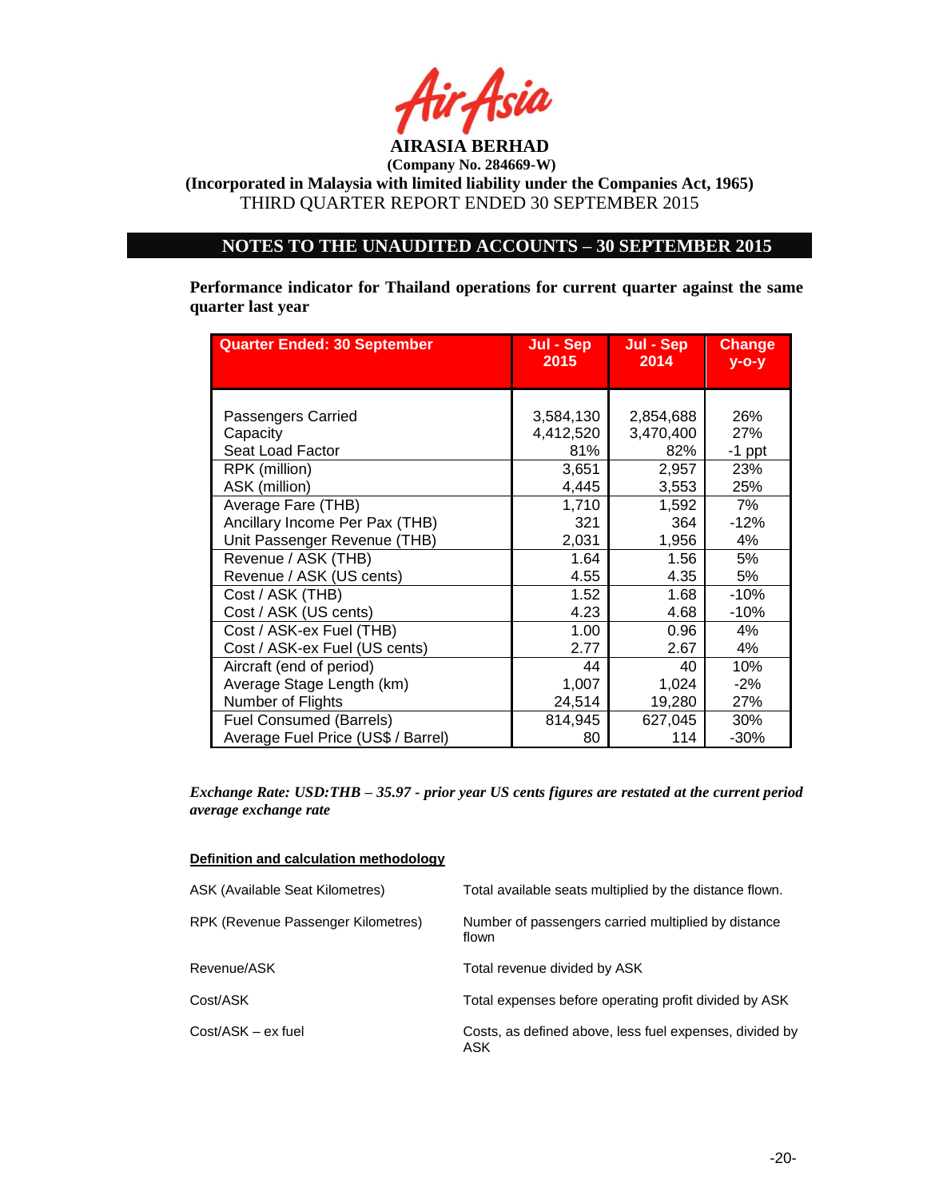

## **NOTES TO THE UNAUDITED ACCOUNTS – 30 SEPTEMBER 2015**

**Performance indicator for Thailand operations for current quarter against the same quarter last year**

| <b>Quarter Ended: 30 September</b> | Jul - Sep | Jul - Sep | <b>Change</b> |
|------------------------------------|-----------|-----------|---------------|
|                                    | 2015      | 2014      | $y - 0 - y$   |
| Passengers Carried                 | 3,584,130 | 2,854,688 | 26%           |
| Capacity                           | 4,412,520 | 3,470,400 | 27%           |
| Seat Load Factor                   | 81%       | 82%       | $-1$ ppt      |
| RPK (million)                      | 3,651     | 2,957     | 23%           |
| ASK (million)                      | 4,445     | 3,553     | 25%           |
| Average Fare (THB)                 | 1,710     | 1,592     | 7%            |
| Ancillary Income Per Pax (THB)     | 321       | 364       | $-12%$        |
| Unit Passenger Revenue (THB)       | 2,031     | 1,956     | 4%            |
| Revenue / ASK (THB)                | 1.64      | 1.56      | 5%            |
| Revenue / ASK (US cents)           | 4.55      | 4.35      | 5%            |
| Cost / ASK (THB)                   | 1.52      | 1.68      | $-10%$        |
| Cost / ASK (US cents)              | 4.23      | 4.68      | $-10%$        |
| Cost / ASK-ex Fuel (THB)           | 1.00      | 0.96      | 4%            |
| Cost / ASK-ex Fuel (US cents)      | 2.77      | 2.67      | 4%            |
| Aircraft (end of period)           | 44        | 40        | 10%           |
| Average Stage Length (km)          | 1,007     | 1,024     | $-2%$         |
| Number of Flights                  | 24,514    | 19,280    | 27%           |
| <b>Fuel Consumed (Barrels)</b>     | 814,945   | 627,045   | 30%           |
| Average Fuel Price (US\$ / Barrel) | 80        | 114       | $-30%$        |

*Exchange Rate: USD:THB – 35.97 - prior year US cents figures are restated at the current period average exchange rate*

| Definition and calculation methodology |  |  |
|----------------------------------------|--|--|
|                                        |  |  |

| ASK (Available Seat Kilometres)    | Total available seats multiplied by the distance flown.        |
|------------------------------------|----------------------------------------------------------------|
| RPK (Revenue Passenger Kilometres) | Number of passengers carried multiplied by distance<br>flown   |
| Revenue/ASK                        | Total revenue divided by ASK                                   |
| Cost/ASK                           | Total expenses before operating profit divided by ASK          |
| $Cost/ASK - ex fuel$               | Costs, as defined above, less fuel expenses, divided by<br>ASK |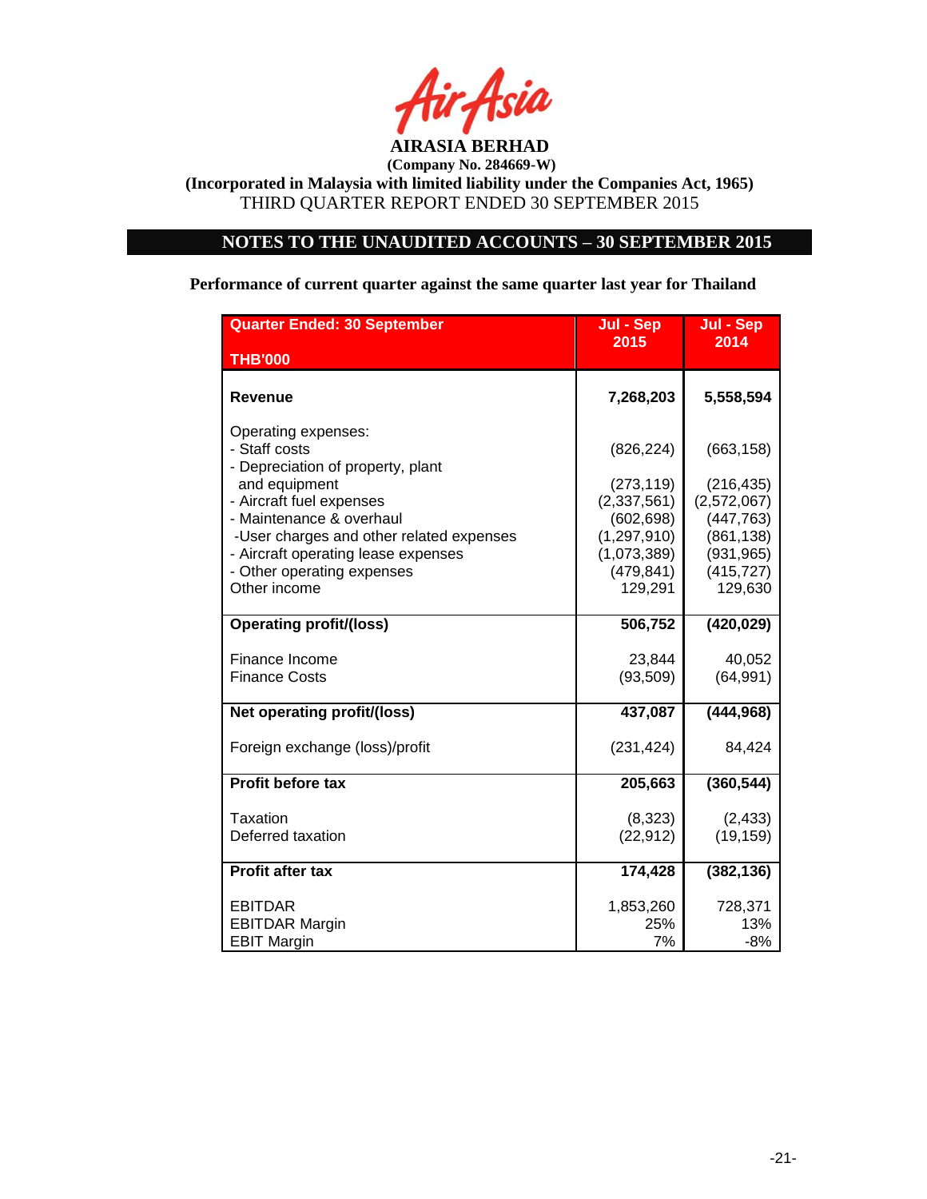

# **NOTES TO THE UNAUDITED ACCOUNTS – 30 SEPTEMBER 2015**

**Performance of current quarter against the same quarter last year for Thailand**

| <b>Quarter Ended: 30 September</b>                                                                                            | Jul - Sep                                             | Jul - Sep                                         |
|-------------------------------------------------------------------------------------------------------------------------------|-------------------------------------------------------|---------------------------------------------------|
| <b>THB'000</b>                                                                                                                | 2015                                                  | 2014                                              |
| Revenue                                                                                                                       | 7,268,203                                             | 5,558,594                                         |
| Operating expenses:<br>- Staff costs<br>- Depreciation of property, plant<br>and equipment                                    | (826, 224)<br>(273, 119)                              | (663, 158)<br>(216, 435)                          |
| - Aircraft fuel expenses<br>- Maintenance & overhaul                                                                          | (2,337,561)<br>(602, 698)                             | (2,572,067)<br>(447, 763)                         |
| -User charges and other related expenses<br>- Aircraft operating lease expenses<br>- Other operating expenses<br>Other income | (1, 297, 910)<br>(1,073,389)<br>(479, 841)<br>129,291 | (861, 138)<br>(931, 965)<br>(415, 727)<br>129,630 |
| <b>Operating profit/(loss)</b>                                                                                                | 506,752                                               | (420, 029)                                        |
| Finance Income<br><b>Finance Costs</b>                                                                                        | 23,844<br>(93, 509)                                   | 40,052<br>(64, 991)                               |
| Net operating profit/(loss)                                                                                                   | 437,087                                               | (444, 968)                                        |
| Foreign exchange (loss)/profit                                                                                                | (231, 424)                                            | 84,424                                            |
| Profit before tax                                                                                                             | 205,663                                               | (360, 544)                                        |
| Taxation<br>Deferred taxation                                                                                                 | (8,323)<br>(22, 912)                                  | (2, 433)<br>(19, 159)                             |
| <b>Profit after tax</b>                                                                                                       | 174,428                                               | (382, 136)                                        |
| <b>EBITDAR</b><br><b>EBITDAR Margin</b><br><b>EBIT Margin</b>                                                                 | 1,853,260<br>25%<br>7%                                | 728,371<br>13%<br>-8%                             |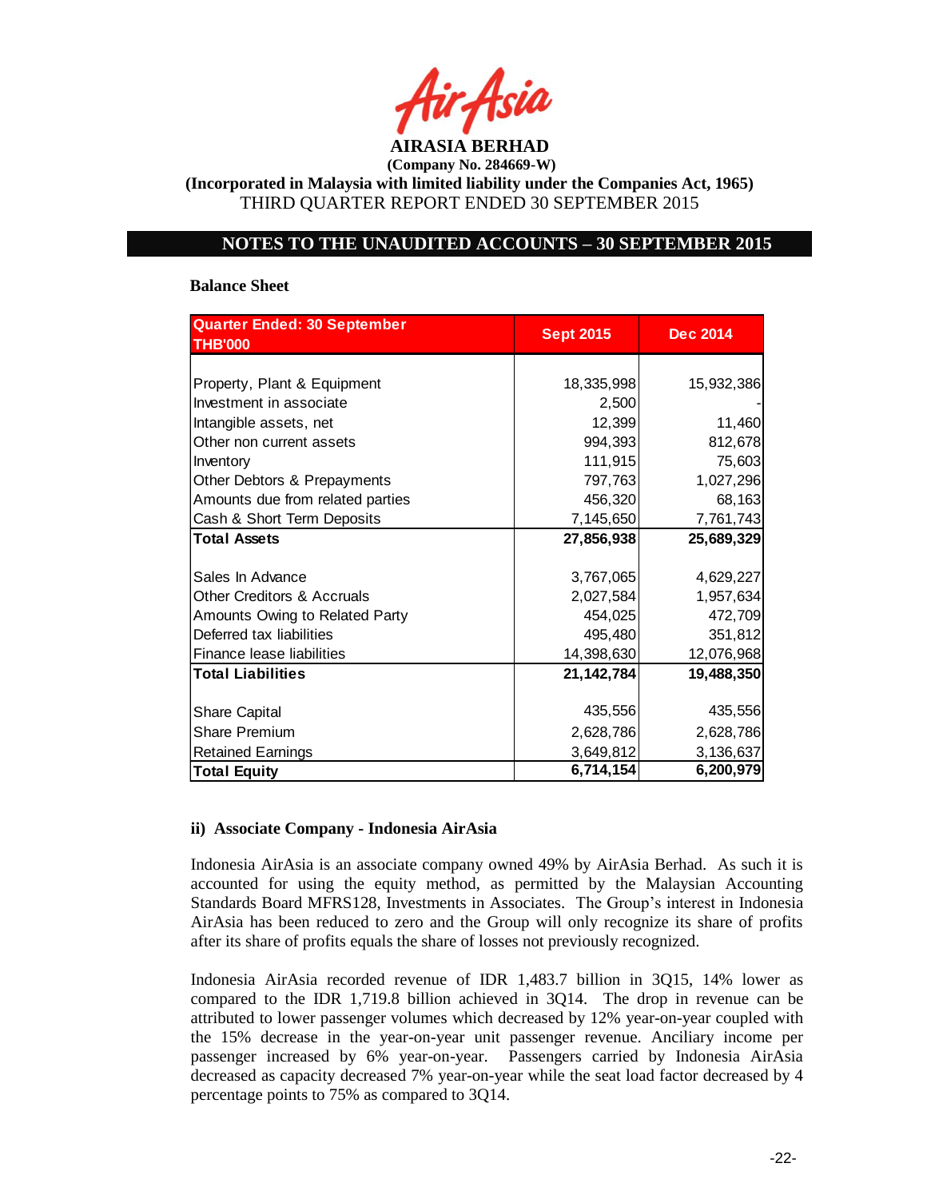

**(Incorporated in Malaysia with limited liability under the Companies Act, 1965)** THIRD QUARTER REPORT ENDED 30 SEPTEMBER 2015

### **NOTES TO THE UNAUDITED ACCOUNTS – 30 SEPTEMBER 2015**

#### **Balance Sheet**

| <b>Quarter Ended: 30 September</b>    |                  |                 |
|---------------------------------------|------------------|-----------------|
| <b>THB'000</b>                        | <b>Sept 2015</b> | <b>Dec 2014</b> |
|                                       |                  |                 |
| Property, Plant & Equipment           | 18,335,998       | 15,932,386      |
| Investment in associate               | 2,500            |                 |
| Intangible assets, net                | 12,399           | 11,460          |
| Other non current assets              | 994,393          | 812,678         |
| Inventory                             | 111,915          | 75,603          |
| Other Debtors & Prepayments           | 797,763          | 1,027,296       |
| Amounts due from related parties      | 456,320          | 68,163          |
| Cash & Short Term Deposits            | 7,145,650        | 7,761,743       |
| <b>Total Assets</b>                   | 27,856,938       | 25,689,329      |
|                                       |                  |                 |
| Sales In Advance                      | 3,767,065        | 4,629,227       |
| <b>Other Creditors &amp; Accruals</b> | 2,027,584        | 1,957,634       |
| Amounts Owing to Related Party        | 454,025          | 472,709         |
| Deferred tax liabilities              | 495,480          | 351,812         |
| Finance lease liabilities             | 14,398,630       | 12,076,968      |
| <b>Total Liabilities</b>              | 21, 142, 784     | 19,488,350      |
|                                       |                  |                 |
| <b>Share Capital</b>                  | 435,556          | 435,556         |
| Share Premium                         | 2,628,786        | 2,628,786       |
| <b>Retained Earnings</b>              | 3,649,812        | 3,136,637       |
| <b>Total Equity</b>                   | 6,714,154        | 6,200,979       |

### **ii) Associate Company - Indonesia AirAsia**

Indonesia AirAsia is an associate company owned 49% by AirAsia Berhad. As such it is accounted for using the equity method, as permitted by the Malaysian Accounting Standards Board MFRS128, Investments in Associates. The Group's interest in Indonesia AirAsia has been reduced to zero and the Group will only recognize its share of profits after its share of profits equals the share of losses not previously recognized.

Indonesia AirAsia recorded revenue of IDR 1,483.7 billion in 3Q15, 14% lower as compared to the IDR 1,719.8 billion achieved in 3Q14. The drop in revenue can be attributed to lower passenger volumes which decreased by 12% year-on-year coupled with the 15% decrease in the year-on-year unit passenger revenue. Anciliary income per passenger increased by 6% year-on-year. Passengers carried by Indonesia AirAsia decreased as capacity decreased 7% year-on-year while the seat load factor decreased by 4 percentage points to 75% as compared to 3Q14.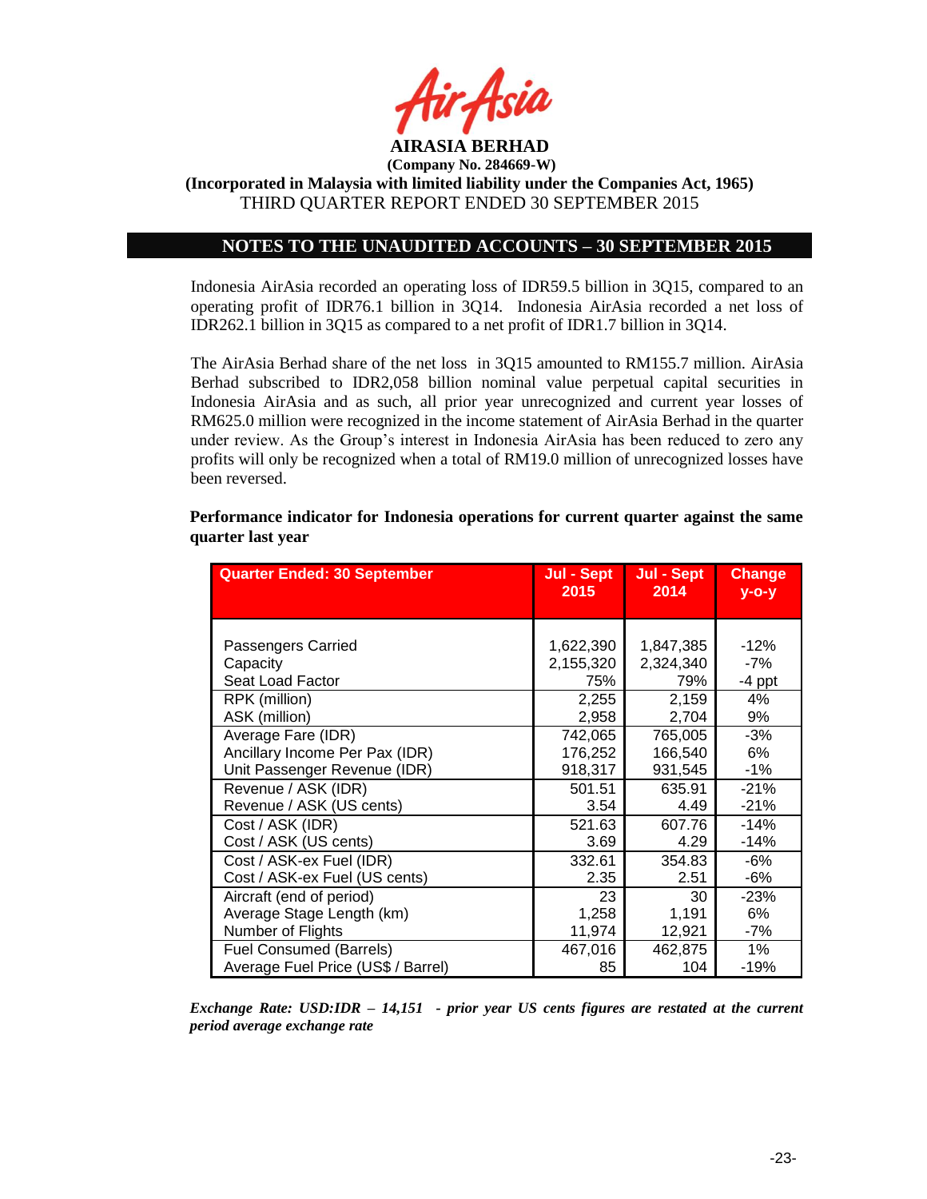

**(Incorporated in Malaysia with limited liability under the Companies Act, 1965)** THIRD QUARTER REPORT ENDED 30 SEPTEMBER 2015

## **NOTES TO THE UNAUDITED ACCOUNTS – 30 SEPTEMBER 2015**

Indonesia AirAsia recorded an operating loss of IDR59.5 billion in 3Q15, compared to an operating profit of IDR76.1 billion in 3Q14. Indonesia AirAsia recorded a net loss of IDR262.1 billion in 3Q15 as compared to a net profit of IDR1.7 billion in 3Q14.

The AirAsia Berhad share of the net loss in 3Q15 amounted to RM155.7 million. AirAsia Berhad subscribed to IDR2,058 billion nominal value perpetual capital securities in Indonesia AirAsia and as such, all prior year unrecognized and current year losses of RM625.0 million were recognized in the income statement of AirAsia Berhad in the quarter under review. As the Group's interest in Indonesia AirAsia has been reduced to zero any profits will only be recognized when a total of RM19.0 million of unrecognized losses have been reversed.

| <b>Quarter Ended: 30 September</b> | Jul - Sept<br>2015 | Jul - Sept<br>2014 | Change<br>$y$ -o-y |
|------------------------------------|--------------------|--------------------|--------------------|
|                                    |                    |                    |                    |
| Passengers Carried                 | 1,622,390          | 1,847,385          | $-12%$             |
| Capacity                           | 2,155,320          | 2,324,340          | -7%                |
| Seat Load Factor                   | 75%                | 79%                | $-4$ ppt           |
| RPK (million)                      | 2,255              | 2,159              | 4%                 |
| ASK (million)                      | 2,958              | 2,704              | 9%                 |
| Average Fare (IDR)                 | 742,065            | 765,005            | $-3%$              |
| Ancillary Income Per Pax (IDR)     | 176,252            | 166,540            | 6%                 |
| Unit Passenger Revenue (IDR)       | 918,317            | 931,545            | $-1\%$             |
| Revenue / ASK (IDR)                | 501.51             | 635.91             | $-21%$             |
| Revenue / ASK (US cents)           | 3.54               | 4.49               | $-21%$             |
| Cost / ASK (IDR)                   | 521.63             | 607.76             | $-14%$             |
| Cost / ASK (US cents)              | 3.69               | 4.29               | $-14%$             |
| Cost / ASK-ex Fuel (IDR)           | 332.61             | 354.83             | -6%                |
| Cost / ASK-ex Fuel (US cents)      | 2.35               | 2.51               | -6%                |
| Aircraft (end of period)           | 23                 | 30                 | $-23%$             |
| Average Stage Length (km)          | 1,258              | 1,191              | 6%                 |
| Number of Flights                  | 11,974             | 12,921             | -7%                |
| <b>Fuel Consumed (Barrels)</b>     | 467,016            | 462,875            | $1\%$              |
| Average Fuel Price (US\$ / Barrel) | 85                 | 104                | $-19%$             |

**Performance indicator for Indonesia operations for current quarter against the same quarter last year**

*Exchange Rate: USD:IDR – 14,151 - prior year US cents figures are restated at the current period average exchange rate*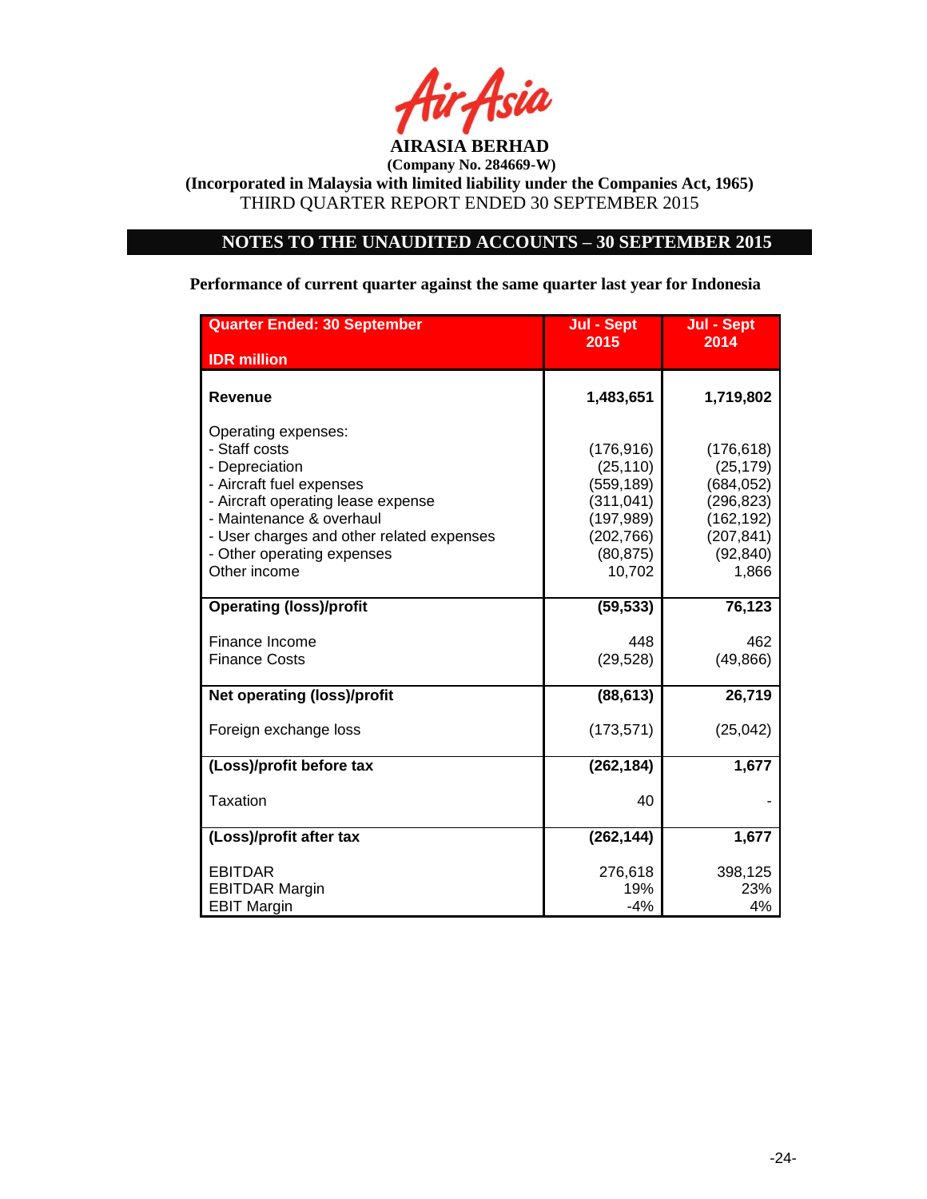

## **NOTES TO THE UNAUDITED ACCOUNTS – 30 SEPTEMBER 2015**

**Performance of current quarter against the same quarter last year for Indonesia**

| <b>Quarter Ended: 30 September</b>                                                                                                                                                                                                              | Jul - Sept                                                                                             | <b>Jul - Sept</b>                                                                                    |  |
|-------------------------------------------------------------------------------------------------------------------------------------------------------------------------------------------------------------------------------------------------|--------------------------------------------------------------------------------------------------------|------------------------------------------------------------------------------------------------------|--|
| <b>IDR</b> million                                                                                                                                                                                                                              | 2015                                                                                                   | 2014                                                                                                 |  |
| <b>Revenue</b>                                                                                                                                                                                                                                  | 1,483,651                                                                                              | 1,719,802                                                                                            |  |
| Operating expenses:<br>- Staff costs<br>- Depreciation<br>- Aircraft fuel expenses<br>- Aircraft operating lease expense<br>- Maintenance & overhaul<br>- User charges and other related expenses<br>- Other operating expenses<br>Other income | (176, 916)<br>(25, 110)<br>(559, 189)<br>(311, 041)<br>(197, 989)<br>(202, 766)<br>(80, 875)<br>10,702 | (176, 618)<br>(25, 179)<br>(684, 052)<br>(296,823)<br>(162, 192)<br>(207, 841)<br>(92, 840)<br>1,866 |  |
| <b>Operating (loss)/profit</b>                                                                                                                                                                                                                  | (59, 533)                                                                                              | 76,123                                                                                               |  |
| Finance Income<br><b>Finance Costs</b>                                                                                                                                                                                                          | 448<br>(29, 528)                                                                                       | 462<br>(49, 866)                                                                                     |  |
| <b>Net operating (loss)/profit</b>                                                                                                                                                                                                              | (88, 613)                                                                                              | 26,719                                                                                               |  |
| Foreign exchange loss                                                                                                                                                                                                                           | (173, 571)                                                                                             | (25, 042)                                                                                            |  |
| (Loss)/profit before tax                                                                                                                                                                                                                        | (262, 184)                                                                                             | 1,677                                                                                                |  |
| <b>Taxation</b>                                                                                                                                                                                                                                 | 40                                                                                                     |                                                                                                      |  |
| (Loss)/profit after tax                                                                                                                                                                                                                         | (262, 144)                                                                                             | 1,677                                                                                                |  |
| <b>EBITDAR</b><br><b>EBITDAR Margin</b><br><b>EBIT Margin</b>                                                                                                                                                                                   | 276,618<br>19%<br>$-4%$                                                                                | 398,125<br>23%<br>4%                                                                                 |  |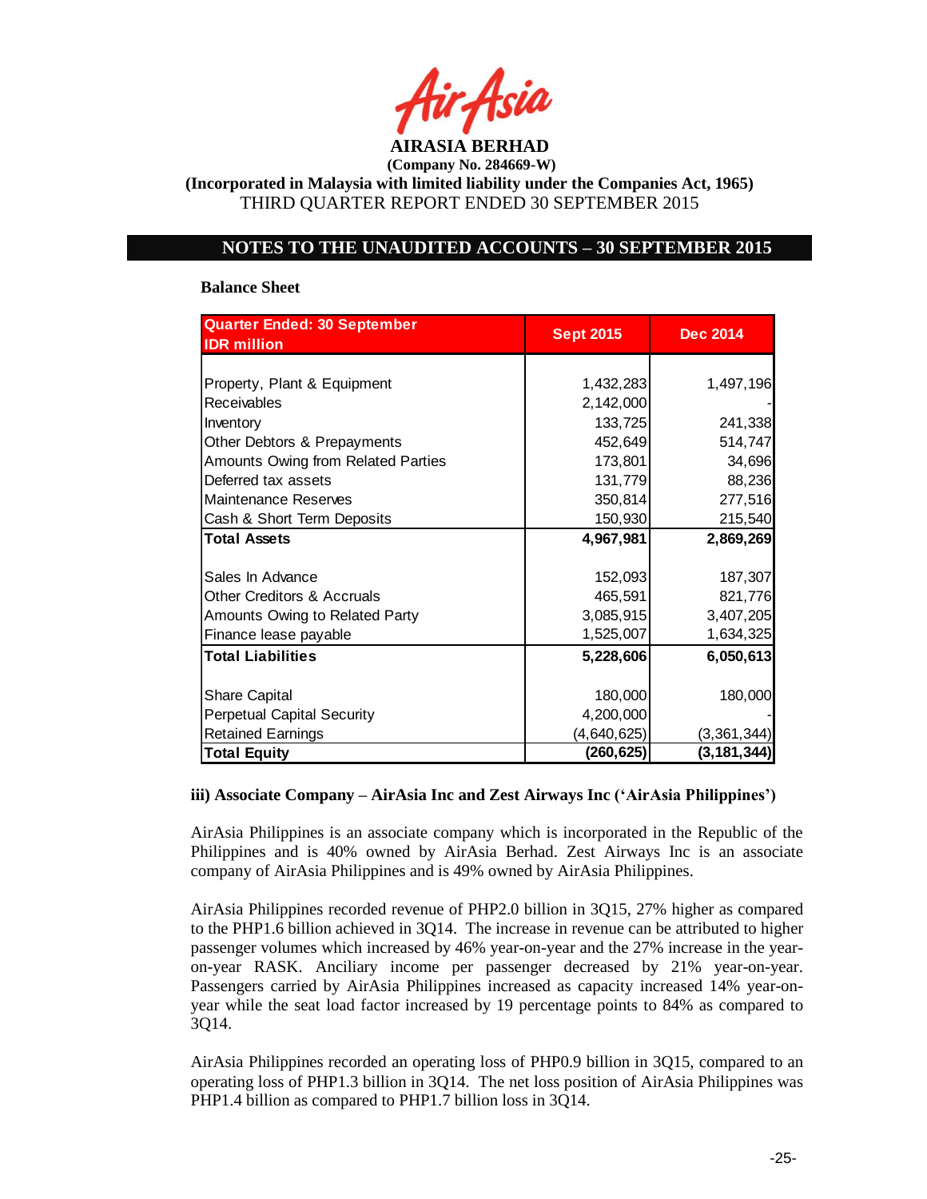

**(Incorporated in Malaysia with limited liability under the Companies Act, 1965)** THIRD QUARTER REPORT ENDED 30 SEPTEMBER 2015

## **NOTES TO THE UNAUDITED ACCOUNTS – 30 SEPTEMBER 2015**

#### **Balance Sheet**

| Quarter Ended: 30 September           | <b>Sept 2015</b> | <b>Dec 2014</b> |
|---------------------------------------|------------------|-----------------|
| <b>IDR</b> million                    |                  |                 |
|                                       |                  |                 |
| Property, Plant & Equipment           | 1,432,283        | 1,497,196       |
| Receivables                           | 2,142,000        |                 |
| Inventory                             | 133,725          | 241,338         |
| Other Debtors & Prepayments           | 452,649          | 514,747         |
| Amounts Owing from Related Parties    | 173,801          | 34,696          |
| Deferred tax assets                   | 131,779          | 88,236          |
| Maintenance Reserves                  | 350,814          | 277,516         |
| Cash & Short Term Deposits            | 150,930          | 215,540         |
| <b>Total Assets</b>                   | 4,967,981        | 2,869,269       |
|                                       |                  |                 |
| Sales In Advance                      | 152,093          | 187,307         |
| <b>Other Creditors &amp; Accruals</b> | 465,591          | 821,776         |
| Amounts Owing to Related Party        | 3,085,915        | 3,407,205       |
| Finance lease payable                 | 1,525,007        | 1,634,325       |
| <b>Total Liabilities</b>              | 5,228,606        | 6,050,613       |
|                                       |                  |                 |
| <b>Share Capital</b>                  | 180,000          | 180,000         |
| <b>Perpetual Capital Security</b>     | 4,200,000        |                 |
| <b>Retained Earnings</b>              | (4,640,625)      | (3,361,344)     |
| <b>Total Equity</b>                   | (260, 625)       | (3, 181, 344)   |

### **iii) Associate Company – AirAsia Inc and Zest Airways Inc ('AirAsia Philippines')**

AirAsia Philippines is an associate company which is incorporated in the Republic of the Philippines and is 40% owned by AirAsia Berhad. Zest Airways Inc is an associate company of AirAsia Philippines and is 49% owned by AirAsia Philippines.

AirAsia Philippines recorded revenue of PHP2.0 billion in 3Q15, 27% higher as compared to the PHP1.6 billion achieved in 3Q14. The increase in revenue can be attributed to higher passenger volumes which increased by 46% year-on-year and the 27% increase in the yearon-year RASK. Anciliary income per passenger decreased by 21% year-on-year. Passengers carried by AirAsia Philippines increased as capacity increased 14% year-onyear while the seat load factor increased by 19 percentage points to 84% as compared to 3Q14.

AirAsia Philippines recorded an operating loss of PHP0.9 billion in 3Q15, compared to an operating loss of PHP1.3 billion in 3Q14. The net loss position of AirAsia Philippines was PHP1.4 billion as compared to PHP1.7 billion loss in 3Q14.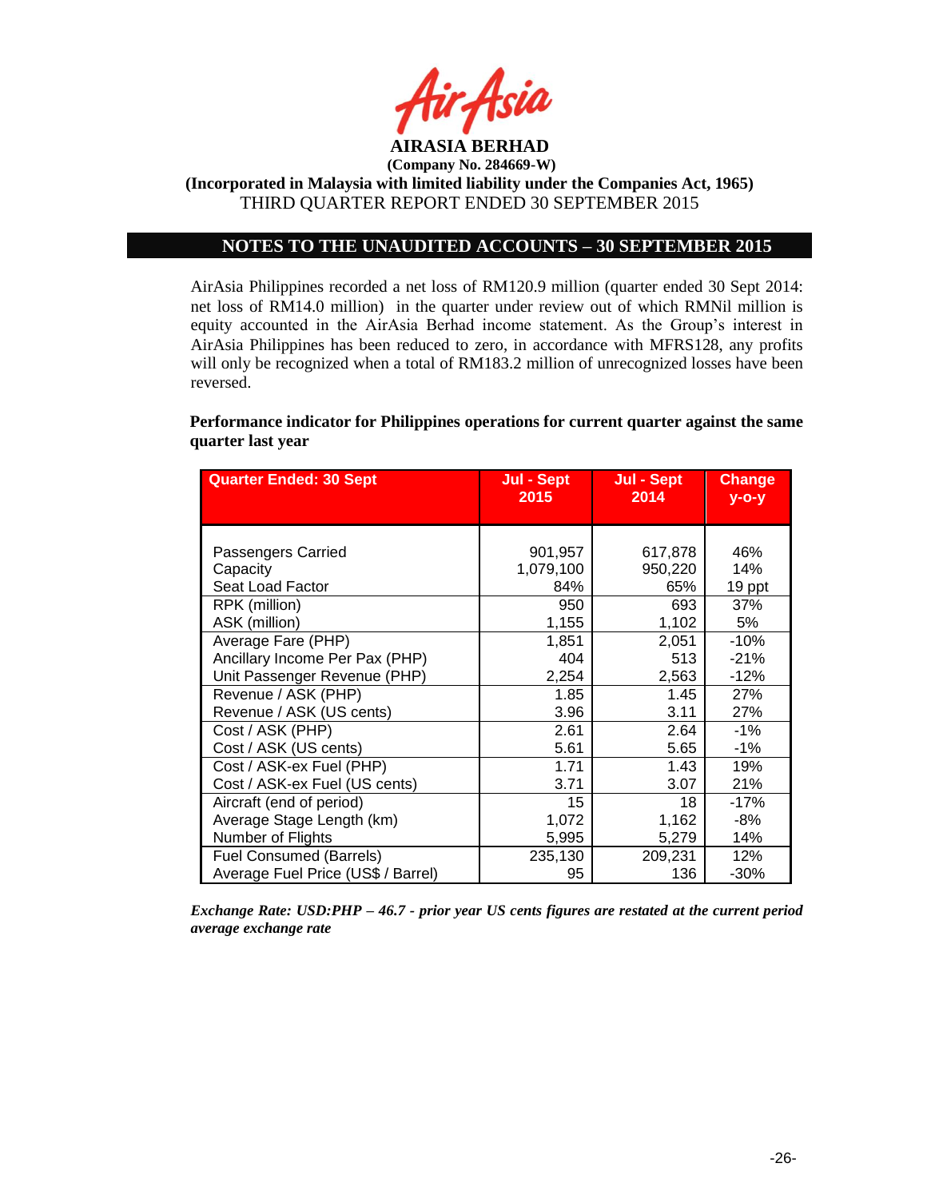

### **NOTES TO THE UNAUDITED ACCOUNTS – 30 SEPTEMBER 2015**

AirAsia Philippines recorded a net loss of RM120.9 million (quarter ended 30 Sept 2014: net loss of RM14.0 million) in the quarter under review out of which RMNil million is equity accounted in the AirAsia Berhad income statement. As the Group's interest in AirAsia Philippines has been reduced to zero, in accordance with MFRS128, any profits will only be recognized when a total of RM183.2 million of unrecognized losses have been reversed.

**Performance indicator for Philippines operations for current quarter against the same quarter last year**

| <b>Quarter Ended: 30 Sept</b>      | Jul - Sept<br>2015 | Jul - Sept<br>2014 | <b>Change</b><br>$y$ -o-y |
|------------------------------------|--------------------|--------------------|---------------------------|
|                                    |                    |                    |                           |
|                                    |                    |                    |                           |
| Passengers Carried                 | 901,957            | 617,878            | 46%                       |
| Capacity                           | 1,079,100          | 950,220            | 14%                       |
| Seat Load Factor                   | 84%                | 65%                | 19 ppt                    |
| RPK (million)                      | 950                | 693                | 37%                       |
| ASK (million)                      | 1,155              | 1,102              | 5%                        |
| Average Fare (PHP)                 | 1,851              | 2,051              | $-10%$                    |
| Ancillary Income Per Pax (PHP)     | 404                | 513                | $-21%$                    |
| Unit Passenger Revenue (PHP)       | 2,254              | 2,563              | $-12%$                    |
| Revenue / ASK (PHP)                | 1.85               | 1.45               | 27%                       |
| Revenue / ASK (US cents)           | 3.96               | 3.11               | 27%                       |
| Cost / ASK (PHP)                   | 2.61               | 2.64               | $-1%$                     |
| Cost / ASK (US cents)              | 5.61               | 5.65               | $-1%$                     |
| Cost / ASK-ex Fuel (PHP)           | 1.71               | 1.43               | 19%                       |
| Cost / ASK-ex Fuel (US cents)      | 3.71               | 3.07               | 21%                       |
| Aircraft (end of period)           | 15                 | 18                 | $-17%$                    |
| Average Stage Length (km)          | 1,072              | 1,162              | $-8%$                     |
| Number of Flights                  | 5,995              | 5,279              | 14%                       |
| <b>Fuel Consumed (Barrels)</b>     | 235,130            | 209,231            | 12%                       |
| Average Fuel Price (US\$ / Barrel) | 95                 | 136                | $-30%$                    |

*Exchange Rate: USD:PHP – 46.7 - prior year US cents figures are restated at the current period average exchange rate*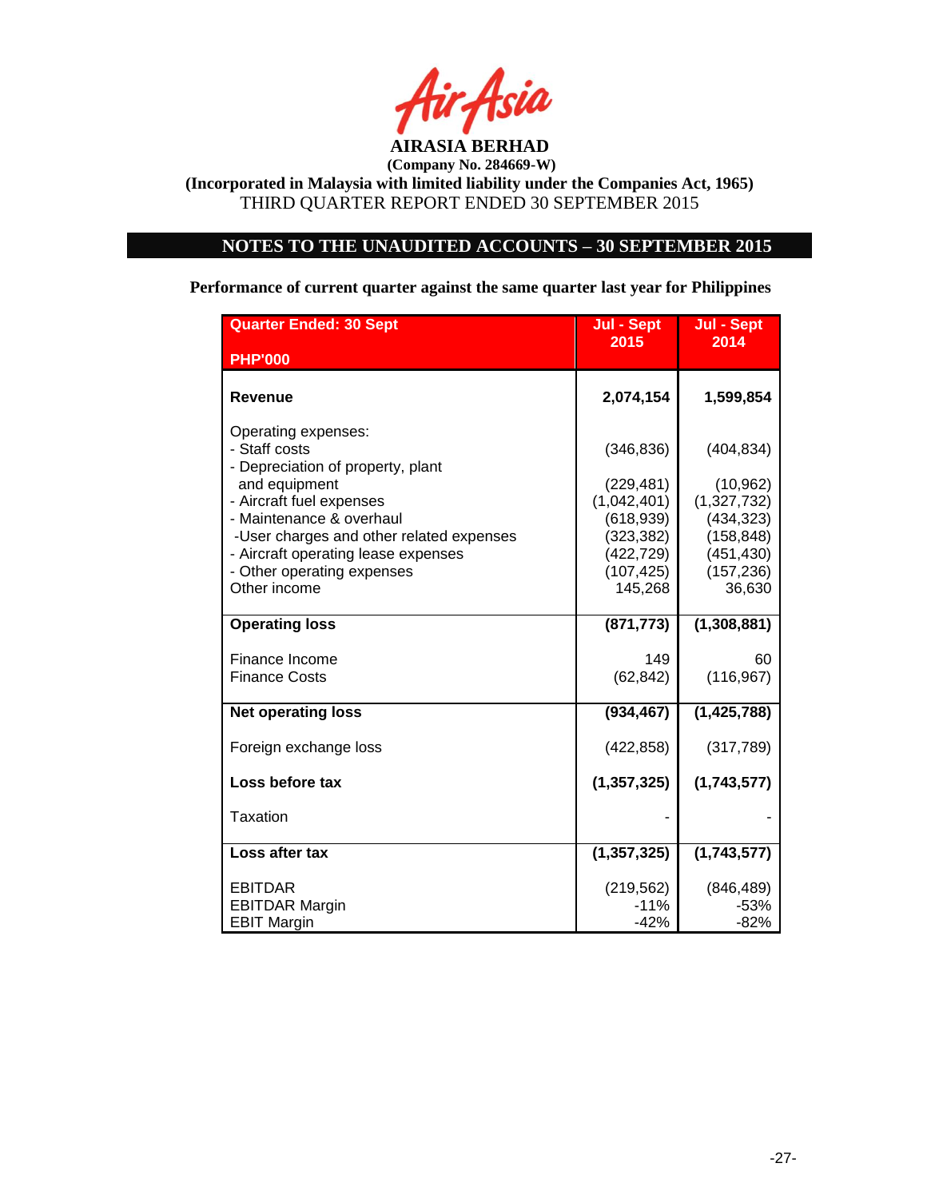

# **NOTES TO THE UNAUDITED ACCOUNTS – 30 SEPTEMBER 2015**

**Performance of current quarter against the same quarter last year for Philippines**

| <b>Quarter Ended: 30 Sept</b>                                                                                                                                                                                                                                                       | Jul - Sept                                                                                                 | Jul - Sept                                                                                               |
|-------------------------------------------------------------------------------------------------------------------------------------------------------------------------------------------------------------------------------------------------------------------------------------|------------------------------------------------------------------------------------------------------------|----------------------------------------------------------------------------------------------------------|
| <b>PHP'000</b>                                                                                                                                                                                                                                                                      | 2015                                                                                                       | 2014                                                                                                     |
| Revenue                                                                                                                                                                                                                                                                             | 2,074,154                                                                                                  | 1,599,854                                                                                                |
| Operating expenses:<br>- Staff costs<br>- Depreciation of property, plant<br>and equipment<br>- Aircraft fuel expenses<br>- Maintenance & overhaul<br>-User charges and other related expenses<br>- Aircraft operating lease expenses<br>- Other operating expenses<br>Other income | (346, 836)<br>(229, 481)<br>(1,042,401)<br>(618, 939)<br>(323, 382)<br>(422, 729)<br>(107, 425)<br>145,268 | (404, 834)<br>(10, 962)<br>(1,327,732)<br>(434, 323)<br>(158, 848)<br>(451, 430)<br>(157, 236)<br>36,630 |
| <b>Operating loss</b>                                                                                                                                                                                                                                                               | (871, 773)                                                                                                 | (1,308,881)                                                                                              |
| Finance Income<br><b>Finance Costs</b>                                                                                                                                                                                                                                              | 149<br>(62, 842)                                                                                           | 60<br>(116, 967)                                                                                         |
| <b>Net operating loss</b>                                                                                                                                                                                                                                                           | (934, 467)                                                                                                 | (1, 425, 788)                                                                                            |
| Foreign exchange loss                                                                                                                                                                                                                                                               | (422, 858)                                                                                                 | (317, 789)                                                                                               |
| Loss before tax                                                                                                                                                                                                                                                                     | (1, 357, 325)                                                                                              | (1,743,577)                                                                                              |
| <b>Taxation</b>                                                                                                                                                                                                                                                                     |                                                                                                            |                                                                                                          |
| Loss after tax                                                                                                                                                                                                                                                                      | (1, 357, 325)                                                                                              | (1,743,577)                                                                                              |
| <b>EBITDAR</b><br><b>EBITDAR Margin</b><br><b>EBIT Margin</b>                                                                                                                                                                                                                       | (219, 562)<br>$-11%$<br>$-42%$                                                                             | (846, 489)<br>$-53%$<br>-82%                                                                             |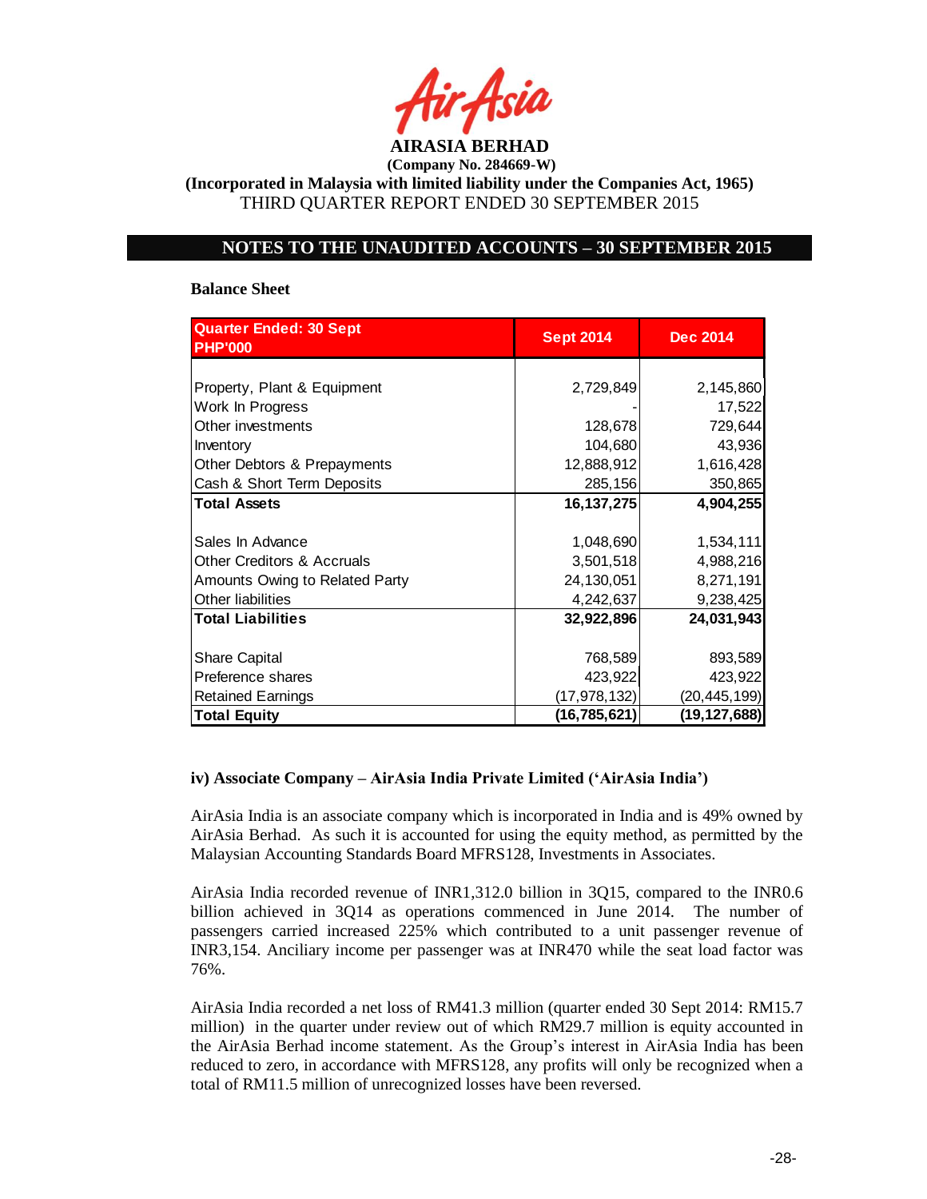

**(Incorporated in Malaysia with limited liability under the Companies Act, 1965)** THIRD QUARTER REPORT ENDED 30 SEPTEMBER 2015

## **NOTES TO THE UNAUDITED ACCOUNTS – 30 SEPTEMBER 2015**

#### **Balance Sheet**

| <b>Quarter Ended: 30 Sept</b>         |                  |                 |
|---------------------------------------|------------------|-----------------|
| <b>PHP'000</b>                        | <b>Sept 2014</b> | <b>Dec 2014</b> |
|                                       |                  |                 |
| Property, Plant & Equipment           | 2,729,849        | 2,145,860       |
| Work In Progress                      |                  | 17,522          |
| Other investments                     | 128,678          | 729,644         |
| Inventory                             | 104,680          | 43,936          |
| Other Debtors & Prepayments           | 12,888,912       | 1,616,428       |
| Cash & Short Term Deposits            | 285,156          | 350,865         |
| <b>Total Assets</b>                   | 16, 137, 275     | 4,904,255       |
|                                       |                  |                 |
| Sales In Advance                      | 1,048,690        | 1,534,111       |
| <b>Other Creditors &amp; Accruals</b> | 3,501,518        | 4,988,216       |
| Amounts Owing to Related Party        | 24,130,051       | 8,271,191       |
| Other liabilities                     | 4,242,637        | 9,238,425       |
| <b>Total Liabilities</b>              | 32,922,896       | 24,031,943      |
|                                       |                  |                 |
| <b>Share Capital</b>                  | 768,589          | 893,589         |
| Preference shares                     | 423,922          | 423,922         |
| <b>Retained Earnings</b>              | (17,978,132)     | (20, 445, 199)  |
| <b>Total Equity</b>                   | (16, 785, 621)   | (19,127,688)    |

### **iv) Associate Company – AirAsia India Private Limited ('AirAsia India')**

AirAsia India is an associate company which is incorporated in India and is 49% owned by AirAsia Berhad. As such it is accounted for using the equity method, as permitted by the Malaysian Accounting Standards Board MFRS128, Investments in Associates.

AirAsia India recorded revenue of INR1,312.0 billion in 3Q15, compared to the INR0.6 billion achieved in 3Q14 as operations commenced in June 2014. The number of passengers carried increased 225% which contributed to a unit passenger revenue of INR3,154. Anciliary income per passenger was at INR470 while the seat load factor was 76%.

AirAsia India recorded a net loss of RM41.3 million (quarter ended 30 Sept 2014: RM15.7 million) in the quarter under review out of which RM29.7 million is equity accounted in the AirAsia Berhad income statement. As the Group's interest in AirAsia India has been reduced to zero, in accordance with MFRS128, any profits will only be recognized when a total of RM11.5 million of unrecognized losses have been reversed.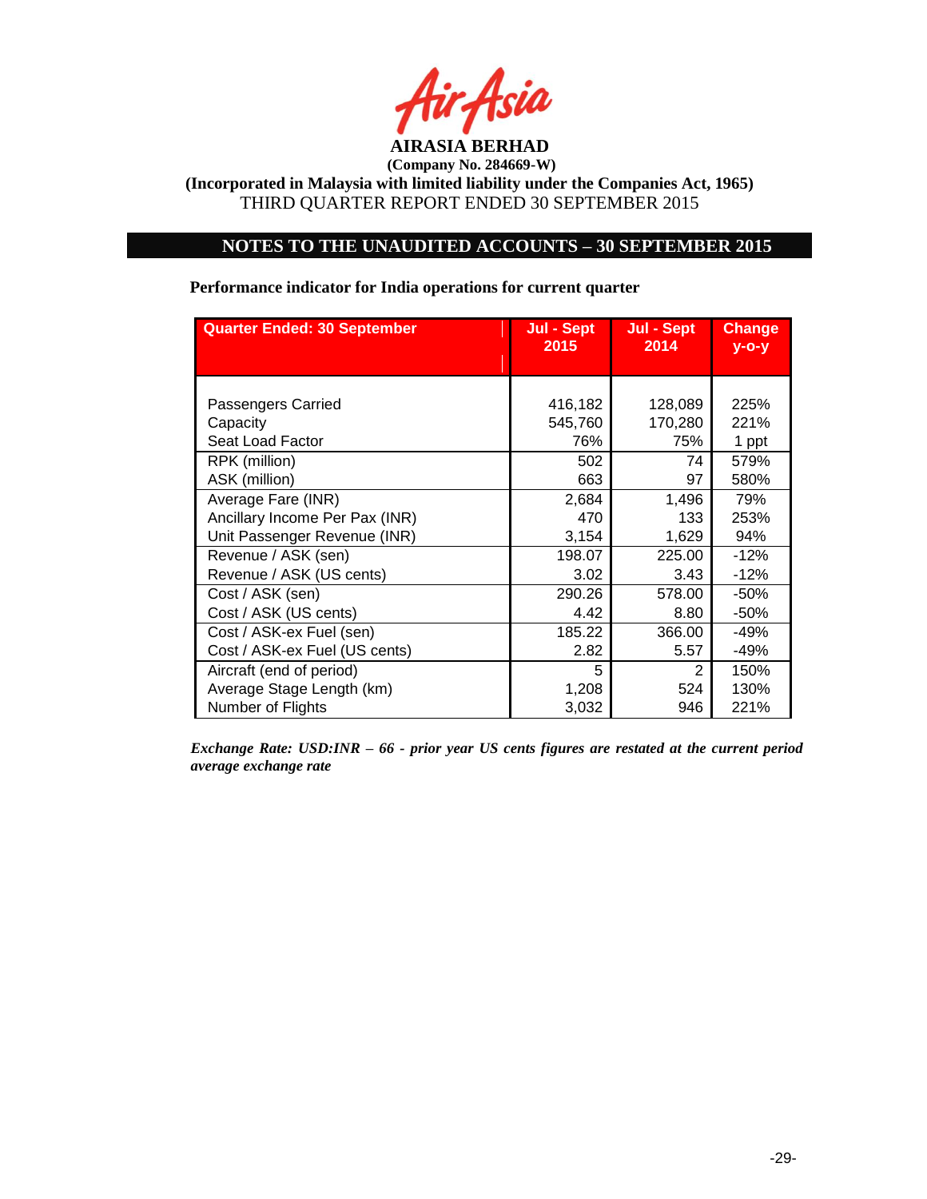

### **NOTES TO THE UNAUDITED ACCOUNTS – 30 SEPTEMBER 2015**

#### **Quarter Ended: 30 September Jul - Sept 2015 Jul - Sept 2014 Change y-o-y** Passengers Carried 128,089 225% Capacity **645,760** 170,280 221% Seat Load Factor **1988** 76% 75% 1 ppt RPK (million) 602 74 579% ASK (million) 1971 580% Average Fare (INR) 2,684 1,496 79% Ancillary Income Per Pax (INR)  $\begin{array}{|c|c|c|c|c|c|c|c|c|} \hline \text{470} & \text{470} & \text{433} & \text{253\%} \ \hline \end{array}$ Unit Passenger Revenue (INR)  $\begin{array}{ccc} 3,154 & 1,629 & 94\% \end{array}$ Revenue / ASK (sen) 198.07 | 225.00 | -12% Revenue / ASK (US cents)  $3.02$  3.43 -12% Cost / ASK (sen) 290.26 578.00 -50% Cost / ASK (US cents) 4.42 8.80 -50% Cost / ASK-ex Fuel (sen) 185.22 366.00 -49% Cost / ASK-ex Fuel (US cents) 2.82 5.57 -49% Aircraft (end of period) 1 3 2 150% Average Stage Length (km)  $\begin{array}{|c|c|c|c|c|c|c|c|} \hline \end{array}$  1,208 524 130% Number of Flights **3,032** 946 221%

**Performance indicator for India operations for current quarter**

*Exchange Rate: USD:INR – 66 - prior year US cents figures are restated at the current period average exchange rate*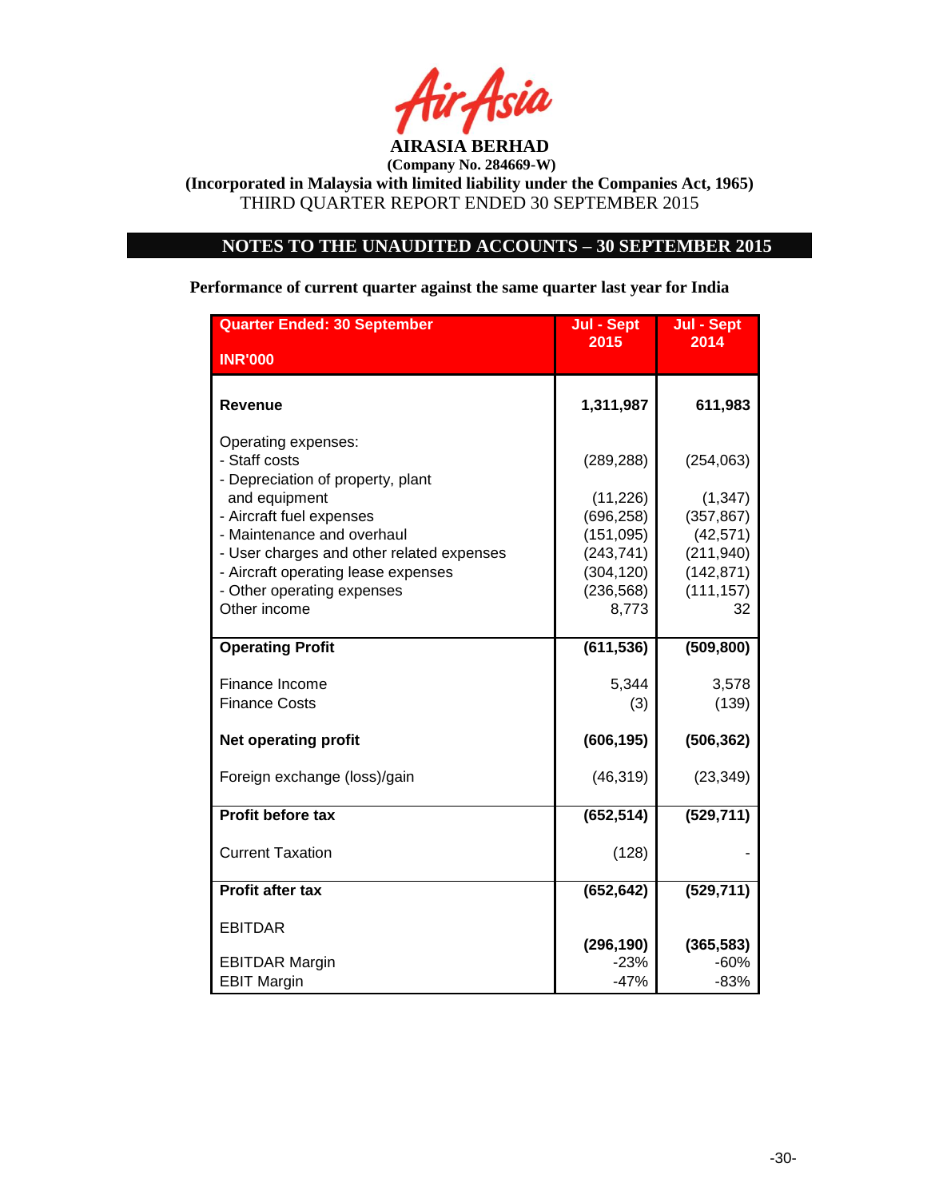

# **NOTES TO THE UNAUDITED ACCOUNTS – 30 SEPTEMBER 2015**

**Performance of current quarter against the same quarter last year for India**

| <b>Quarter Ended: 30 September</b>                 | Jul - Sept | Jul - Sept |
|----------------------------------------------------|------------|------------|
| <b>INR'000</b>                                     | 2015       | 2014       |
|                                                    |            |            |
| Revenue                                            | 1,311,987  | 611,983    |
| Operating expenses:<br>- Staff costs               | (289, 288) | (254, 063) |
| - Depreciation of property, plant<br>and equipment | (11, 226)  | (1, 347)   |
| - Aircraft fuel expenses                           | (696, 258) | (357, 867) |
| - Maintenance and overhaul                         | (151, 095) | (42, 571)  |
| - User charges and other related expenses          | (243, 741) | (211, 940) |
| - Aircraft operating lease expenses                | (304, 120) | (142, 871) |
| - Other operating expenses                         | (236, 568) | (111, 157) |
| Other income                                       | 8,773      | 32         |
| <b>Operating Profit</b>                            | (611, 536) | (509, 800) |
| Finance Income                                     | 5,344      | 3,578      |
| <b>Finance Costs</b>                               | (3)        | (139)      |
| <b>Net operating profit</b>                        | (606, 195) | (506, 362) |
| Foreign exchange (loss)/gain                       | (46, 319)  | (23, 349)  |
| <b>Profit before tax</b>                           | (652, 514) | (529, 711) |
| <b>Current Taxation</b>                            | (128)      |            |
| <b>Profit after tax</b>                            | (652, 642) | (529, 711) |
| <b>EBITDAR</b>                                     | (296, 190) | (365, 583) |
| <b>EBITDAR Margin</b>                              | $-23%$     | $-60%$     |
| <b>EBIT Margin</b>                                 | $-47%$     | $-83%$     |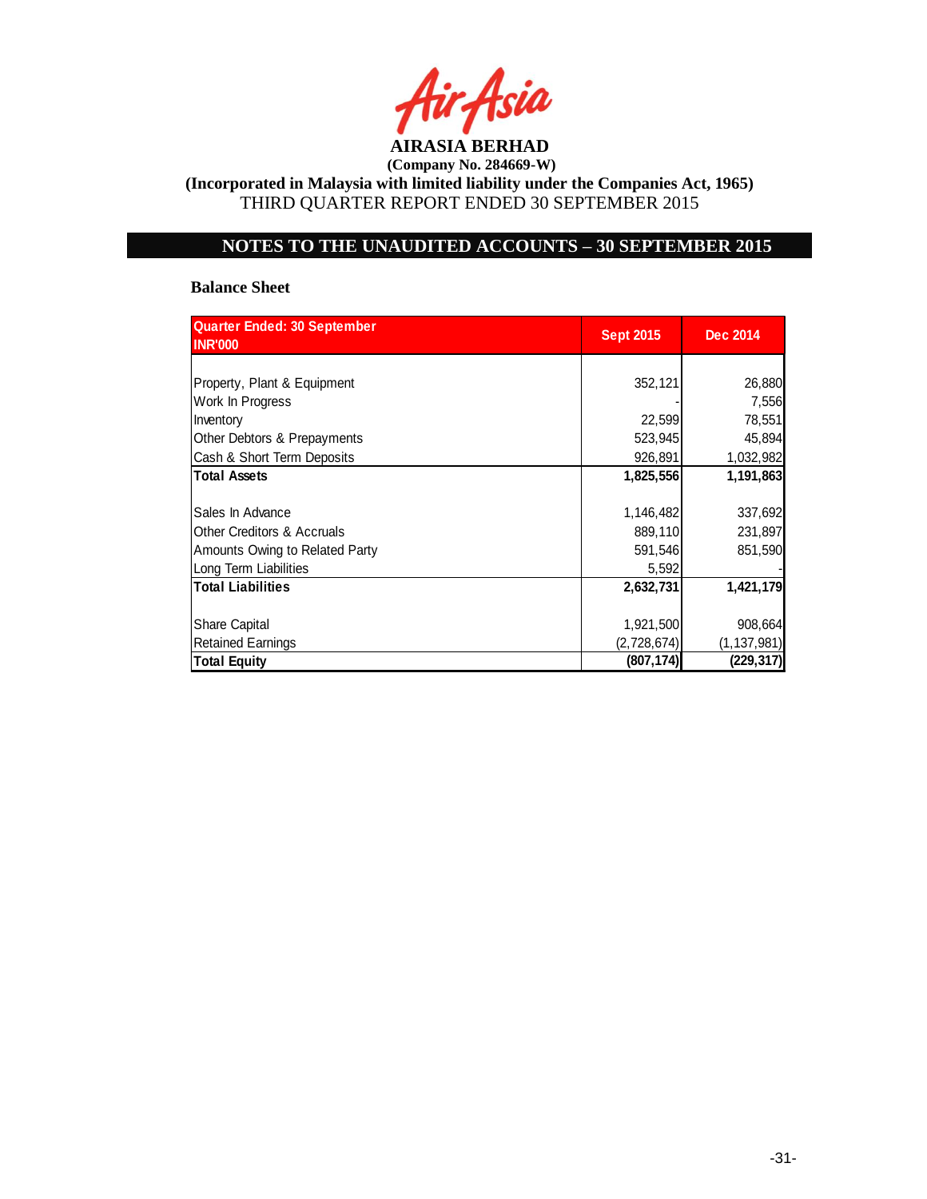

**(Incorporated in Malaysia with limited liability under the Companies Act, 1965)** THIRD QUARTER REPORT ENDED 30 SEPTEMBER 2015

# **NOTES TO THE UNAUDITED ACCOUNTS – 30 SEPTEMBER 2015**

### **Balance Sheet**

| <b>Quarter Ended: 30 September</b><br><b>INR'000</b> | <b>Sept 2015</b> | <b>Dec 2014</b> |
|------------------------------------------------------|------------------|-----------------|
|                                                      |                  |                 |
| Property, Plant & Equipment                          | 352,121          | 26,880          |
| Work In Progress                                     |                  | 7,556           |
| Inventory                                            | 22,599           | 78,551          |
| Other Debtors & Prepayments                          | 523,945          | 45,894          |
| Cash & Short Term Deposits                           | 926,891          | 1,032,982       |
| <b>Total Assets</b>                                  | 1,825,556        | 1,191,863       |
|                                                      |                  |                 |
| Sales In Advance                                     | 1,146,482        | 337,692         |
| <b>Other Creditors &amp; Accruals</b>                | 889,110          | 231,897         |
| Amounts Owing to Related Party                       | 591,546          | 851,590         |
| Long Term Liabilities                                | 5,592            |                 |
| <b>Total Liabilities</b>                             | 2,632,731        | 1,421,179       |
|                                                      |                  |                 |
| <b>Share Capital</b>                                 | 1,921,500        | 908,664         |
| <b>Retained Earnings</b>                             | (2,728,674)      | (1, 137, 981)   |
| <b>Total Equity</b>                                  | (807, 174)       | (229, 317)      |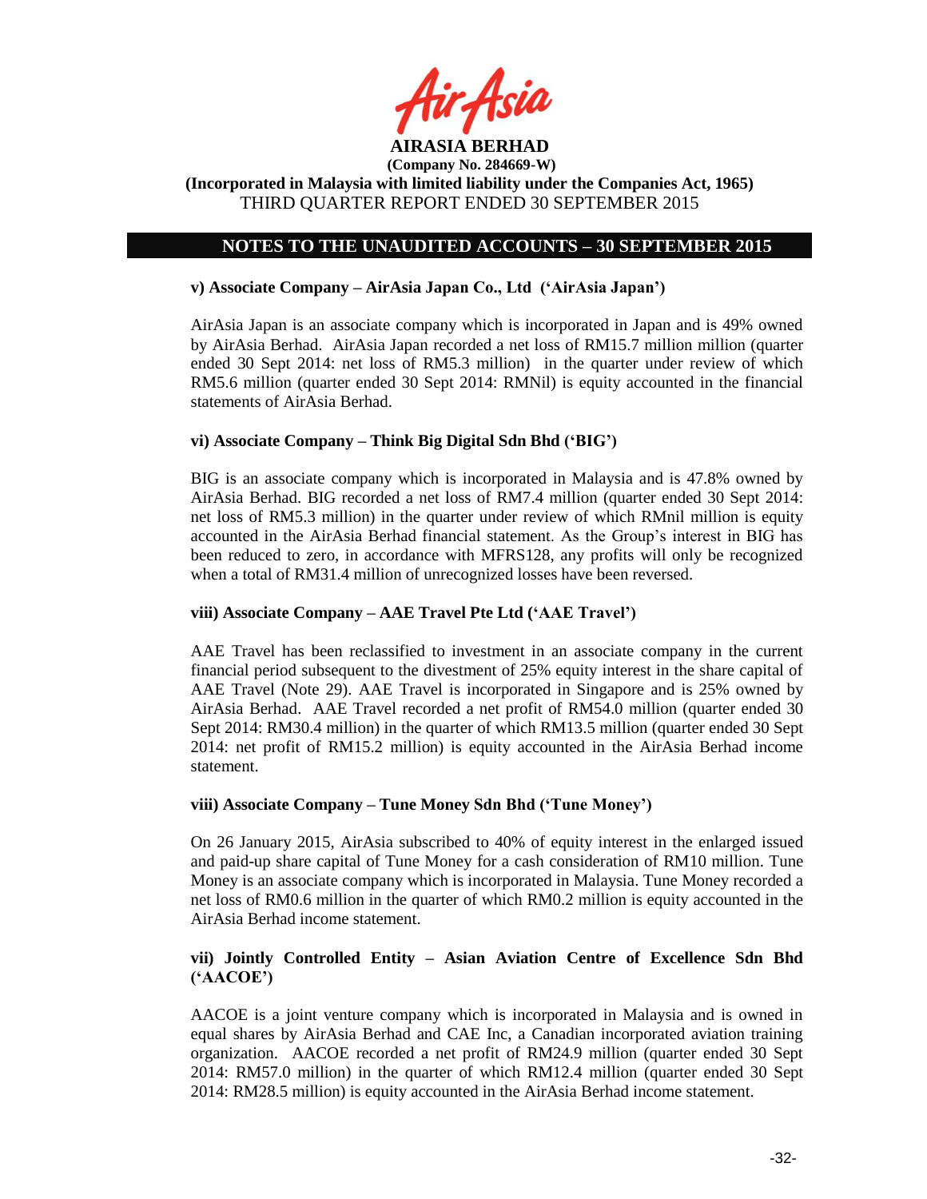

**(Incorporated in Malaysia with limited liability under the Companies Act, 1965)** THIRD QUARTER REPORT ENDED 30 SEPTEMBER 2015

## **NOTES TO THE UNAUDITED ACCOUNTS – 30 SEPTEMBER 2015**

### **v) Associate Company – AirAsia Japan Co., Ltd ('AirAsia Japan')**

AirAsia Japan is an associate company which is incorporated in Japan and is 49% owned by AirAsia Berhad. AirAsia Japan recorded a net loss of RM15.7 million million (quarter ended 30 Sept 2014: net loss of RM5.3 million) in the quarter under review of which RM5.6 million (quarter ended 30 Sept 2014: RMNil) is equity accounted in the financial statements of AirAsia Berhad.

## **vi) Associate Company – Think Big Digital Sdn Bhd ('BIG')**

BIG is an associate company which is incorporated in Malaysia and is 47.8% owned by AirAsia Berhad. BIG recorded a net loss of RM7.4 million (quarter ended 30 Sept 2014: net loss of RM5.3 million) in the quarter under review of which RMnil million is equity accounted in the AirAsia Berhad financial statement. As the Group's interest in BIG has been reduced to zero, in accordance with MFRS128, any profits will only be recognized when a total of RM31.4 million of unrecognized losses have been reversed.

### **viii) Associate Company – AAE Travel Pte Ltd ('AAE Travel')**

AAE Travel has been reclassified to investment in an associate company in the current financial period subsequent to the divestment of 25% equity interest in the share capital of AAE Travel (Note 29). AAE Travel is incorporated in Singapore and is 25% owned by AirAsia Berhad. AAE Travel recorded a net profit of RM54.0 million (quarter ended 30 Sept 2014: RM30.4 million) in the quarter of which RM13.5 million (quarter ended 30 Sept 2014: net profit of RM15.2 million) is equity accounted in the AirAsia Berhad income statement.

### **viii) Associate Company – Tune Money Sdn Bhd ('Tune Money')**

On 26 January 2015, AirAsia subscribed to 40% of equity interest in the enlarged issued and paid-up share capital of Tune Money for a cash consideration of RM10 million. Tune Money is an associate company which is incorporated in Malaysia. Tune Money recorded a net loss of RM0.6 million in the quarter of which RM0.2 million is equity accounted in the AirAsia Berhad income statement.

## **vii) Jointly Controlled Entity – Asian Aviation Centre of Excellence Sdn Bhd ('AACOE')**

AACOE is a joint venture company which is incorporated in Malaysia and is owned in equal shares by AirAsia Berhad and CAE Inc, a Canadian incorporated aviation training organization. AACOE recorded a net profit of RM24.9 million (quarter ended 30 Sept 2014: RM57.0 million) in the quarter of which RM12.4 million (quarter ended 30 Sept 2014: RM28.5 million) is equity accounted in the AirAsia Berhad income statement.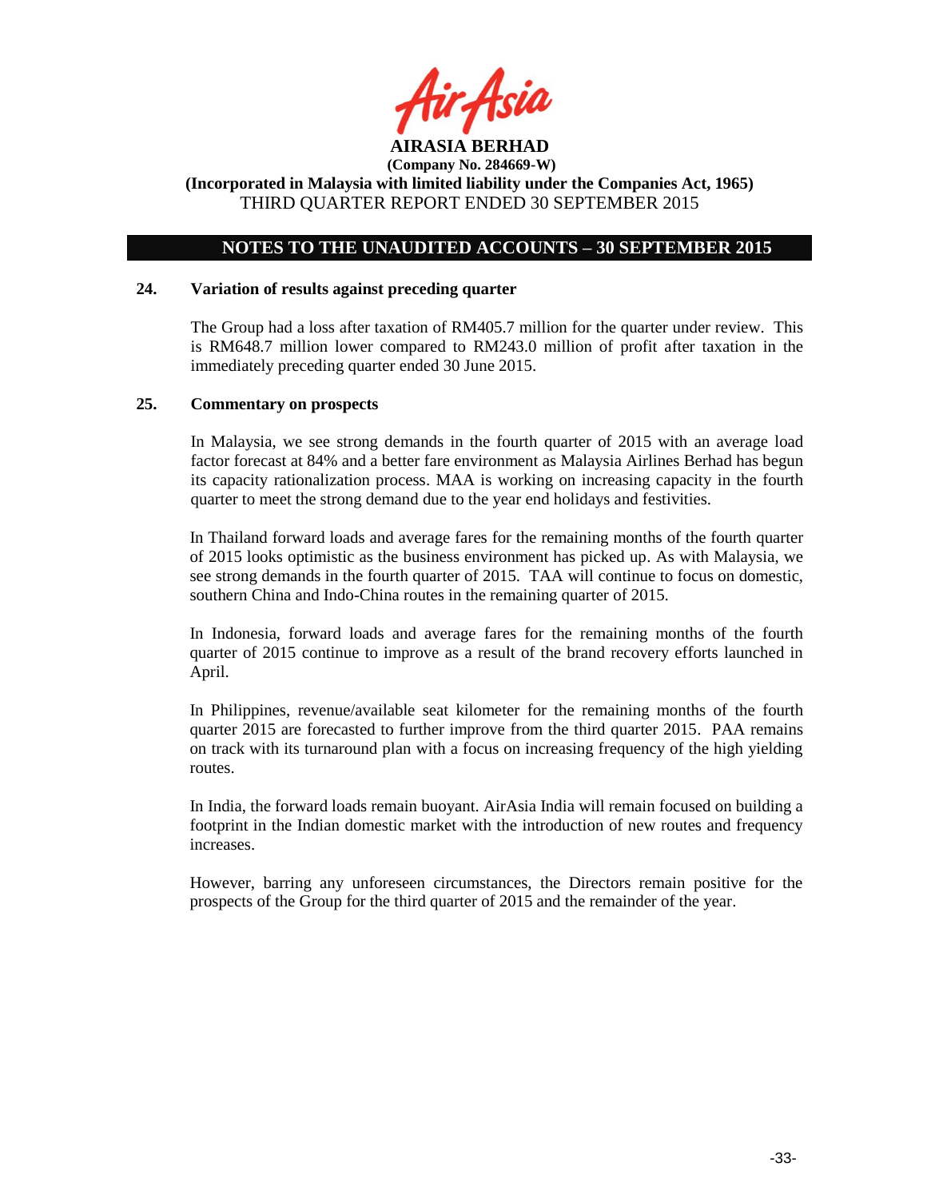

## **NOTES TO THE UNAUDITED ACCOUNTS – 30 SEPTEMBER 2015**

#### **24. Variation of results against preceding quarter**

The Group had a loss after taxation of RM405.7 million for the quarter under review. This is RM648.7 million lower compared to RM243.0 million of profit after taxation in the immediately preceding quarter ended 30 June 2015.

### **25. Commentary on prospects**

In Malaysia, we see strong demands in the fourth quarter of 2015 with an average load factor forecast at 84% and a better fare environment as Malaysia Airlines Berhad has begun its capacity rationalization process. MAA is working on increasing capacity in the fourth quarter to meet the strong demand due to the year end holidays and festivities.

In Thailand forward loads and average fares for the remaining months of the fourth quarter of 2015 looks optimistic as the business environment has picked up. As with Malaysia, we see strong demands in the fourth quarter of 2015. TAA will continue to focus on domestic, southern China and Indo-China routes in the remaining quarter of 2015.

In Indonesia, forward loads and average fares for the remaining months of the fourth quarter of 2015 continue to improve as a result of the brand recovery efforts launched in April.

In Philippines, revenue/available seat kilometer for the remaining months of the fourth quarter 2015 are forecasted to further improve from the third quarter 2015. PAA remains on track with its turnaround plan with a focus on increasing frequency of the high yielding routes.

In India, the forward loads remain buoyant. AirAsia India will remain focused on building a footprint in the Indian domestic market with the introduction of new routes and frequency increases.

However, barring any unforeseen circumstances, the Directors remain positive for the prospects of the Group for the third quarter of 2015 and the remainder of the year.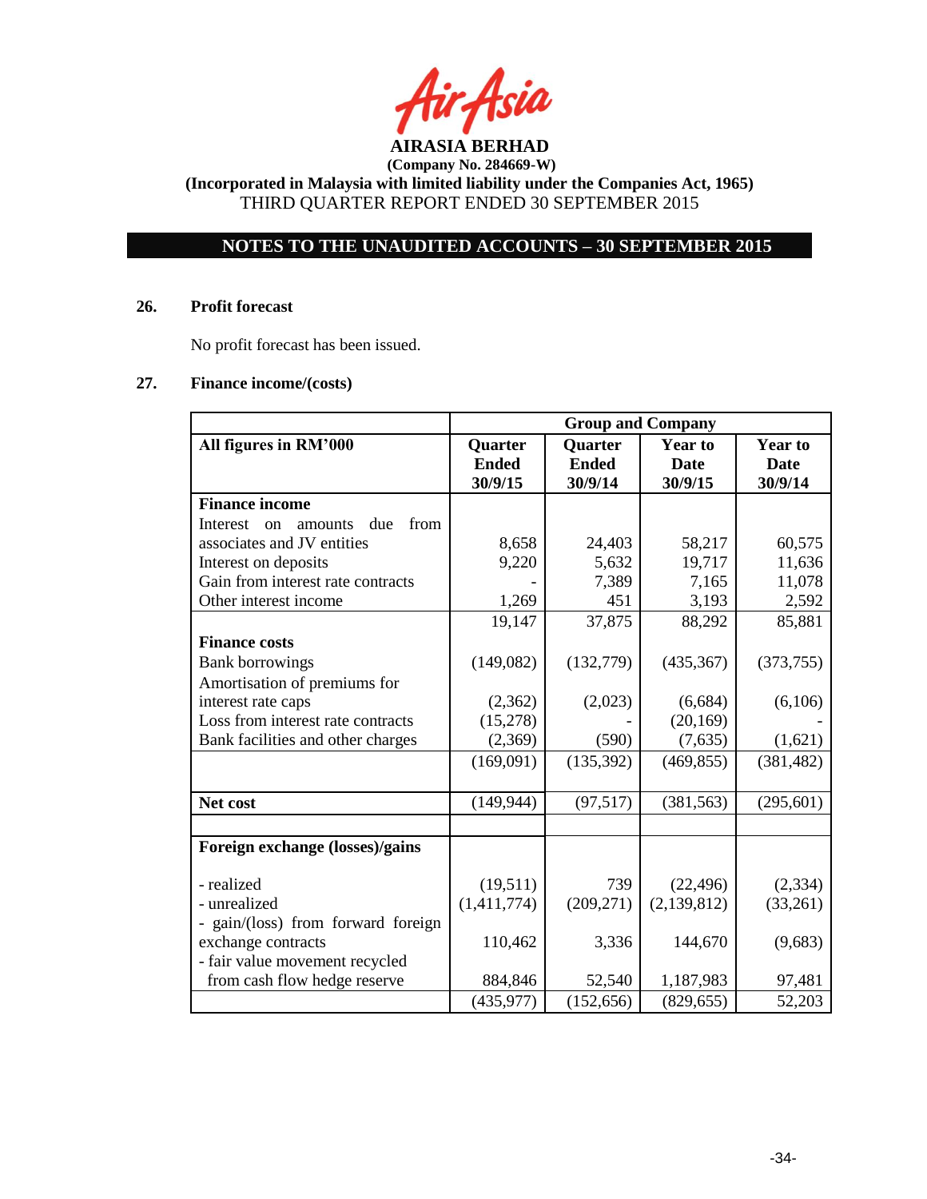

**(Incorporated in Malaysia with limited liability under the Companies Act, 1965)** THIRD QUARTER REPORT ENDED 30 SEPTEMBER 2015

# **NOTES TO THE UNAUDITED ACCOUNTS – 30 SEPTEMBER 2015**

### **26. Profit forecast**

No profit forecast has been issued.

### **27. Finance income/(costs)**

|                                          | <b>Group and Company</b> |                |                |                |
|------------------------------------------|--------------------------|----------------|----------------|----------------|
| All figures in RM'000                    | Quarter                  | <b>Quarter</b> | <b>Year to</b> | <b>Year to</b> |
|                                          | <b>Ended</b>             | <b>Ended</b>   | <b>Date</b>    | <b>Date</b>    |
|                                          | 30/9/15                  | 30/9/14        | 30/9/15        | 30/9/14        |
| <b>Finance income</b>                    |                          |                |                |                |
| due<br>from<br>Interest<br>on<br>amounts |                          |                |                |                |
| associates and JV entities               | 8,658                    | 24,403         | 58,217         | 60,575         |
| Interest on deposits                     | 9,220                    | 5,632          | 19,717         | 11,636         |
| Gain from interest rate contracts        |                          | 7,389          | 7,165          | 11,078         |
| Other interest income                    | 1,269                    | 451            | 3,193          | 2,592          |
|                                          | 19,147                   | 37,875         | 88,292         | 85,881         |
| <b>Finance costs</b>                     |                          |                |                |                |
| <b>Bank borrowings</b>                   | (149,082)                | (132,779)      | (435, 367)     | (373, 755)     |
| Amortisation of premiums for             |                          |                |                |                |
| interest rate caps                       | (2,362)                  | (2,023)        | (6,684)        | (6,106)        |
| Loss from interest rate contracts        | (15,278)                 |                | (20, 169)      |                |
| Bank facilities and other charges        | (2,369)                  | (590)          | (7,635)        | (1,621)        |
|                                          | (169,091)                | (135, 392)     | (469, 855)     | (381, 482)     |
|                                          |                          |                |                |                |
| Net cost                                 | (149, 944)               | (97, 517)      | (381, 563)     | (295, 601)     |
|                                          |                          |                |                |                |
| Foreign exchange (losses)/gains          |                          |                |                |                |
|                                          |                          |                |                |                |
| - realized                               | (19,511)                 | 739            | (22, 496)      | (2, 334)       |
| - unrealized                             | (1,411,774)              | (209, 271)     | (2,139,812)    | (33,261)       |
| - gain/(loss) from forward foreign       |                          |                |                |                |
| exchange contracts                       | 110,462                  | 3,336          | 144,670        | (9,683)        |
| - fair value movement recycled           |                          |                |                |                |
| from cash flow hedge reserve             | 884,846                  | 52,540         | 1,187,983      | 97,481         |
|                                          | (435, 977)               | (152, 656)     | (829, 655)     | 52,203         |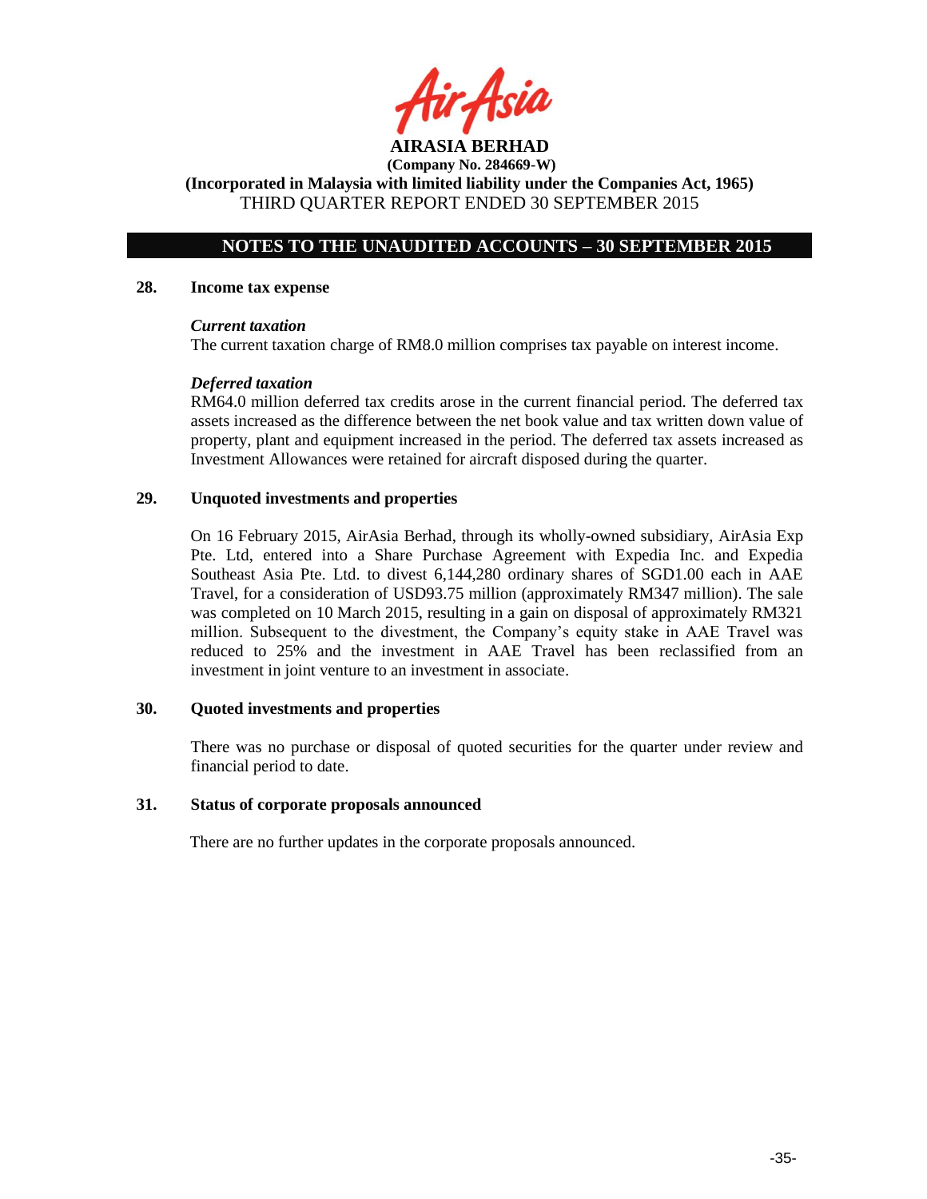**AIRASIA BERHAD** 

**(Incorporated in Malaysia with limited liability under the Companies Act, 1965)** THIRD QUARTER REPORT ENDED 30 SEPTEMBER 2015

## **NOTES TO THE UNAUDITED ACCOUNTS – 30 SEPTEMBER 2015**

#### **28. Income tax expense**

### *Current taxation*

The current taxation charge of RM8.0 million comprises tax payable on interest income.

### *Deferred taxation*

RM64.0 million deferred tax credits arose in the current financial period. The deferred tax assets increased as the difference between the net book value and tax written down value of property, plant and equipment increased in the period. The deferred tax assets increased as Investment Allowances were retained for aircraft disposed during the quarter.

### **29. Unquoted investments and properties**

On 16 February 2015, AirAsia Berhad, through its wholly-owned subsidiary, AirAsia Exp Pte. Ltd, entered into a Share Purchase Agreement with Expedia Inc. and Expedia Southeast Asia Pte. Ltd. to divest 6,144,280 ordinary shares of SGD1.00 each in AAE Travel, for a consideration of USD93.75 million (approximately RM347 million). The sale was completed on 10 March 2015, resulting in a gain on disposal of approximately RM321 million. Subsequent to the divestment, the Company's equity stake in AAE Travel was reduced to 25% and the investment in AAE Travel has been reclassified from an investment in joint venture to an investment in associate.

### **30. Quoted investments and properties**

There was no purchase or disposal of quoted securities for the quarter under review and financial period to date.

### **31. Status of corporate proposals announced**

There are no further updates in the corporate proposals announced.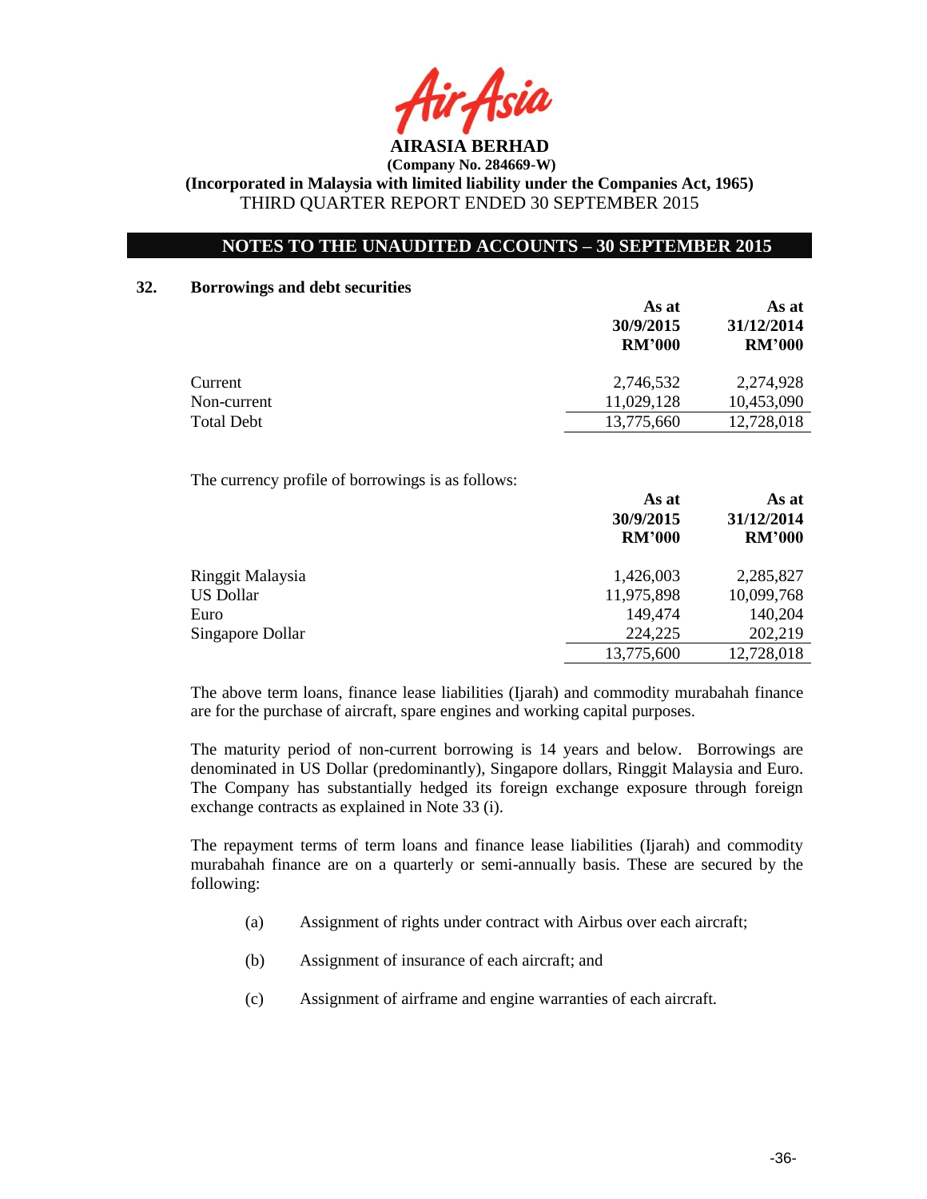

## **NOTES TO THE UNAUDITED ACCOUNTS – 30 SEPTEMBER 2015**

#### **32. Borrowings and debt securities**

|                   | As at<br>30/9/2015<br><b>RM'000</b> | As at<br>31/12/2014<br><b>RM'000</b> |  |
|-------------------|-------------------------------------|--------------------------------------|--|
| Current           | 2,746,532                           | 2,274,928                            |  |
| Non-current       | 11,029,128                          | 10,453,090                           |  |
| <b>Total Debt</b> | 13,775,660                          | 12,728,018                           |  |

The currency profile of borrowings is as follows:

|                  | As at<br>30/9/2015<br><b>RM'000</b> | As at<br>31/12/2014<br><b>RM'000</b> |  |
|------------------|-------------------------------------|--------------------------------------|--|
| Ringgit Malaysia | 1,426,003                           | 2,285,827                            |  |
| <b>US Dollar</b> | 11,975,898                          | 10,099,768                           |  |
| Euro             | 149,474                             | 140,204                              |  |
| Singapore Dollar | 224,225                             | 202,219                              |  |
|                  | 13,775,600                          | 12,728,018                           |  |
|                  |                                     |                                      |  |

The above term loans, finance lease liabilities (Ijarah) and commodity murabahah finance are for the purchase of aircraft, spare engines and working capital purposes.

The maturity period of non-current borrowing is 14 years and below. Borrowings are denominated in US Dollar (predominantly), Singapore dollars, Ringgit Malaysia and Euro. The Company has substantially hedged its foreign exchange exposure through foreign exchange contracts as explained in Note 33 (i).

The repayment terms of term loans and finance lease liabilities (Ijarah) and commodity murabahah finance are on a quarterly or semi-annually basis. These are secured by the following:

- (a) Assignment of rights under contract with Airbus over each aircraft;
- (b) Assignment of insurance of each aircraft; and
- (c) Assignment of airframe and engine warranties of each aircraft.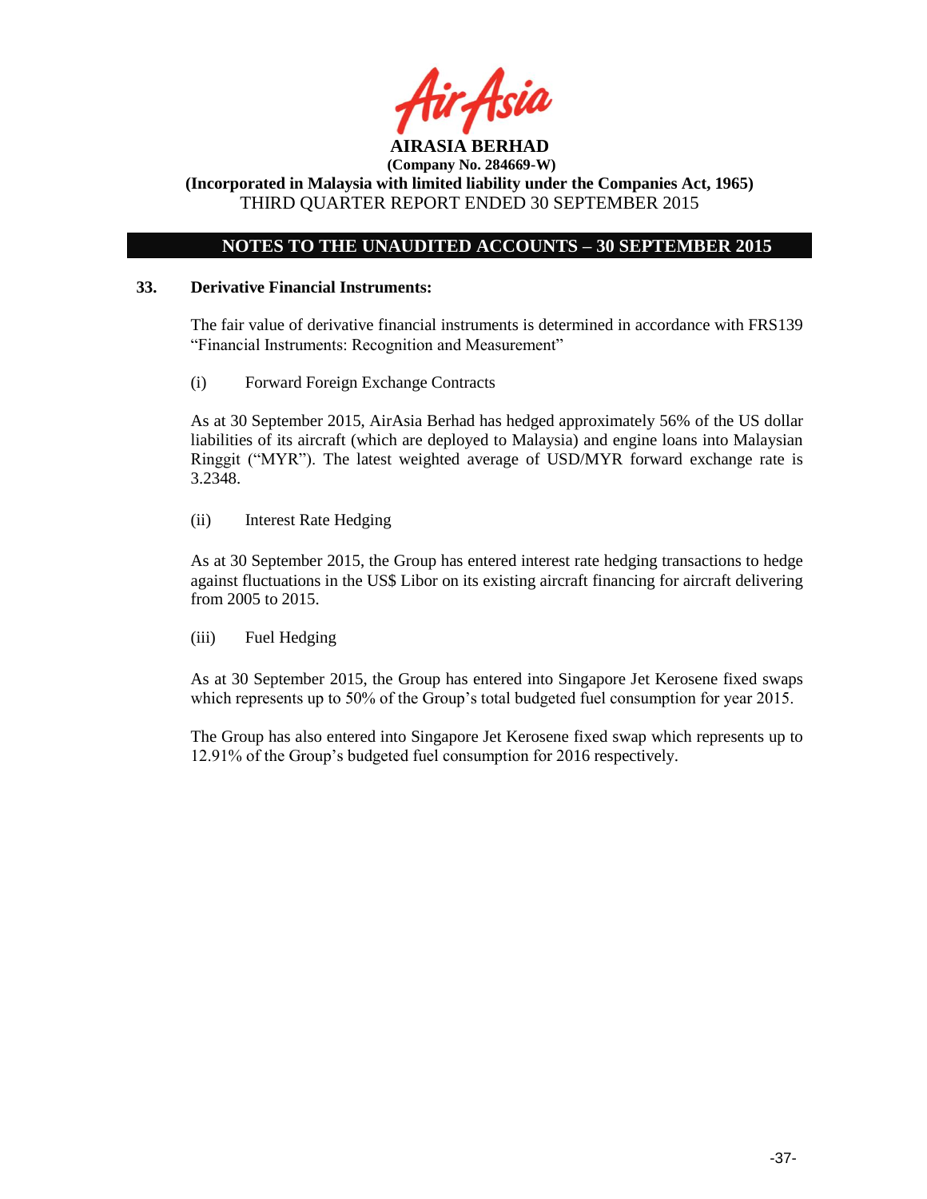

**(Incorporated in Malaysia with limited liability under the Companies Act, 1965)** THIRD QUARTER REPORT ENDED 30 SEPTEMBER 2015

## **NOTES TO THE UNAUDITED ACCOUNTS – 30 SEPTEMBER 2015**

### **33. Derivative Financial Instruments:**

The fair value of derivative financial instruments is determined in accordance with FRS139 "Financial Instruments: Recognition and Measurement"

(i) Forward Foreign Exchange Contracts

As at 30 September 2015, AirAsia Berhad has hedged approximately 56% of the US dollar liabilities of its aircraft (which are deployed to Malaysia) and engine loans into Malaysian Ringgit ("MYR"). The latest weighted average of USD/MYR forward exchange rate is 3.2348.

(ii) Interest Rate Hedging

As at 30 September 2015, the Group has entered interest rate hedging transactions to hedge against fluctuations in the US\$ Libor on its existing aircraft financing for aircraft delivering from 2005 to 2015.

(iii) Fuel Hedging

As at 30 September 2015, the Group has entered into Singapore Jet Kerosene fixed swaps which represents up to 50% of the Group's total budgeted fuel consumption for year 2015.

The Group has also entered into Singapore Jet Kerosene fixed swap which represents up to 12.91% of the Group's budgeted fuel consumption for 2016 respectively.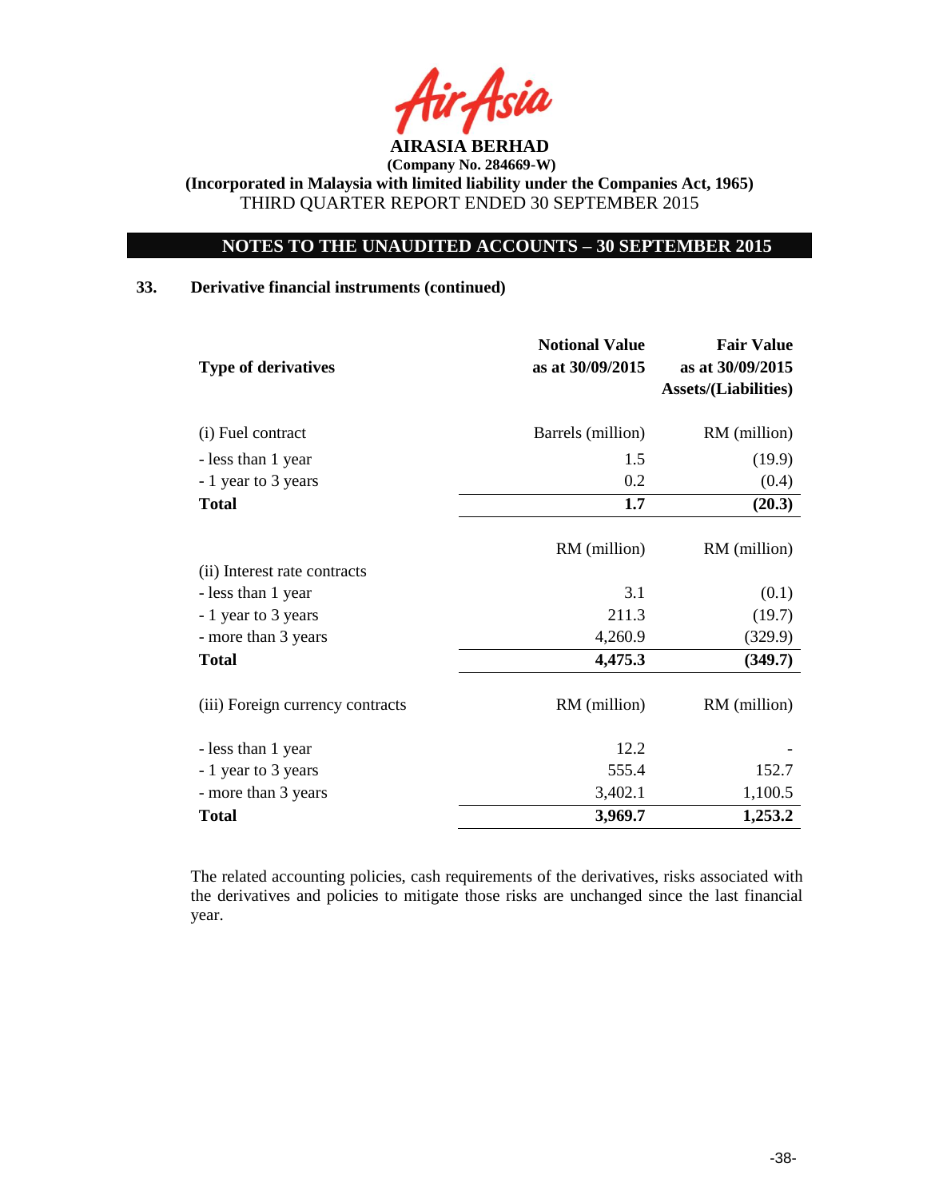

## **NOTES TO THE UNAUDITED ACCOUNTS – 30 SEPTEMBER 2015**

## **33. Derivative financial instruments (continued)**

| <b>Type of derivatives</b>       | <b>Notional Value</b><br>as at 30/09/2015 | <b>Fair Value</b><br>as at 30/09/2015<br><b>Assets/(Liabilities)</b> |
|----------------------------------|-------------------------------------------|----------------------------------------------------------------------|
| (i) Fuel contract                | Barrels (million)                         | RM (million)                                                         |
| - less than 1 year               | 1.5                                       | (19.9)                                                               |
| - 1 year to 3 years              | 0.2                                       | (0.4)                                                                |
| <b>Total</b>                     | 1.7                                       | (20.3)                                                               |
|                                  | RM (million)                              | RM (million)                                                         |
| (ii) Interest rate contracts     |                                           |                                                                      |
| - less than 1 year               | 3.1                                       | (0.1)                                                                |
| - 1 year to 3 years              | 211.3                                     | (19.7)                                                               |
| - more than 3 years              | 4,260.9                                   | (329.9)                                                              |
| <b>Total</b>                     | 4,475.3                                   | (349.7)                                                              |
| (iii) Foreign currency contracts | RM (million)                              | RM (million)                                                         |
| - less than 1 year               | 12.2                                      |                                                                      |
| - 1 year to 3 years              | 555.4                                     | 152.7                                                                |
| - more than 3 years              | 3,402.1                                   | 1,100.5                                                              |
| <b>Total</b>                     | 3,969.7                                   | 1,253.2                                                              |

The related accounting policies, cash requirements of the derivatives, risks associated with the derivatives and policies to mitigate those risks are unchanged since the last financial year.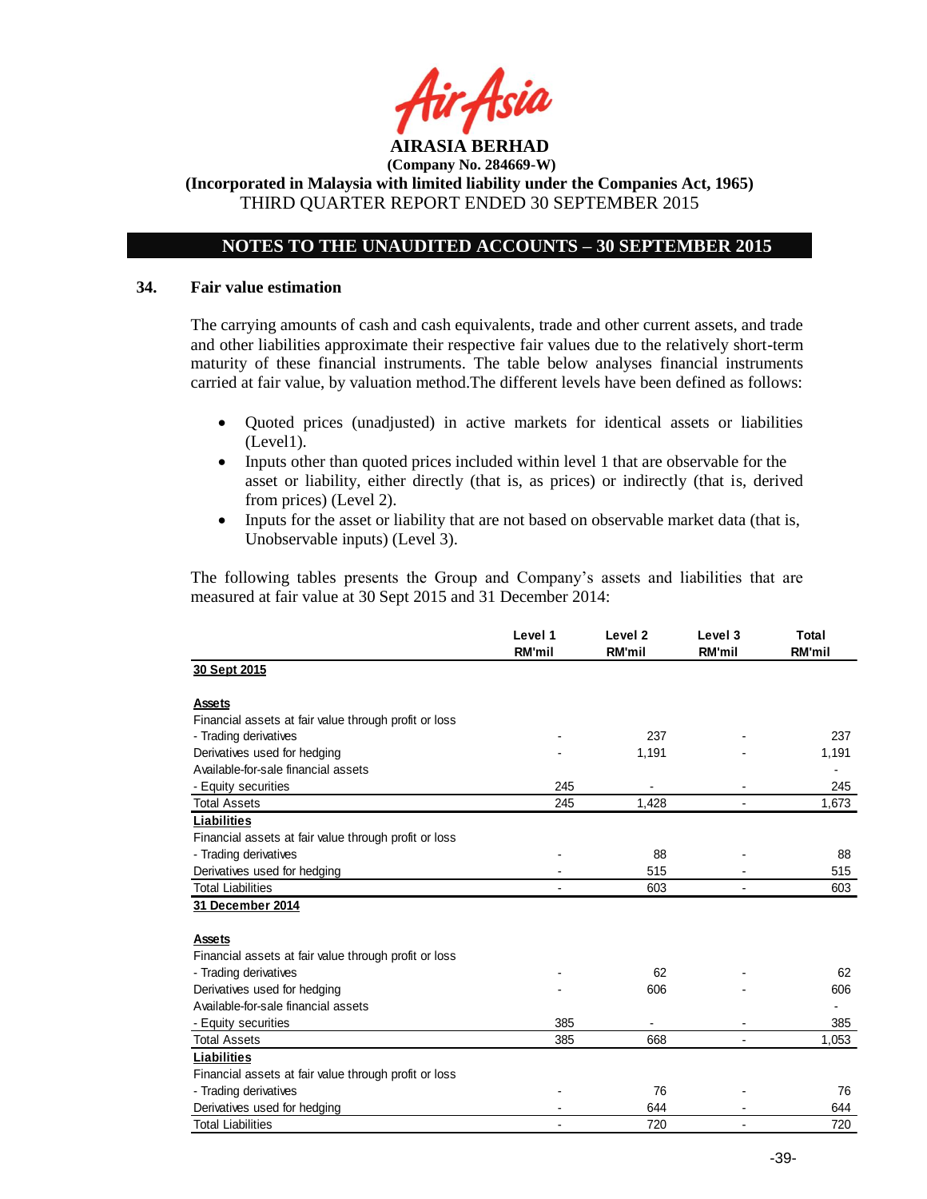

**(Incorporated in Malaysia with limited liability under the Companies Act, 1965)** THIRD QUARTER REPORT ENDED 30 SEPTEMBER 2015

## **NOTES TO THE UNAUDITED ACCOUNTS – 30 SEPTEMBER 2015**

#### **34. Fair value estimation**

The carrying amounts of cash and cash equivalents, trade and other current assets, and trade and other liabilities approximate their respective fair values due to the relatively short-term maturity of these financial instruments. The table below analyses financial instruments carried at fair value, by valuation method.The different levels have been defined as follows:

- Quoted prices (unadjusted) in active markets for identical assets or liabilities (Level1).
- Inputs other than quoted prices included within level 1 that are observable for the asset or liability, either directly (that is, as prices) or indirectly (that is, derived from prices) (Level 2).
- Inputs for the asset or liability that are not based on observable market data (that is, Unobservable inputs) (Level 3).

The following tables presents the Group and Company's assets and liabilities that are measured at fair value at 30 Sept 2015 and 31 December 2014:

|                                                       | Level 1<br><b>RM'mil</b> | Level <sub>2</sub><br><b>RM'mil</b> | Level 3<br><b>RM'mil</b> | Total<br><b>RM'mil</b> |
|-------------------------------------------------------|--------------------------|-------------------------------------|--------------------------|------------------------|
| 30 Sept 2015                                          |                          |                                     |                          |                        |
| Assets                                                |                          |                                     |                          |                        |
| Financial assets at fair value through profit or loss |                          |                                     |                          |                        |
| - Trading derivatives                                 |                          | 237                                 |                          | 237                    |
| Derivatives used for hedging                          |                          | 1,191                               |                          | 1,191                  |
| Available-for-sale financial assets                   |                          |                                     |                          |                        |
| - Equity securities                                   | 245                      |                                     |                          | 245                    |
| <b>Total Assets</b>                                   | 245                      | 1,428                               |                          | 1,673                  |
| Liabilities                                           |                          |                                     |                          |                        |
| Financial assets at fair value through profit or loss |                          |                                     |                          |                        |
| - Trading derivatives                                 |                          | 88                                  |                          | 88                     |
| Derivatives used for hedging                          |                          | 515                                 |                          | 515                    |
| <b>Total Liabilities</b>                              |                          | 603                                 |                          | 603                    |
| 31 December 2014                                      |                          |                                     |                          |                        |
| Assets                                                |                          |                                     |                          |                        |
| Financial assets at fair value through profit or loss |                          |                                     |                          |                        |
| - Trading derivatives                                 |                          | 62                                  |                          | 62                     |
| Derivatives used for hedging                          |                          | 606                                 |                          | 606                    |
| Available-for-sale financial assets                   |                          |                                     |                          |                        |
| - Equity securities                                   | 385                      |                                     |                          | 385                    |
| <b>Total Assets</b>                                   | 385                      | 668                                 |                          | 1,053                  |
| <b>Liabilities</b>                                    |                          |                                     |                          |                        |
| Financial assets at fair value through profit or loss |                          |                                     |                          |                        |
| - Trading derivatives                                 |                          | 76                                  |                          | 76                     |
| Derivatives used for hedging                          |                          | 644                                 |                          | 644                    |
| <b>Total Liabilities</b>                              |                          | 720                                 | $\overline{a}$           | 720                    |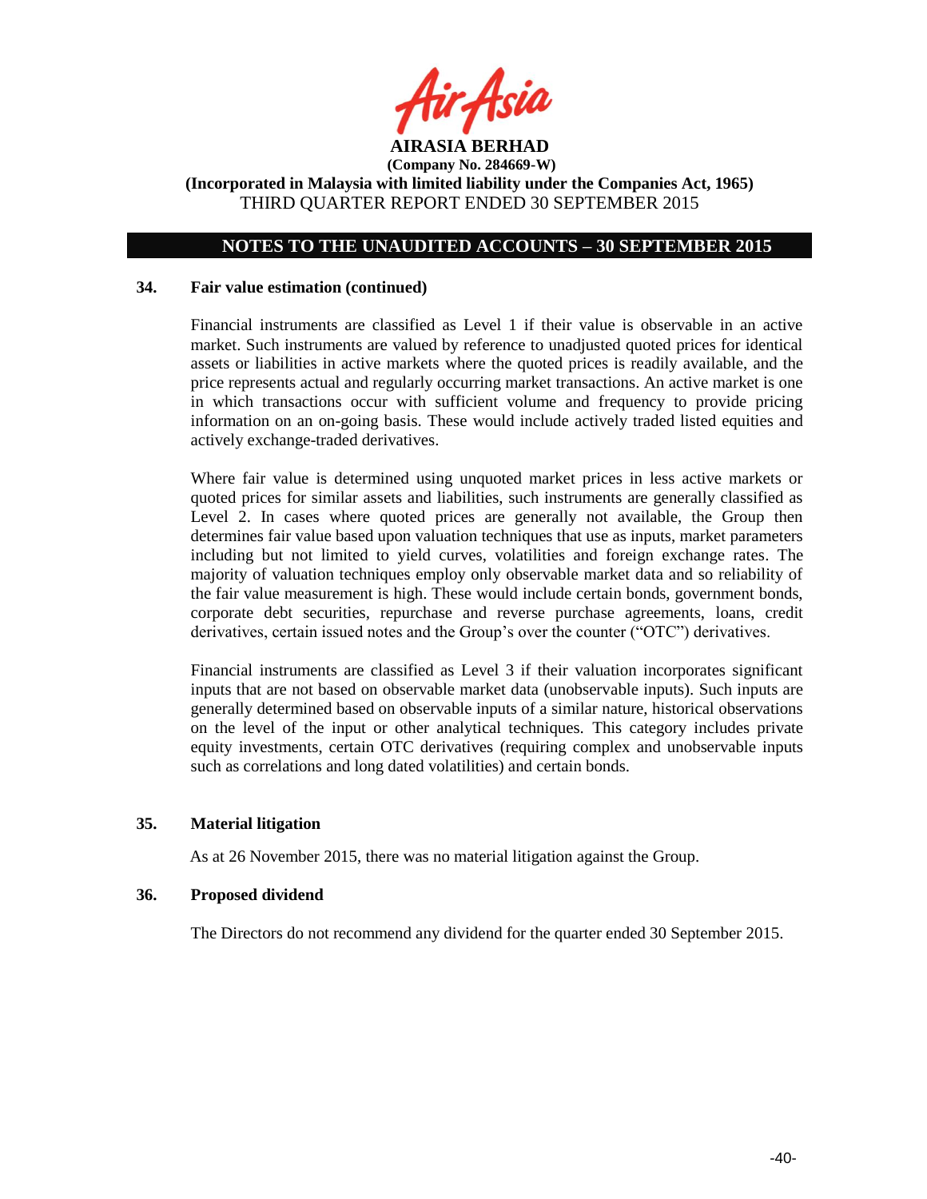

## **NOTES TO THE UNAUDITED ACCOUNTS – 30 SEPTEMBER 2015**

### **34. Fair value estimation (continued)**

Financial instruments are classified as Level 1 if their value is observable in an active market. Such instruments are valued by reference to unadjusted quoted prices for identical assets or liabilities in active markets where the quoted prices is readily available, and the price represents actual and regularly occurring market transactions. An active market is one in which transactions occur with sufficient volume and frequency to provide pricing information on an on-going basis. These would include actively traded listed equities and actively exchange-traded derivatives.

Where fair value is determined using unquoted market prices in less active markets or quoted prices for similar assets and liabilities, such instruments are generally classified as Level 2. In cases where quoted prices are generally not available, the Group then determines fair value based upon valuation techniques that use as inputs, market parameters including but not limited to yield curves, volatilities and foreign exchange rates. The majority of valuation techniques employ only observable market data and so reliability of the fair value measurement is high. These would include certain bonds, government bonds, corporate debt securities, repurchase and reverse purchase agreements, loans, credit derivatives, certain issued notes and the Group's over the counter ("OTC") derivatives.

Financial instruments are classified as Level 3 if their valuation incorporates significant inputs that are not based on observable market data (unobservable inputs). Such inputs are generally determined based on observable inputs of a similar nature, historical observations on the level of the input or other analytical techniques. This category includes private equity investments, certain OTC derivatives (requiring complex and unobservable inputs such as correlations and long dated volatilities) and certain bonds.

### **35. Material litigation**

As at 26 November 2015, there was no material litigation against the Group.

### **36. Proposed dividend**

The Directors do not recommend any dividend for the quarter ended 30 September 2015.